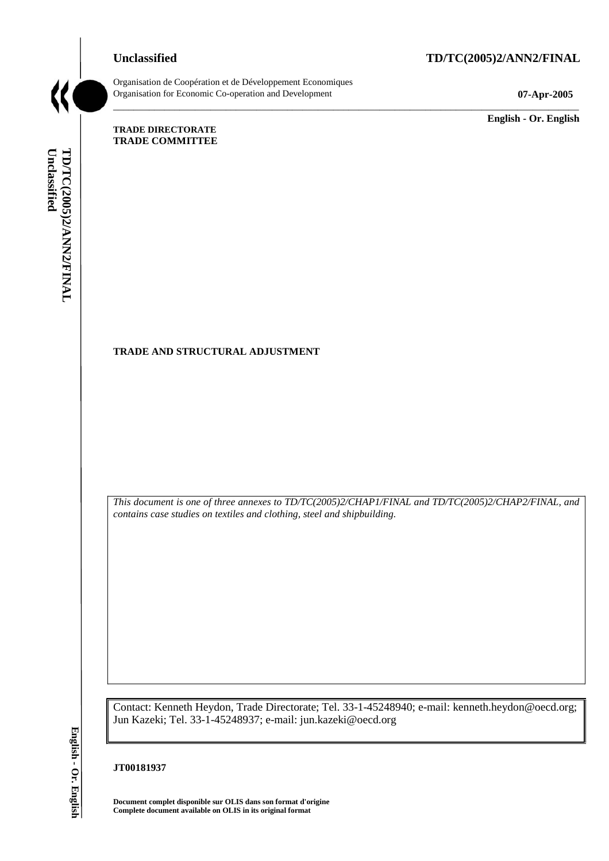# **Unclassified TD/TC(2005)2/ANN2/FINAL**



Organisation de Coopération et de Développement Economiques Organisation for Economic Co-operation and Development **07-Apr-2005** 

\_\_\_\_\_\_\_\_\_\_\_\_\_ **English - Or. English** 

#### **TRADE DIRECTORATE TRADE COMMITTEE**

Unclassified TD/TC(2005)2/ANN2/FINAL **Unclassified TD/TC(2005)2/ANN2/FINAL English - Or. English**

# **TRADE AND STRUCTURAL ADJUSTMENT**

*This document is one of three annexes to TD/TC(2005)2/CHAP1/FINAL and TD/TC(2005)2/CHAP2/FINAL, and contains case studies on textiles and clothing, steel and shipbuilding.* 

\_\_\_\_\_\_\_\_\_\_\_\_\_\_\_\_\_\_\_\_\_\_\_\_\_\_\_\_\_\_\_\_\_\_\_\_\_\_\_\_\_\_\_\_\_\_\_\_\_\_\_\_\_\_\_\_\_\_\_\_\_\_\_\_\_\_\_\_\_\_\_\_\_\_\_\_\_\_\_\_\_\_\_\_\_\_\_\_\_\_\_

Contact: Kenneth Heydon, Trade Directorate; Tel. 33-1-45248940; e-mail: kenneth.heydon@oecd.org; Jun Kazeki; Tel. 33-1-45248937; e-mail: jun.kazeki@oecd.org

#### **JT00181937**

**Document complet disponible sur OLIS dans son format d'origine Complete document available on OLIS in its original format**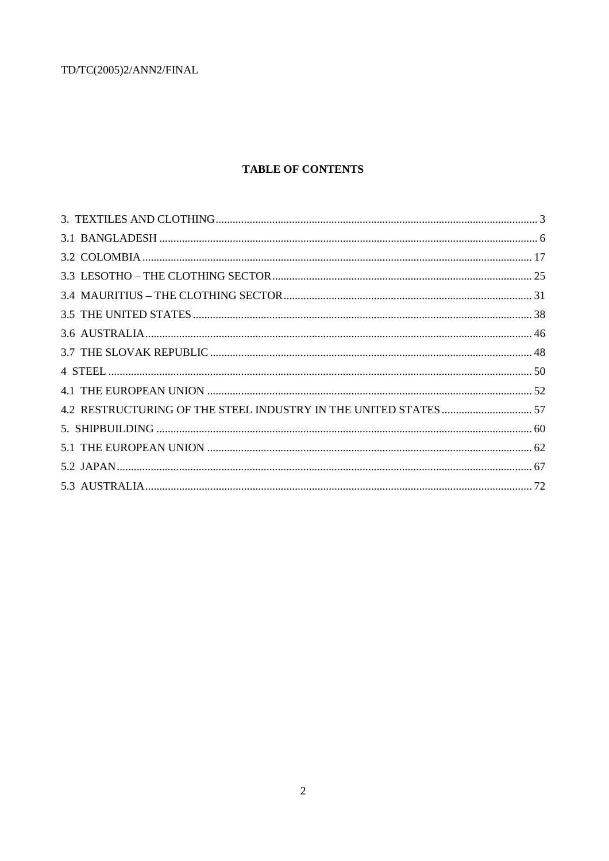# **TABLE OF CONTENTS**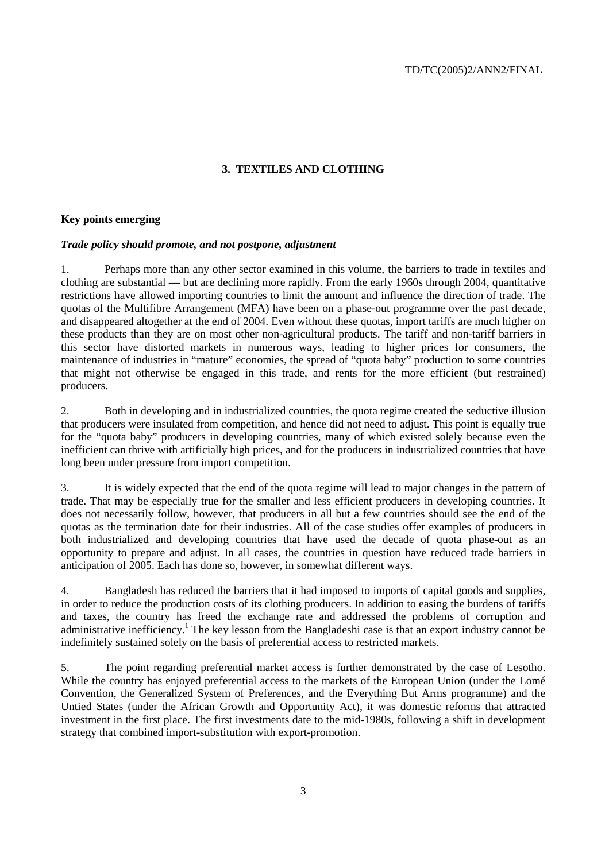# **3. TEXTILES AND CLOTHING**

# **Key points emerging**

#### *Trade policy should promote, and not postpone, adjustment*

1. Perhaps more than any other sector examined in this volume, the barriers to trade in textiles and clothing are substantial — but are declining more rapidly. From the early 1960s through 2004, quantitative restrictions have allowed importing countries to limit the amount and influence the direction of trade. The quotas of the Multifibre Arrangement (MFA) have been on a phase-out programme over the past decade, and disappeared altogether at the end of 2004. Even without these quotas, import tariffs are much higher on these products than they are on most other non-agricultural products. The tariff and non-tariff barriers in this sector have distorted markets in numerous ways, leading to higher prices for consumers, the maintenance of industries in "mature" economies, the spread of "quota baby" production to some countries that might not otherwise be engaged in this trade, and rents for the more efficient (but restrained) producers.

2. Both in developing and in industrialized countries, the quota regime created the seductive illusion that producers were insulated from competition, and hence did not need to adjust. This point is equally true for the "quota baby" producers in developing countries, many of which existed solely because even the inefficient can thrive with artificially high prices, and for the producers in industrialized countries that have long been under pressure from import competition.

3. It is widely expected that the end of the quota regime will lead to major changes in the pattern of trade. That may be especially true for the smaller and less efficient producers in developing countries. It does not necessarily follow, however, that producers in all but a few countries should see the end of the quotas as the termination date for their industries. All of the case studies offer examples of producers in both industrialized and developing countries that have used the decade of quota phase-out as an opportunity to prepare and adjust. In all cases, the countries in question have reduced trade barriers in anticipation of 2005. Each has done so, however, in somewhat different ways.

4. Bangladesh has reduced the barriers that it had imposed to imports of capital goods and supplies, in order to reduce the production costs of its clothing producers. In addition to easing the burdens of tariffs and taxes, the country has freed the exchange rate and addressed the problems of corruption and administrative inefficiency.<sup>1</sup> The key lesson from the Bangladeshi case is that an export industry cannot be indefinitely sustained solely on the basis of preferential access to restricted markets.

5. The point regarding preferential market access is further demonstrated by the case of Lesotho. While the country has enjoyed preferential access to the markets of the European Union (under the Lomé Convention, the Generalized System of Preferences, and the Everything But Arms programme) and the Untied States (under the African Growth and Opportunity Act), it was domestic reforms that attracted investment in the first place. The first investments date to the mid-1980s, following a shift in development strategy that combined import-substitution with export-promotion.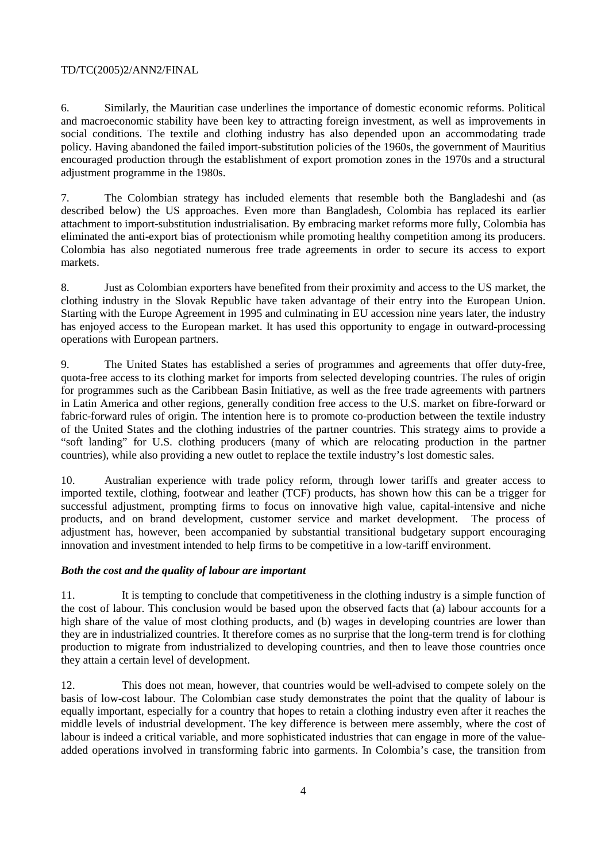6. Similarly, the Mauritian case underlines the importance of domestic economic reforms. Political and macroeconomic stability have been key to attracting foreign investment, as well as improvements in social conditions. The textile and clothing industry has also depended upon an accommodating trade policy. Having abandoned the failed import-substitution policies of the 1960s, the government of Mauritius encouraged production through the establishment of export promotion zones in the 1970s and a structural adjustment programme in the 1980s.

7. The Colombian strategy has included elements that resemble both the Bangladeshi and (as described below) the US approaches. Even more than Bangladesh, Colombia has replaced its earlier attachment to import-substitution industrialisation. By embracing market reforms more fully, Colombia has eliminated the anti-export bias of protectionism while promoting healthy competition among its producers. Colombia has also negotiated numerous free trade agreements in order to secure its access to export markets.

8. Just as Colombian exporters have benefited from their proximity and access to the US market, the clothing industry in the Slovak Republic have taken advantage of their entry into the European Union. Starting with the Europe Agreement in 1995 and culminating in EU accession nine years later, the industry has enjoyed access to the European market. It has used this opportunity to engage in outward-processing operations with European partners.

9. The United States has established a series of programmes and agreements that offer duty-free, quota-free access to its clothing market for imports from selected developing countries. The rules of origin for programmes such as the Caribbean Basin Initiative, as well as the free trade agreements with partners in Latin America and other regions, generally condition free access to the U.S. market on fibre-forward or fabric-forward rules of origin. The intention here is to promote co-production between the textile industry of the United States and the clothing industries of the partner countries. This strategy aims to provide a "soft landing" for U.S. clothing producers (many of which are relocating production in the partner countries), while also providing a new outlet to replace the textile industry's lost domestic sales.

10. Australian experience with trade policy reform, through lower tariffs and greater access to imported textile, clothing, footwear and leather (TCF) products, has shown how this can be a trigger for successful adjustment, prompting firms to focus on innovative high value, capital-intensive and niche products, and on brand development, customer service and market development. The process of adjustment has, however, been accompanied by substantial transitional budgetary support encouraging innovation and investment intended to help firms to be competitive in a low-tariff environment.

# *Both the cost and the quality of labour are important*

11. It is tempting to conclude that competitiveness in the clothing industry is a simple function of the cost of labour. This conclusion would be based upon the observed facts that (a) labour accounts for a high share of the value of most clothing products, and (b) wages in developing countries are lower than they are in industrialized countries. It therefore comes as no surprise that the long-term trend is for clothing production to migrate from industrialized to developing countries, and then to leave those countries once they attain a certain level of development.

12. This does not mean, however, that countries would be well-advised to compete solely on the basis of low-cost labour. The Colombian case study demonstrates the point that the quality of labour is equally important, especially for a country that hopes to retain a clothing industry even after it reaches the middle levels of industrial development. The key difference is between mere assembly, where the cost of labour is indeed a critical variable, and more sophisticated industries that can engage in more of the valueadded operations involved in transforming fabric into garments. In Colombia's case, the transition from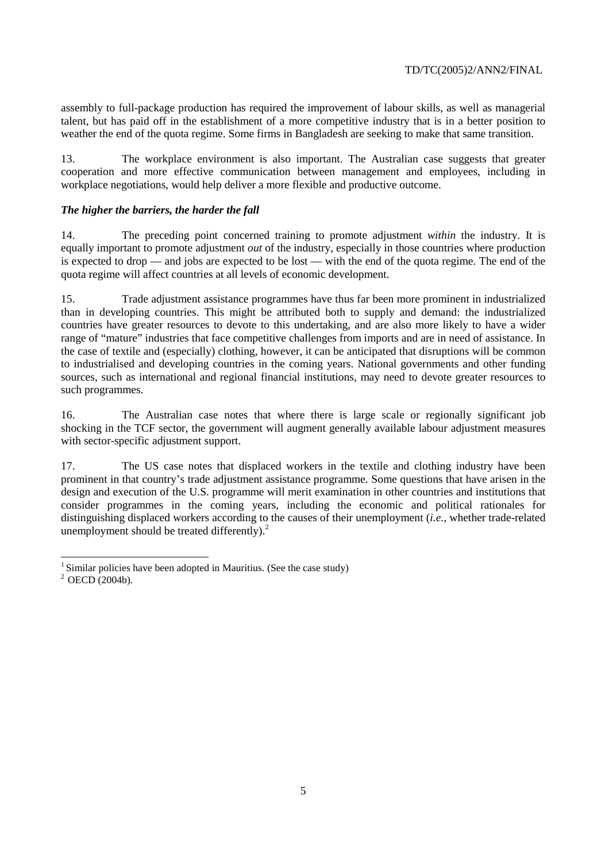assembly to full-package production has required the improvement of labour skills, as well as managerial talent, but has paid off in the establishment of a more competitive industry that is in a better position to weather the end of the quota regime. Some firms in Bangladesh are seeking to make that same transition.

13. The workplace environment is also important. The Australian case suggests that greater cooperation and more effective communication between management and employees, including in workplace negotiations, would help deliver a more flexible and productive outcome.

# *The higher the barriers, the harder the fall*

14. The preceding point concerned training to promote adjustment *within* the industry. It is equally important to promote adjustment *out* of the industry, especially in those countries where production is expected to drop — and jobs are expected to be lost — with the end of the quota regime. The end of the quota regime will affect countries at all levels of economic development.

15. Trade adjustment assistance programmes have thus far been more prominent in industrialized than in developing countries. This might be attributed both to supply and demand: the industrialized countries have greater resources to devote to this undertaking, and are also more likely to have a wider range of "mature" industries that face competitive challenges from imports and are in need of assistance. In the case of textile and (especially) clothing, however, it can be anticipated that disruptions will be common to industrialised and developing countries in the coming years. National governments and other funding sources, such as international and regional financial institutions, may need to devote greater resources to such programmes.

16. The Australian case notes that where there is large scale or regionally significant job shocking in the TCF sector, the government will augment generally available labour adjustment measures with sector-specific adjustment support.

17. The US case notes that displaced workers in the textile and clothing industry have been prominent in that country's trade adjustment assistance programme. Some questions that have arisen in the design and execution of the U.S. programme will merit examination in other countries and institutions that consider programmes in the coming years, including the economic and political rationales for distinguishing displaced workers according to the causes of their unemployment (*i.e.*, whether trade-related unemployment should be treated differently).<sup>2</sup>

 $\overline{a}$  $<sup>1</sup>$  Similar policies have been adopted in Mauritius. (See the case study)</sup>

 $2$  OECD (2004b).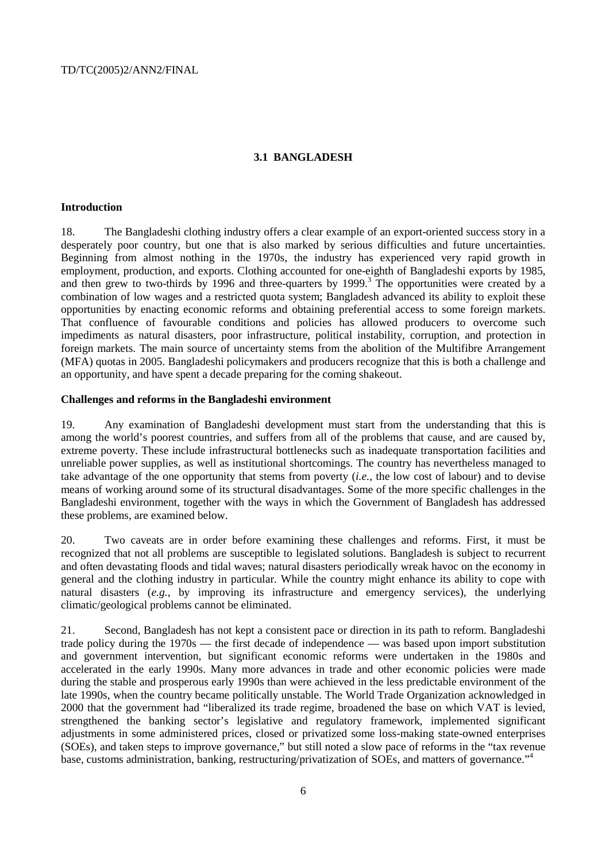#### **3.1 BANGLADESH**

#### **Introduction**

18. The Bangladeshi clothing industry offers a clear example of an export-oriented success story in a desperately poor country, but one that is also marked by serious difficulties and future uncertainties. Beginning from almost nothing in the 1970s, the industry has experienced very rapid growth in employment, production, and exports. Clothing accounted for one-eighth of Bangladeshi exports by 1985, and then grew to two-thirds by 1996 and three-quarters by 1999.<sup>3</sup> The opportunities were created by a combination of low wages and a restricted quota system; Bangladesh advanced its ability to exploit these opportunities by enacting economic reforms and obtaining preferential access to some foreign markets. That confluence of favourable conditions and policies has allowed producers to overcome such impediments as natural disasters, poor infrastructure, political instability, corruption, and protection in foreign markets. The main source of uncertainty stems from the abolition of the Multifibre Arrangement (MFA) quotas in 2005. Bangladeshi policymakers and producers recognize that this is both a challenge and an opportunity, and have spent a decade preparing for the coming shakeout.

#### **Challenges and reforms in the Bangladeshi environment**

19. Any examination of Bangladeshi development must start from the understanding that this is among the world's poorest countries, and suffers from all of the problems that cause, and are caused by, extreme poverty. These include infrastructural bottlenecks such as inadequate transportation facilities and unreliable power supplies, as well as institutional shortcomings. The country has nevertheless managed to take advantage of the one opportunity that stems from poverty (*i.e.*, the low cost of labour) and to devise means of working around some of its structural disadvantages. Some of the more specific challenges in the Bangladeshi environment, together with the ways in which the Government of Bangladesh has addressed these problems, are examined below.

20. Two caveats are in order before examining these challenges and reforms. First, it must be recognized that not all problems are susceptible to legislated solutions. Bangladesh is subject to recurrent and often devastating floods and tidal waves; natural disasters periodically wreak havoc on the economy in general and the clothing industry in particular. While the country might enhance its ability to cope with natural disasters (*e.g.*, by improving its infrastructure and emergency services), the underlying climatic/geological problems cannot be eliminated.

21. Second, Bangladesh has not kept a consistent pace or direction in its path to reform. Bangladeshi trade policy during the 1970s — the first decade of independence — was based upon import substitution and government intervention, but significant economic reforms were undertaken in the 1980s and accelerated in the early 1990s. Many more advances in trade and other economic policies were made during the stable and prosperous early 1990s than were achieved in the less predictable environment of the late 1990s, when the country became politically unstable. The World Trade Organization acknowledged in 2000 that the government had "liberalized its trade regime, broadened the base on which VAT is levied, strengthened the banking sector's legislative and regulatory framework, implemented significant adjustments in some administered prices, closed or privatized some loss-making state-owned enterprises (SOEs), and taken steps to improve governance," but still noted a slow pace of reforms in the "tax revenue base, customs administration, banking, restructuring/privatization of SOEs, and matters of governance."<sup>4</sup>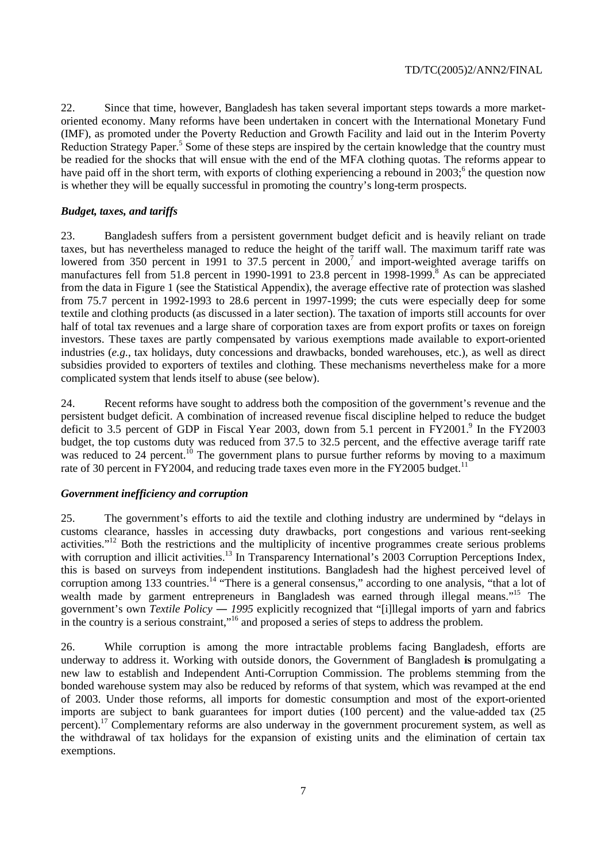22. Since that time, however, Bangladesh has taken several important steps towards a more marketoriented economy. Many reforms have been undertaken in concert with the International Monetary Fund (IMF), as promoted under the Poverty Reduction and Growth Facility and laid out in the Interim Poverty Reduction Strategy Paper.<sup>5</sup> Some of these steps are inspired by the certain knowledge that the country must be readied for the shocks that will ensue with the end of the MFA clothing quotas. The reforms appear to have paid off in the short term, with exports of clothing experiencing a rebound in 2003;<sup>6</sup> the question now is whether they will be equally successful in promoting the country's long-term prospects.

# *Budget, taxes, and tariffs*

23. Bangladesh suffers from a persistent government budget deficit and is heavily reliant on trade taxes, but has nevertheless managed to reduce the height of the tariff wall. The maximum tariff rate was lowered from 350 percent in 1991 to 37.5 percent in  $2000$ , and import-weighted average tariffs on manufactures fell from 51.8 percent in 1990-1991 to 23.8 percent in 1998-1999.<sup>8</sup> As can be appreciated from the data in Figure 1 (see the Statistical Appendix), the average effective rate of protection was slashed from 75.7 percent in 1992-1993 to 28.6 percent in 1997-1999; the cuts were especially deep for some textile and clothing products (as discussed in a later section). The taxation of imports still accounts for over half of total tax revenues and a large share of corporation taxes are from export profits or taxes on foreign investors. These taxes are partly compensated by various exemptions made available to export-oriented industries (*e.g.*, tax holidays, duty concessions and drawbacks, bonded warehouses, etc.), as well as direct subsidies provided to exporters of textiles and clothing. These mechanisms nevertheless make for a more complicated system that lends itself to abuse (see below).

24. Recent reforms have sought to address both the composition of the government's revenue and the persistent budget deficit. A combination of increased revenue fiscal discipline helped to reduce the budget deficit to 3.5 percent of GDP in Fiscal Year 2003, down from 5.1 percent in FY2001.<sup>9</sup> In the FY2003 budget, the top customs duty was reduced from 37.5 to 32.5 percent, and the effective average tariff rate was reduced to 24 percent.<sup>10</sup> The government plans to pursue further reforms by moving to a maximum rate of 30 percent in FY2004, and reducing trade taxes even more in the FY2005 budget.<sup>11</sup>

# *Government inefficiency and corruption*

25. The government's efforts to aid the textile and clothing industry are undermined by "delays in customs clearance, hassles in accessing duty drawbacks, port congestions and various rent-seeking activities."<sup>12</sup> Both the restrictions and the multiplicity of incentive programmes create serious problems with corruption and illicit activities.<sup>13</sup> In Transparency International's 2003 Corruption Perceptions Index, this is based on surveys from independent institutions. Bangladesh had the highest perceived level of corruption among 133 countries.<sup>14</sup> "There is a general consensus," according to one analysis, "that a lot of wealth made by garment entrepreneurs in Bangladesh was earned through illegal means."<sup>15</sup> The government's own *Textile Policy ― 1995* explicitly recognized that "[i]llegal imports of yarn and fabrics in the country is a serious constraint,"16 and proposed a series of steps to address the problem.

26. While corruption is among the more intractable problems facing Bangladesh, efforts are underway to address it. Working with outside donors, the Government of Bangladesh **is** promulgating a new law to establish and Independent Anti-Corruption Commission. The problems stemming from the bonded warehouse system may also be reduced by reforms of that system, which was revamped at the end of 2003. Under those reforms, all imports for domestic consumption and most of the export-oriented imports are subject to bank guarantees for import duties (100 percent) and the value-added tax (25 percent).<sup>17</sup> Complementary reforms are also underway in the government procurement system, as well as the withdrawal of tax holidays for the expansion of existing units and the elimination of certain tax exemptions.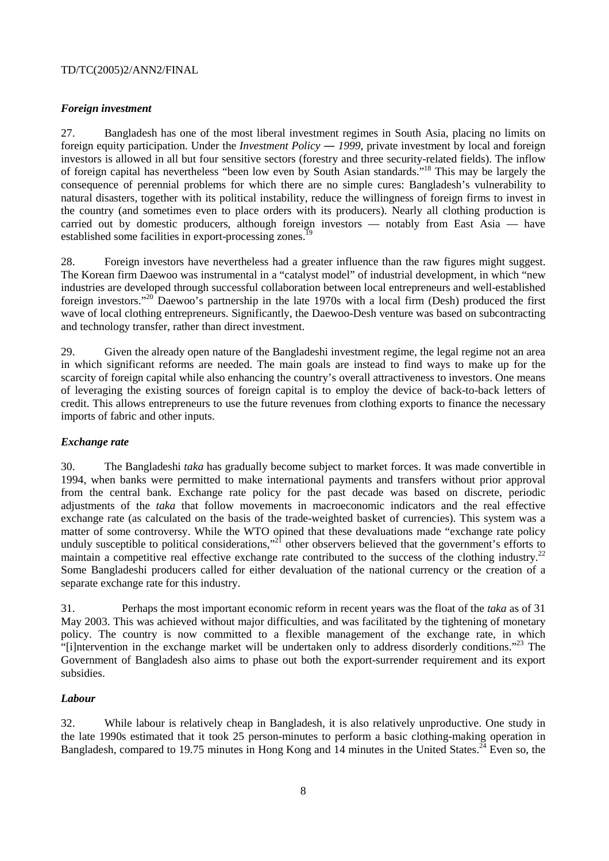# *Foreign investment*

27. Bangladesh has one of the most liberal investment regimes in South Asia, placing no limits on foreign equity participation. Under the *Investment Policy — 1999*, private investment by local and foreign investors is allowed in all but four sensitive sectors (forestry and three security-related fields). The inflow of foreign capital has nevertheless "been low even by South Asian standards."18 This may be largely the consequence of perennial problems for which there are no simple cures: Bangladesh's vulnerability to natural disasters, together with its political instability, reduce the willingness of foreign firms to invest in the country (and sometimes even to place orders with its producers). Nearly all clothing production is carried out by domestic producers, although foreign investors — notably from East Asia — have established some facilities in export-processing zones.<sup>19</sup>

28. Foreign investors have nevertheless had a greater influence than the raw figures might suggest. The Korean firm Daewoo was instrumental in a "catalyst model" of industrial development, in which "new industries are developed through successful collaboration between local entrepreneurs and well-established foreign investors."<sup>20</sup> Daewoo's partnership in the late 1970s with a local firm (Desh) produced the first wave of local clothing entrepreneurs. Significantly, the Daewoo-Desh venture was based on subcontracting and technology transfer, rather than direct investment.

29. Given the already open nature of the Bangladeshi investment regime, the legal regime not an area in which significant reforms are needed. The main goals are instead to find ways to make up for the scarcity of foreign capital while also enhancing the country's overall attractiveness to investors. One means of leveraging the existing sources of foreign capital is to employ the device of back-to-back letters of credit. This allows entrepreneurs to use the future revenues from clothing exports to finance the necessary imports of fabric and other inputs.

# *Exchange rate*

30. The Bangladeshi *taka* has gradually become subject to market forces. It was made convertible in 1994, when banks were permitted to make international payments and transfers without prior approval from the central bank. Exchange rate policy for the past decade was based on discrete, periodic adjustments of the *taka* that follow movements in macroeconomic indicators and the real effective exchange rate (as calculated on the basis of the trade-weighted basket of currencies). This system was a matter of some controversy. While the WTO opined that these devaluations made "exchange rate policy unduly susceptible to political considerations,"<sup>21</sup> other observers believed that the government's efforts to maintain a competitive real effective exchange rate contributed to the success of the clothing industry.<sup>22</sup> Some Bangladeshi producers called for either devaluation of the national currency or the creation of a separate exchange rate for this industry.

31. Perhaps the most important economic reform in recent years was the float of the *taka* as of 31 May 2003. This was achieved without major difficulties, and was facilitated by the tightening of monetary policy. The country is now committed to a flexible management of the exchange rate, in which "[i]ntervention in the exchange market will be undertaken only to address disorderly conditions."23 The Government of Bangladesh also aims to phase out both the export-surrender requirement and its export subsidies.

# *Labour*

32. While labour is relatively cheap in Bangladesh, it is also relatively unproductive. One study in the late 1990s estimated that it took 25 person-minutes to perform a basic clothing-making operation in Bangladesh, compared to 19.75 minutes in Hong Kong and 14 minutes in the United States.<sup>24</sup> Even so, the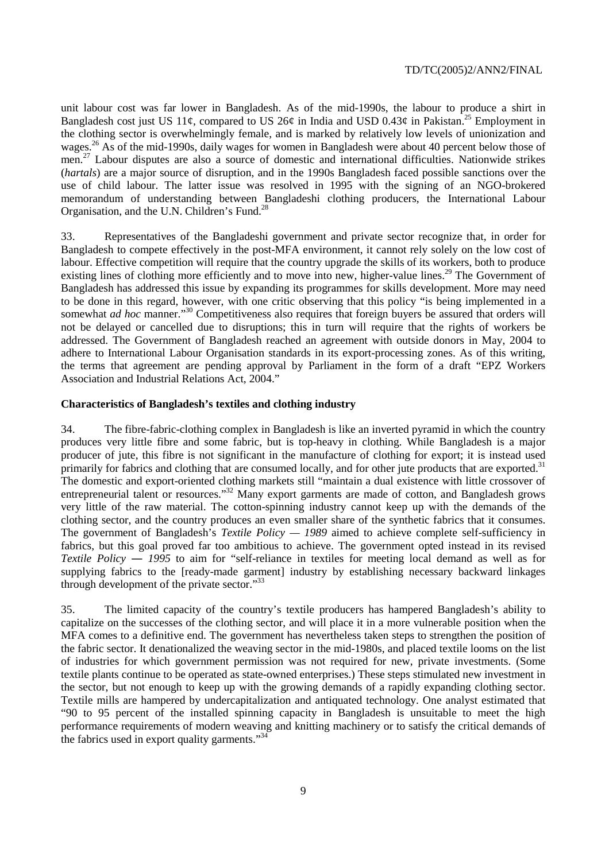unit labour cost was far lower in Bangladesh. As of the mid-1990s, the labour to produce a shirt in Bangladesh cost just US 11¢, compared to US 26¢ in India and USD 0.43¢ in Pakistan.<sup>25</sup> Employment in the clothing sector is overwhelmingly female, and is marked by relatively low levels of unionization and wages.<sup>26</sup> As of the mid-1990s, daily wages for women in Bangladesh were about 40 percent below those of men.<sup>27</sup> Labour disputes are also a source of domestic and international difficulties. Nationwide strikes (*hartals*) are a major source of disruption, and in the 1990s Bangladesh faced possible sanctions over the use of child labour. The latter issue was resolved in 1995 with the signing of an NGO-brokered memorandum of understanding between Bangladeshi clothing producers, the International Labour Organisation, and the U.N. Children's Fund.28

33. Representatives of the Bangladeshi government and private sector recognize that, in order for Bangladesh to compete effectively in the post-MFA environment, it cannot rely solely on the low cost of labour. Effective competition will require that the country upgrade the skills of its workers, both to produce existing lines of clothing more efficiently and to move into new, higher-value lines.<sup>29</sup> The Government of Bangladesh has addressed this issue by expanding its programmes for skills development. More may need to be done in this regard, however, with one critic observing that this policy "is being implemented in a somewhat *ad hoc* manner."<sup>30</sup> Competitiveness also requires that foreign buyers be assured that orders will not be delayed or cancelled due to disruptions; this in turn will require that the rights of workers be addressed. The Government of Bangladesh reached an agreement with outside donors in May, 2004 to adhere to International Labour Organisation standards in its export-processing zones. As of this writing, the terms that agreement are pending approval by Parliament in the form of a draft "EPZ Workers Association and Industrial Relations Act, 2004."

#### **Characteristics of Bangladesh's textiles and clothing industry**

34. The fibre-fabric-clothing complex in Bangladesh is like an inverted pyramid in which the country produces very little fibre and some fabric, but is top-heavy in clothing. While Bangladesh is a major producer of jute, this fibre is not significant in the manufacture of clothing for export; it is instead used primarily for fabrics and clothing that are consumed locally, and for other jute products that are exported.<sup>31</sup> The domestic and export-oriented clothing markets still "maintain a dual existence with little crossover of entrepreneurial talent or resources."<sup>32</sup> Many export garments are made of cotton, and Bangladesh grows very little of the raw material. The cotton-spinning industry cannot keep up with the demands of the clothing sector, and the country produces an even smaller share of the synthetic fabrics that it consumes. The government of Bangladesh's *Textile Policy — 1989* aimed to achieve complete self-sufficiency in fabrics, but this goal proved far too ambitious to achieve. The government opted instead in its revised *Textile Policy ― 1995* to aim for "self-reliance in textiles for meeting local demand as well as for supplying fabrics to the [ready-made garment] industry by establishing necessary backward linkages through development of the private sector."<sup>33</sup>

35. The limited capacity of the country's textile producers has hampered Bangladesh's ability to capitalize on the successes of the clothing sector, and will place it in a more vulnerable position when the MFA comes to a definitive end. The government has nevertheless taken steps to strengthen the position of the fabric sector. It denationalized the weaving sector in the mid-1980s, and placed textile looms on the list of industries for which government permission was not required for new, private investments. (Some textile plants continue to be operated as state-owned enterprises.) These steps stimulated new investment in the sector, but not enough to keep up with the growing demands of a rapidly expanding clothing sector. Textile mills are hampered by undercapitalization and antiquated technology. One analyst estimated that "90 to 95 percent of the installed spinning capacity in Bangladesh is unsuitable to meet the high performance requirements of modern weaving and knitting machinery or to satisfy the critical demands of the fabrics used in export quality garments."<sup>34</sup>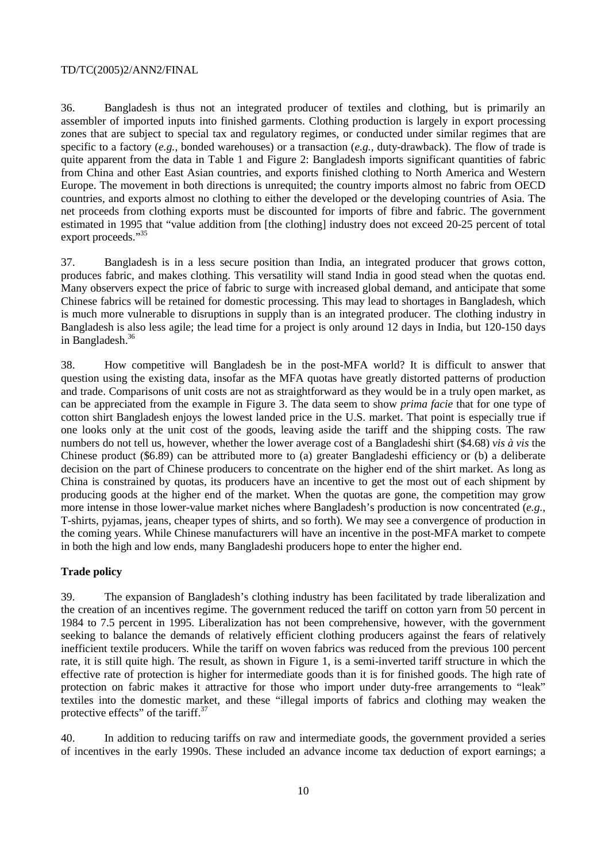36. Bangladesh is thus not an integrated producer of textiles and clothing, but is primarily an assembler of imported inputs into finished garments. Clothing production is largely in export processing zones that are subject to special tax and regulatory regimes, or conducted under similar regimes that are specific to a factory (*e.g.*, bonded warehouses) or a transaction (*e.g.*, duty-drawback). The flow of trade is quite apparent from the data in Table 1 and Figure 2: Bangladesh imports significant quantities of fabric from China and other East Asian countries, and exports finished clothing to North America and Western Europe. The movement in both directions is unrequited; the country imports almost no fabric from OECD countries, and exports almost no clothing to either the developed or the developing countries of Asia. The net proceeds from clothing exports must be discounted for imports of fibre and fabric. The government estimated in 1995 that "value addition from [the clothing] industry does not exceed 20-25 percent of total export proceeds."<sup>35</sup>

37. Bangladesh is in a less secure position than India, an integrated producer that grows cotton, produces fabric, and makes clothing. This versatility will stand India in good stead when the quotas end. Many observers expect the price of fabric to surge with increased global demand, and anticipate that some Chinese fabrics will be retained for domestic processing. This may lead to shortages in Bangladesh, which is much more vulnerable to disruptions in supply than is an integrated producer. The clothing industry in Bangladesh is also less agile; the lead time for a project is only around 12 days in India, but 120-150 days in Bangladesh.<sup>36</sup>

38. How competitive will Bangladesh be in the post-MFA world? It is difficult to answer that question using the existing data, insofar as the MFA quotas have greatly distorted patterns of production and trade. Comparisons of unit costs are not as straightforward as they would be in a truly open market, as can be appreciated from the example in Figure 3. The data seem to show *prima facie* that for one type of cotton shirt Bangladesh enjoys the lowest landed price in the U.S. market. That point is especially true if one looks only at the unit cost of the goods, leaving aside the tariff and the shipping costs. The raw numbers do not tell us, however, whether the lower average cost of a Bangladeshi shirt (\$4.68) *vis à vis* the Chinese product (\$6.89) can be attributed more to (a) greater Bangladeshi efficiency or (b) a deliberate decision on the part of Chinese producers to concentrate on the higher end of the shirt market. As long as China is constrained by quotas, its producers have an incentive to get the most out of each shipment by producing goods at the higher end of the market. When the quotas are gone, the competition may grow more intense in those lower-value market niches where Bangladesh's production is now concentrated (*e.g.*, T-shirts, pyjamas, jeans, cheaper types of shirts, and so forth). We may see a convergence of production in the coming years. While Chinese manufacturers will have an incentive in the post-MFA market to compete in both the high and low ends, many Bangladeshi producers hope to enter the higher end.

# **Trade policy**

39. The expansion of Bangladesh's clothing industry has been facilitated by trade liberalization and the creation of an incentives regime. The government reduced the tariff on cotton yarn from 50 percent in 1984 to 7.5 percent in 1995. Liberalization has not been comprehensive, however, with the government seeking to balance the demands of relatively efficient clothing producers against the fears of relatively inefficient textile producers. While the tariff on woven fabrics was reduced from the previous 100 percent rate, it is still quite high. The result, as shown in Figure 1, is a semi-inverted tariff structure in which the effective rate of protection is higher for intermediate goods than it is for finished goods. The high rate of protection on fabric makes it attractive for those who import under duty-free arrangements to "leak" textiles into the domestic market, and these "illegal imports of fabrics and clothing may weaken the protective effects" of the tariff.<sup>37</sup>

40. In addition to reducing tariffs on raw and intermediate goods, the government provided a series of incentives in the early 1990s. These included an advance income tax deduction of export earnings; a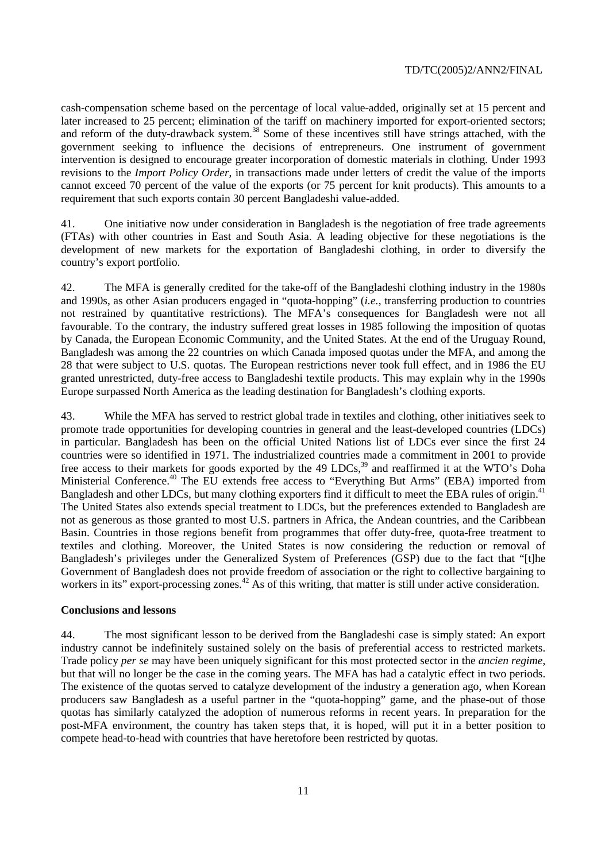cash-compensation scheme based on the percentage of local value-added, originally set at 15 percent and later increased to 25 percent; elimination of the tariff on machinery imported for export-oriented sectors; and reform of the duty-drawback system.<sup>38</sup> Some of these incentives still have strings attached, with the government seeking to influence the decisions of entrepreneurs. One instrument of government intervention is designed to encourage greater incorporation of domestic materials in clothing. Under 1993 revisions to the *Import Policy Order*, in transactions made under letters of credit the value of the imports cannot exceed 70 percent of the value of the exports (or 75 percent for knit products). This amounts to a requirement that such exports contain 30 percent Bangladeshi value-added.

41. One initiative now under consideration in Bangladesh is the negotiation of free trade agreements (FTAs) with other countries in East and South Asia. A leading objective for these negotiations is the development of new markets for the exportation of Bangladeshi clothing, in order to diversify the country's export portfolio.

42. The MFA is generally credited for the take-off of the Bangladeshi clothing industry in the 1980s and 1990s, as other Asian producers engaged in "quota-hopping" (*i.e.*, transferring production to countries not restrained by quantitative restrictions). The MFA's consequences for Bangladesh were not all favourable. To the contrary, the industry suffered great losses in 1985 following the imposition of quotas by Canada, the European Economic Community, and the United States. At the end of the Uruguay Round, Bangladesh was among the 22 countries on which Canada imposed quotas under the MFA, and among the 28 that were subject to U.S. quotas. The European restrictions never took full effect, and in 1986 the EU granted unrestricted, duty-free access to Bangladeshi textile products. This may explain why in the 1990s Europe surpassed North America as the leading destination for Bangladesh's clothing exports.

43. While the MFA has served to restrict global trade in textiles and clothing, other initiatives seek to promote trade opportunities for developing countries in general and the least-developed countries (LDCs) in particular. Bangladesh has been on the official United Nations list of LDCs ever since the first 24 countries were so identified in 1971. The industrialized countries made a commitment in 2001 to provide free access to their markets for goods exported by the 49 LDCs,<sup>39</sup> and reaffirmed it at the WTO's Doha Ministerial Conference.<sup>40</sup> The EU extends free access to "Everything But Arms" (EBA) imported from Bangladesh and other LDCs, but many clothing exporters find it difficult to meet the EBA rules of origin.<sup>41</sup> The United States also extends special treatment to LDCs, but the preferences extended to Bangladesh are not as generous as those granted to most U.S. partners in Africa, the Andean countries, and the Caribbean Basin. Countries in those regions benefit from programmes that offer duty-free, quota-free treatment to textiles and clothing. Moreover, the United States is now considering the reduction or removal of Bangladesh's privileges under the Generalized System of Preferences (GSP) due to the fact that "[t]he Government of Bangladesh does not provide freedom of association or the right to collective bargaining to workers in its" export-processing zones.<sup>42</sup> As of this writing, that matter is still under active consideration.

#### **Conclusions and lessons**

44. The most significant lesson to be derived from the Bangladeshi case is simply stated: An export industry cannot be indefinitely sustained solely on the basis of preferential access to restricted markets. Trade policy *per se* may have been uniquely significant for this most protected sector in the *ancien regime*, but that will no longer be the case in the coming years. The MFA has had a catalytic effect in two periods. The existence of the quotas served to catalyze development of the industry a generation ago, when Korean producers saw Bangladesh as a useful partner in the "quota-hopping" game, and the phase-out of those quotas has similarly catalyzed the adoption of numerous reforms in recent years. In preparation for the post-MFA environment, the country has taken steps that, it is hoped, will put it in a better position to compete head-to-head with countries that have heretofore been restricted by quotas.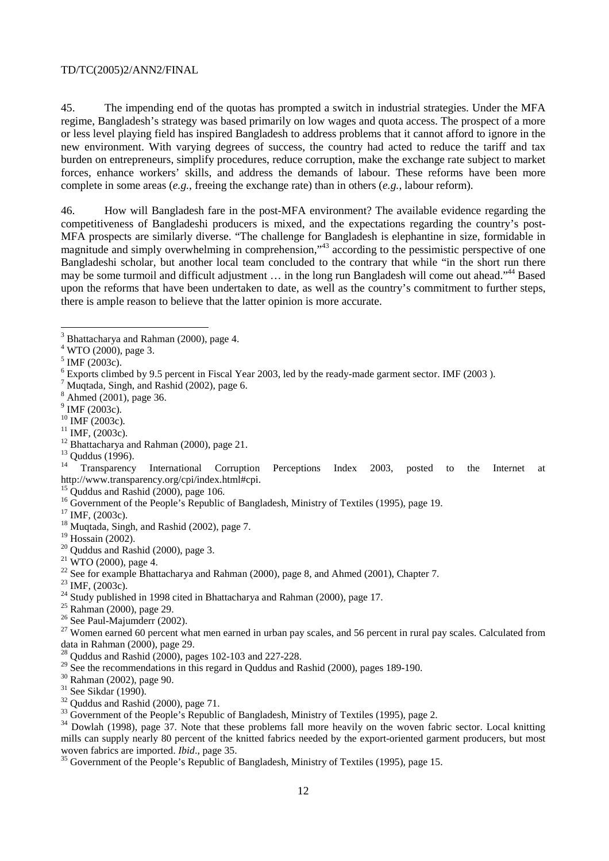45. The impending end of the quotas has prompted a switch in industrial strategies. Under the MFA regime, Bangladesh's strategy was based primarily on low wages and quota access. The prospect of a more or less level playing field has inspired Bangladesh to address problems that it cannot afford to ignore in the new environment. With varying degrees of success, the country had acted to reduce the tariff and tax burden on entrepreneurs, simplify procedures, reduce corruption, make the exchange rate subject to market forces, enhance workers' skills, and address the demands of labour. These reforms have been more complete in some areas (*e.g.*, freeing the exchange rate) than in others (*e.g.*, labour reform).

46. How will Bangladesh fare in the post-MFA environment? The available evidence regarding the competitiveness of Bangladeshi producers is mixed, and the expectations regarding the country's post-MFA prospects are similarly diverse. "The challenge for Bangladesh is elephantine in size, formidable in magnitude and simply overwhelming in comprehension,"43 according to the pessimistic perspective of one Bangladeshi scholar, but another local team concluded to the contrary that while "in the short run there may be some turmoil and difficult adjustment … in the long run Bangladesh will come out ahead."44 Based upon the reforms that have been undertaken to date, as well as the country's commitment to further steps, there is ample reason to believe that the latter opinion is more accurate.

- $^7$  Muqtada, Singh, and Rashid (2002), page 6.
- 8 Ahmed (2001), page 36.
- $9$  IMF (2003c).
- 
- 
- <sup>10</sup> IMF (2003c).<br><sup>11</sup> IMF, (2003c).<br><sup>12</sup> Bhattacharya and Rahman (2000), page 21.
- $\frac{13}{14}$  Quddus (1996).

14 Transparency International Corruption Perceptions Index 2003, posted to the Internet at http://www.transparency.org/cpi/index.html#cpi.

 $15$  Quddus and Rashid (2000), page 106.

- <sup>16</sup> Government of the People's Republic of Bangladesh, Ministry of Textiles (1995), page 19.<br><sup>17</sup> IMF. (2003c).
- 
- <sup>18</sup> Muqtada, Singh, and Rashid (2002), page 7.<br><sup>19</sup> Hossain (2002).
- 
- $20$  Ouddus and Rashid (2000), page 3.
- $21$  WTO (2000), page 4.
- <sup>22</sup> See for example Bhattacharya and Rahman (2000), page 8, and Ahmed (2001), Chapter 7.<br><sup>23</sup> IMF. (2003c).
- 
- <sup>24</sup> Study published in 1998 cited in Bhattacharya and Rahman (2000), page 17.
- 25 Rahman (2000), page 29.
- 26 See Paul-Majumderr (2002).

 $^{27}$  Women earned 60 percent what men earned in urban pay scales, and 56 percent in rural pay scales. Calculated from data in Rahman (2000), page 29.

28 Quddus and Rashid (2000), pages 102-103 and 227-228.

- <sup>29</sup> See the recommendations in this regard in Quddus and Rashid (2000), pages 189-190.
- 30 Rahman (2002), page 90.
- 31 See Sikdar (1990).
- $32$  Ouddus and Rashid (2000), page 71.

 $34$  Dowlah (1998), page 37. Note that these problems fall more heavily on the woven fabric sector. Local knitting mills can supply nearly 80 percent of the knitted fabrics needed by the export-oriented garment producers, but most woven fabrics are imported. *Ibid.*, page 35.<br><sup>35</sup> Government of the People's Republic of Bangladesh, Ministry of Textiles (1995), page 15.

<sup>&</sup>lt;sup>3</sup> Bhattacharya and Rahman (2000), page 4.

<sup>&</sup>lt;sup>4</sup> WTO (2000), page 3.

<sup>5</sup> IMF (2003c).

<sup>&</sup>lt;sup>6</sup> Exports climbed by 9.5 percent in Fiscal Year 2003, led by the ready-made garment sector. IMF (2003).<br><sup>7</sup> Mustade, Singh and Bashid (2002), naga 6.

<sup>&</sup>lt;sup>33</sup> Government of the People's Republic of Bangladesh, Ministry of Textiles (1995), page 2.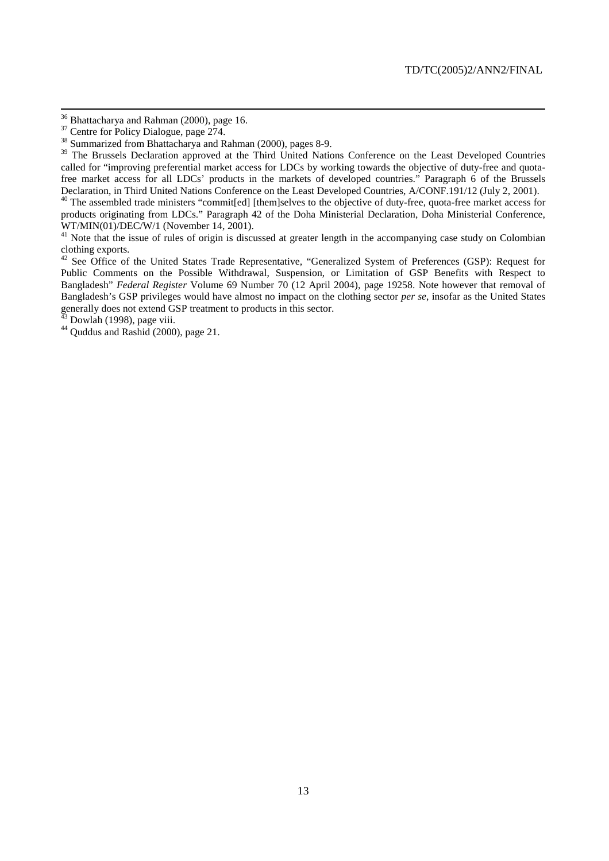<sup>&</sup>lt;sup>36</sup> Bhattacharya and Rahman (2000), page 16.

 $37$  Centre for Policy Dialogue, page 274.

<sup>&</sup>lt;sup>38</sup> Summarized from Bhattacharya and Rahman (2000), pages 8-9.

<sup>&</sup>lt;sup>39</sup> The Brussels Declaration approved at the Third United Nations Conference on the Least Developed Countries called for "improving preferential market access for LDCs by working towards the objective of duty-free and quotafree market access for all LDCs' products in the markets of developed countries." Paragraph 6 of the Brussels Declaration, in Third United Nations Conference on the Least Developed Countries, A/CONF.191/12 (July 2, 2001).

<sup>&</sup>lt;sup>40</sup> The assembled trade ministers "commit[ed] [them]selves to the objective of duty-free, quota-free market access for products originating from LDCs." Paragraph 42 of the Doha Ministerial Declaration, Doha Ministerial Conference, WT/MIN(01)/DEC/W/1 (November 14, 2001).

<sup>&</sup>lt;sup>41</sup> Note that the issue of rules of origin is discussed at greater length in the accompanying case study on Colombian clothing exports.

<sup>&</sup>lt;sup>42</sup> See Office of the United States Trade Representative, "Generalized System of Preferences (GSP): Request for Public Comments on the Possible Withdrawal, Suspension, or Limitation of GSP Benefits with Respect to Bangladesh" *Federal Register* Volume 69 Number 70 (12 April 2004), page 19258. Note however that removal of Bangladesh's GSP privileges would have almost no impact on the clothing sector *per se*, insofar as the United States generally does not extend GSP treatment to products in this sector.

Dowlah (1998), page viii.

 $44$  Quddus and Rashid (2000), page 21.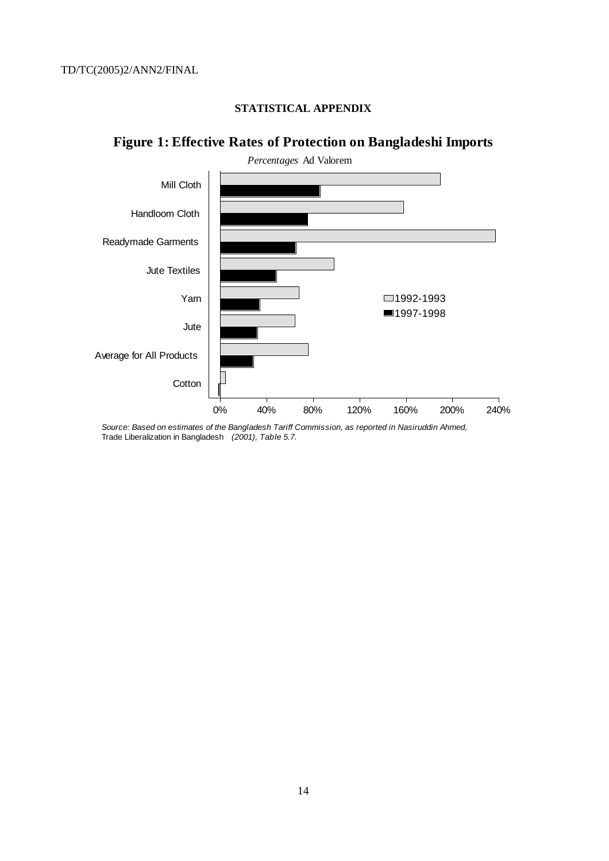# **STATISTICAL APPENDIX**



# **Figure 1: Effective Rates of Protection on Bangladeshi Imports**

Source: Based on estimates of the Bangladesh Tariff Commission, as reported in Nasiruddin Ahmed, Trade Liberalization in Bangladesh (2001), Table 5.7.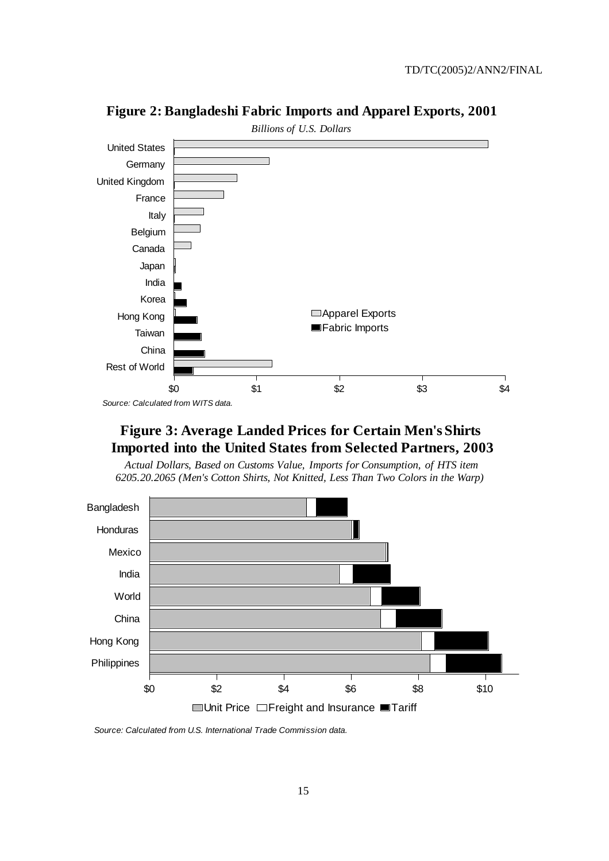

**Figure 2: Bangladeshi Fabric Imports and Apparel Exports, 2001** 

Source: Calculated from WITS data.

# **Figure 3: Average Landed Prices for Certain Men's Shirts Imported into the United States from Selected Partners, 2003**

*Actual Dollars, Based on Customs Value, Imports for Consumption, of HTS item 6205.20.2065 (Men's Cotton Shirts, Not Knitted, Less Than Two Colors in the Warp)*



Source: Calculated from U.S. International Trade Commission data.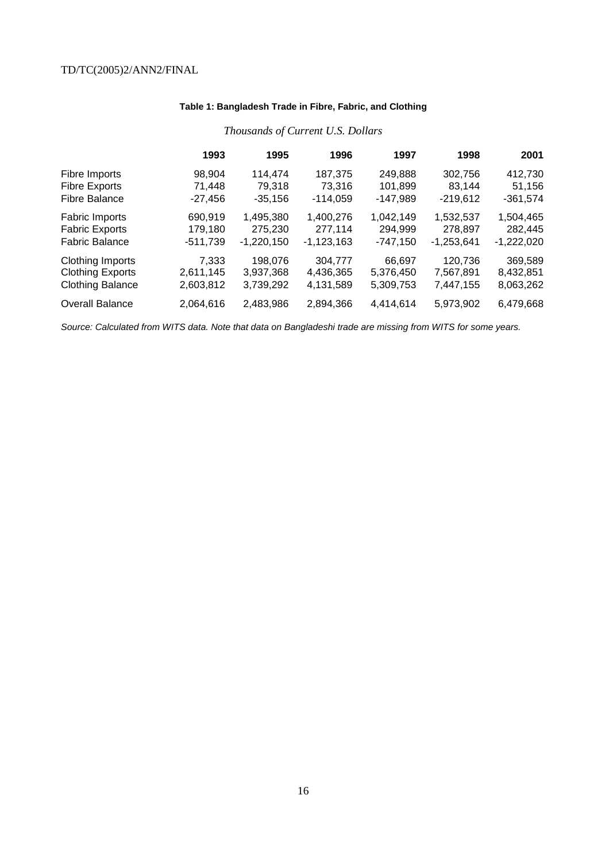# **Table 1: Bangladesh Trade in Fibre, Fabric, and Clothing**

|                         | 1993       | 1995         | 1996         | 1997       | 1998         | 2001         |
|-------------------------|------------|--------------|--------------|------------|--------------|--------------|
| Fibre Imports           | 98,904     | 114,474      | 187,375      | 249,888    | 302,756      | 412,730      |
| <b>Fibre Exports</b>    | 71,448     | 79,318       | 73,316       | 101,899    | 83,144       | 51,156       |
| <b>Fibre Balance</b>    | -27,456    | $-35,156$    | $-114,059$   | $-147,989$ | $-219,612$   | $-361,574$   |
| Fabric Imports          | 690,919    | 1,495,380    | 1,400,276    | 1,042,149  | 1,532,537    | 1,504,465    |
| <b>Fabric Exports</b>   | 179,180    | 275,230      | 277,114      | 294,999    | 278,897      | 282,445      |
| <b>Fabric Balance</b>   | $-511,739$ | $-1,220,150$ | $-1,123,163$ | $-747,150$ | $-1,253,641$ | $-1,222,020$ |
| Clothing Imports        | 7,333      | 198,076      | 304.777      | 66,697     | 120,736      | 369,589      |
| <b>Clothing Exports</b> | 2,611,145  | 3,937,368    | 4,436,365    | 5,376,450  | 7,567,891    | 8,432,851    |
| <b>Clothing Balance</b> | 2,603,812  | 3,739,292    | 4.131.589    | 5,309,753  | 7,447,155    | 8,063,262    |
| <b>Overall Balance</b>  | 2,064,616  | 2,483,986    | 2,894,366    | 4,414,614  | 5,973,902    | 6,479,668    |

# *Thousands of Current U.S. Dollars*

Source: Calculated from WITS data. Note that data on Bangladeshi trade are missing from WITS for some years.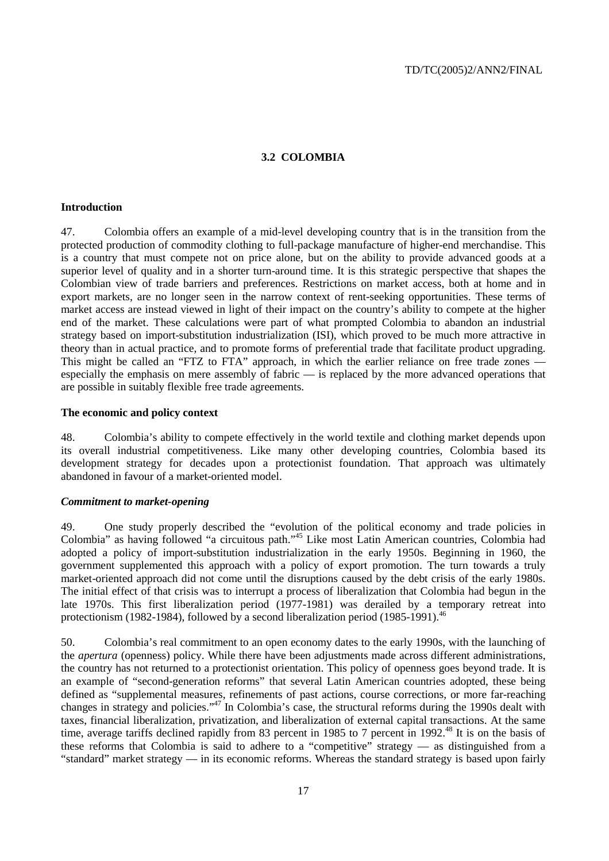#### **3.2 COLOMBIA**

#### **Introduction**

47. Colombia offers an example of a mid-level developing country that is in the transition from the protected production of commodity clothing to full-package manufacture of higher-end merchandise. This is a country that must compete not on price alone, but on the ability to provide advanced goods at a superior level of quality and in a shorter turn-around time. It is this strategic perspective that shapes the Colombian view of trade barriers and preferences. Restrictions on market access, both at home and in export markets, are no longer seen in the narrow context of rent-seeking opportunities. These terms of market access are instead viewed in light of their impact on the country's ability to compete at the higher end of the market. These calculations were part of what prompted Colombia to abandon an industrial strategy based on import-substitution industrialization (ISI), which proved to be much more attractive in theory than in actual practice, and to promote forms of preferential trade that facilitate product upgrading. This might be called an "FTZ to FTA" approach, in which the earlier reliance on free trade zones especially the emphasis on mere assembly of fabric — is replaced by the more advanced operations that are possible in suitably flexible free trade agreements.

#### **The economic and policy context**

48. Colombia's ability to compete effectively in the world textile and clothing market depends upon its overall industrial competitiveness. Like many other developing countries, Colombia based its development strategy for decades upon a protectionist foundation. That approach was ultimately abandoned in favour of a market-oriented model.

#### *Commitment to market-opening*

49. One study properly described the "evolution of the political economy and trade policies in Colombia" as having followed "a circuitous path."45 Like most Latin American countries, Colombia had adopted a policy of import-substitution industrialization in the early 1950s. Beginning in 1960, the government supplemented this approach with a policy of export promotion. The turn towards a truly market-oriented approach did not come until the disruptions caused by the debt crisis of the early 1980s. The initial effect of that crisis was to interrupt a process of liberalization that Colombia had begun in the late 1970s. This first liberalization period (1977-1981) was derailed by a temporary retreat into protectionism (1982-1984), followed by a second liberalization period (1985-1991).<sup>46</sup>

50. Colombia's real commitment to an open economy dates to the early 1990s, with the launching of the *apertura* (openness) policy. While there have been adjustments made across different administrations, the country has not returned to a protectionist orientation. This policy of openness goes beyond trade. It is an example of "second-generation reforms" that several Latin American countries adopted, these being defined as "supplemental measures, refinements of past actions, course corrections, or more far-reaching changes in strategy and policies."47 In Colombia's case, the structural reforms during the 1990s dealt with taxes, financial liberalization, privatization, and liberalization of external capital transactions. At the same time, average tariffs declined rapidly from 83 percent in 1985 to 7 percent in 1992.<sup>48</sup> It is on the basis of these reforms that Colombia is said to adhere to a "competitive" strategy — as distinguished from a "standard" market strategy — in its economic reforms. Whereas the standard strategy is based upon fairly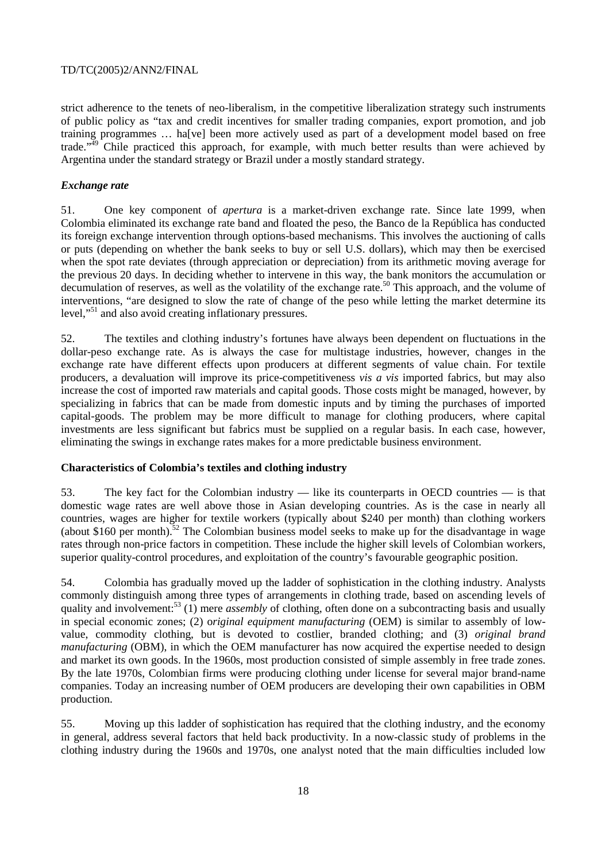strict adherence to the tenets of neo-liberalism, in the competitive liberalization strategy such instruments of public policy as "tax and credit incentives for smaller trading companies, export promotion, and job training programmes … ha[ve] been more actively used as part of a development model based on free trade."<sup>49</sup> Chile practiced this approach, for example, with much better results than were achieved by Argentina under the standard strategy or Brazil under a mostly standard strategy.

# *Exchange rate*

51. One key component of *apertura* is a market-driven exchange rate. Since late 1999, when Colombia eliminated its exchange rate band and floated the peso, the Banco de la República has conducted its foreign exchange intervention through options-based mechanisms. This involves the auctioning of calls or puts (depending on whether the bank seeks to buy or sell U.S. dollars), which may then be exercised when the spot rate deviates (through appreciation or depreciation) from its arithmetic moving average for the previous 20 days. In deciding whether to intervene in this way, the bank monitors the accumulation or decumulation of reserves, as well as the volatility of the exchange rate.<sup>50</sup> This approach, and the volume of interventions, "are designed to slow the rate of change of the peso while letting the market determine its level,"<sup>51</sup> and also avoid creating inflationary pressures.

52. The textiles and clothing industry's fortunes have always been dependent on fluctuations in the dollar-peso exchange rate. As is always the case for multistage industries, however, changes in the exchange rate have different effects upon producers at different segments of value chain. For textile producers, a devaluation will improve its price-competitiveness *vis a vis* imported fabrics, but may also increase the cost of imported raw materials and capital goods. Those costs might be managed, however, by specializing in fabrics that can be made from domestic inputs and by timing the purchases of imported capital-goods. The problem may be more difficult to manage for clothing producers, where capital investments are less significant but fabrics must be supplied on a regular basis. In each case, however, eliminating the swings in exchange rates makes for a more predictable business environment.

# **Characteristics of Colombia's textiles and clothing industry**

53. The key fact for the Colombian industry — like its counterparts in OECD countries — is that domestic wage rates are well above those in Asian developing countries. As is the case in nearly all countries, wages are higher for textile workers (typically about \$240 per month) than clothing workers (about \$160 per month).<sup>52</sup> The Colombian business model seeks to make up for the disadvantage in wage rates through non-price factors in competition. These include the higher skill levels of Colombian workers, superior quality-control procedures, and exploitation of the country's favourable geographic position.

54. Colombia has gradually moved up the ladder of sophistication in the clothing industry. Analysts commonly distinguish among three types of arrangements in clothing trade, based on ascending levels of quality and involvement:<sup>53</sup> (1) mere *assembly* of clothing, often done on a subcontracting basis and usually in special economic zones; (2) o*riginal equipment manufacturing* (OEM) is similar to assembly of lowvalue, commodity clothing, but is devoted to costlier, branded clothing; and (3) *original brand manufacturing* (OBM), in which the OEM manufacturer has now acquired the expertise needed to design and market its own goods. In the 1960s, most production consisted of simple assembly in free trade zones. By the late 1970s, Colombian firms were producing clothing under license for several major brand-name companies. Today an increasing number of OEM producers are developing their own capabilities in OBM production.

55. Moving up this ladder of sophistication has required that the clothing industry, and the economy in general, address several factors that held back productivity. In a now-classic study of problems in the clothing industry during the 1960s and 1970s, one analyst noted that the main difficulties included low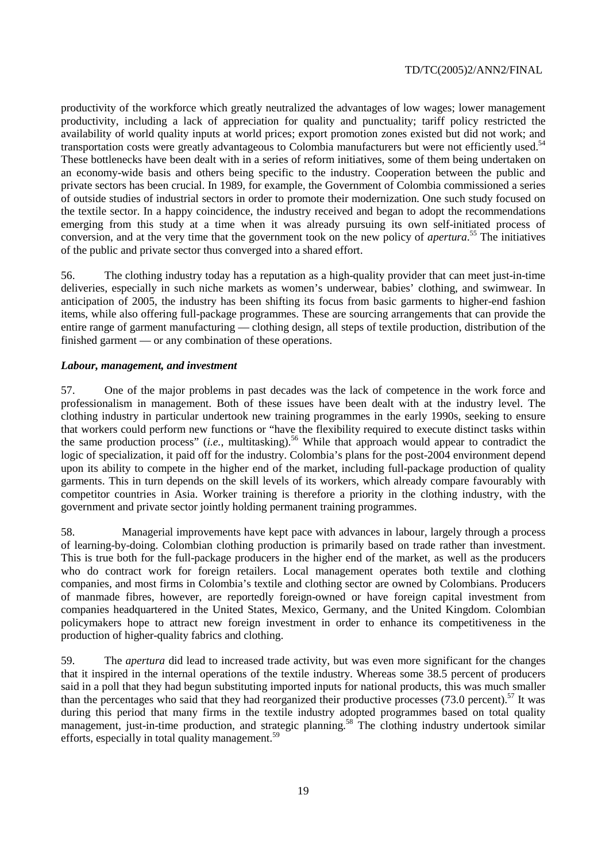productivity of the workforce which greatly neutralized the advantages of low wages; lower management productivity, including a lack of appreciation for quality and punctuality; tariff policy restricted the availability of world quality inputs at world prices; export promotion zones existed but did not work; and transportation costs were greatly advantageous to Colombia manufacturers but were not efficiently used.<sup>54</sup> These bottlenecks have been dealt with in a series of reform initiatives, some of them being undertaken on an economy-wide basis and others being specific to the industry. Cooperation between the public and private sectors has been crucial. In 1989, for example, the Government of Colombia commissioned a series of outside studies of industrial sectors in order to promote their modernization. One such study focused on the textile sector. In a happy coincidence, the industry received and began to adopt the recommendations emerging from this study at a time when it was already pursuing its own self-initiated process of conversion, and at the very time that the government took on the new policy of *apertura*. 55 The initiatives of the public and private sector thus converged into a shared effort.

56. The clothing industry today has a reputation as a high-quality provider that can meet just-in-time deliveries, especially in such niche markets as women's underwear, babies' clothing, and swimwear. In anticipation of 2005, the industry has been shifting its focus from basic garments to higher-end fashion items, while also offering full-package programmes. These are sourcing arrangements that can provide the entire range of garment manufacturing — clothing design, all steps of textile production, distribution of the finished garment — or any combination of these operations.

#### *Labour, management, and investment*

57. One of the major problems in past decades was the lack of competence in the work force and professionalism in management. Both of these issues have been dealt with at the industry level. The clothing industry in particular undertook new training programmes in the early 1990s, seeking to ensure that workers could perform new functions or "have the flexibility required to execute distinct tasks within the same production process" (*i.e.*, multitasking).56 While that approach would appear to contradict the logic of specialization, it paid off for the industry. Colombia's plans for the post-2004 environment depend upon its ability to compete in the higher end of the market, including full-package production of quality garments. This in turn depends on the skill levels of its workers, which already compare favourably with competitor countries in Asia. Worker training is therefore a priority in the clothing industry, with the government and private sector jointly holding permanent training programmes.

58. Managerial improvements have kept pace with advances in labour, largely through a process of learning-by-doing. Colombian clothing production is primarily based on trade rather than investment. This is true both for the full-package producers in the higher end of the market, as well as the producers who do contract work for foreign retailers. Local management operates both textile and clothing companies, and most firms in Colombia's textile and clothing sector are owned by Colombians. Producers of manmade fibres, however, are reportedly foreign-owned or have foreign capital investment from companies headquartered in the United States, Mexico, Germany, and the United Kingdom. Colombian policymakers hope to attract new foreign investment in order to enhance its competitiveness in the production of higher-quality fabrics and clothing.

59. The *apertura* did lead to increased trade activity, but was even more significant for the changes that it inspired in the internal operations of the textile industry. Whereas some 38.5 percent of producers said in a poll that they had begun substituting imported inputs for national products, this was much smaller than the percentages who said that they had reorganized their productive processes (73.0 percent).<sup>57</sup> It was during this period that many firms in the textile industry adopted programmes based on total quality management, just-in-time production, and strategic planning.<sup>58</sup> The clothing industry undertook similar efforts, especially in total quality management.<sup>59</sup>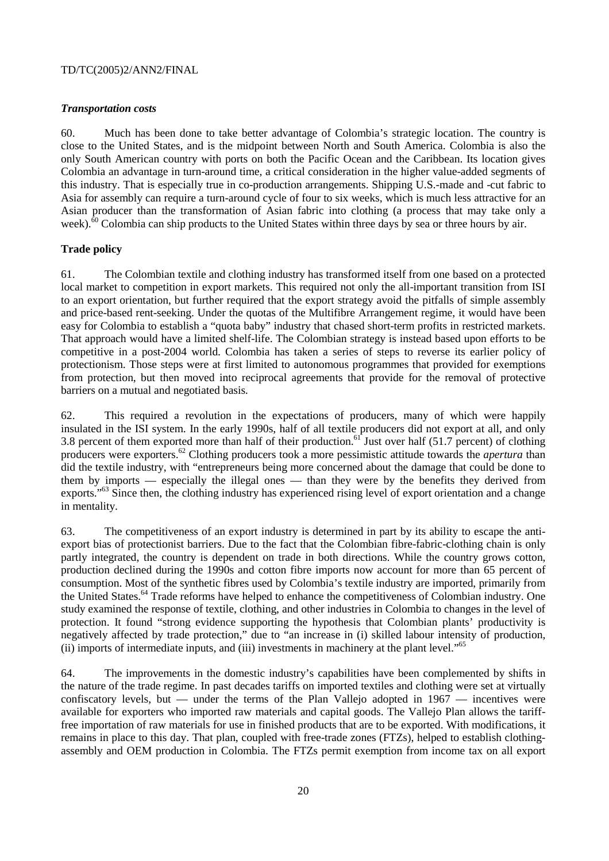# *Transportation costs*

60. Much has been done to take better advantage of Colombia's strategic location. The country is close to the United States, and is the midpoint between North and South America. Colombia is also the only South American country with ports on both the Pacific Ocean and the Caribbean. Its location gives Colombia an advantage in turn-around time, a critical consideration in the higher value-added segments of this industry. That is especially true in co-production arrangements. Shipping U.S.-made and -cut fabric to Asia for assembly can require a turn-around cycle of four to six weeks, which is much less attractive for an Asian producer than the transformation of Asian fabric into clothing (a process that may take only a week).<sup>60</sup> Colombia can ship products to the United States within three days by sea or three hours by air.

# **Trade policy**

61. The Colombian textile and clothing industry has transformed itself from one based on a protected local market to competition in export markets. This required not only the all-important transition from ISI to an export orientation, but further required that the export strategy avoid the pitfalls of simple assembly and price-based rent-seeking. Under the quotas of the Multifibre Arrangement regime, it would have been easy for Colombia to establish a "quota baby" industry that chased short-term profits in restricted markets. That approach would have a limited shelf-life. The Colombian strategy is instead based upon efforts to be competitive in a post-2004 world. Colombia has taken a series of steps to reverse its earlier policy of protectionism. Those steps were at first limited to autonomous programmes that provided for exemptions from protection, but then moved into reciprocal agreements that provide for the removal of protective barriers on a mutual and negotiated basis.

62. This required a revolution in the expectations of producers, many of which were happily insulated in the ISI system. In the early 1990s, half of all textile producers did not export at all, and only 3.8 percent of them exported more than half of their production.<sup>61</sup> Just over half (51.7 percent) of clothing producers were exporters.62 Clothing producers took a more pessimistic attitude towards the *apertura* than did the textile industry, with "entrepreneurs being more concerned about the damage that could be done to them by imports — especially the illegal ones — than they were by the benefits they derived from exports.<sup>"63</sup> Since then, the clothing industry has experienced rising level of export orientation and a change in mentality.

63. The competitiveness of an export industry is determined in part by its ability to escape the antiexport bias of protectionist barriers. Due to the fact that the Colombian fibre-fabric-clothing chain is only partly integrated, the country is dependent on trade in both directions. While the country grows cotton, production declined during the 1990s and cotton fibre imports now account for more than 65 percent of consumption. Most of the synthetic fibres used by Colombia's textile industry are imported, primarily from the United States.<sup>64</sup> Trade reforms have helped to enhance the competitiveness of Colombian industry. One study examined the response of textile, clothing, and other industries in Colombia to changes in the level of protection. It found "strong evidence supporting the hypothesis that Colombian plants' productivity is negatively affected by trade protection," due to "an increase in (i) skilled labour intensity of production, (ii) imports of intermediate inputs, and (iii) investments in machinery at the plant level."<sup>65</sup>

64. The improvements in the domestic industry's capabilities have been complemented by shifts in the nature of the trade regime. In past decades tariffs on imported textiles and clothing were set at virtually confiscatory levels, but — under the terms of the Plan Vallejo adopted in  $1967$  — incentives were available for exporters who imported raw materials and capital goods. The Vallejo Plan allows the tarifffree importation of raw materials for use in finished products that are to be exported. With modifications, it remains in place to this day. That plan, coupled with free-trade zones (FTZs), helped to establish clothingassembly and OEM production in Colombia. The FTZs permit exemption from income tax on all export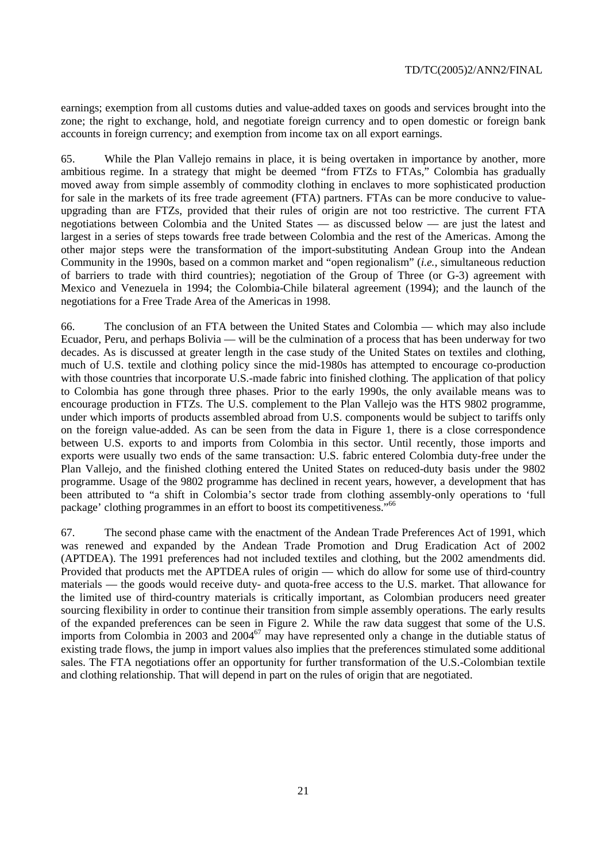earnings; exemption from all customs duties and value-added taxes on goods and services brought into the zone; the right to exchange, hold, and negotiate foreign currency and to open domestic or foreign bank accounts in foreign currency; and exemption from income tax on all export earnings.

65. While the Plan Vallejo remains in place, it is being overtaken in importance by another, more ambitious regime. In a strategy that might be deemed "from FTZs to FTAs," Colombia has gradually moved away from simple assembly of commodity clothing in enclaves to more sophisticated production for sale in the markets of its free trade agreement (FTA) partners. FTAs can be more conducive to valueupgrading than are FTZs, provided that their rules of origin are not too restrictive. The current FTA negotiations between Colombia and the United States — as discussed below — are just the latest and largest in a series of steps towards free trade between Colombia and the rest of the Americas. Among the other major steps were the transformation of the import-substituting Andean Group into the Andean Community in the 1990s, based on a common market and "open regionalism" (*i.e.*, simultaneous reduction of barriers to trade with third countries); negotiation of the Group of Three (or G-3) agreement with Mexico and Venezuela in 1994; the Colombia-Chile bilateral agreement (1994); and the launch of the negotiations for a Free Trade Area of the Americas in 1998.

66. The conclusion of an FTA between the United States and Colombia — which may also include Ecuador, Peru, and perhaps Bolivia — will be the culmination of a process that has been underway for two decades. As is discussed at greater length in the case study of the United States on textiles and clothing, much of U.S. textile and clothing policy since the mid-1980s has attempted to encourage co-production with those countries that incorporate U.S.-made fabric into finished clothing. The application of that policy to Colombia has gone through three phases. Prior to the early 1990s, the only available means was to encourage production in FTZs. The U.S. complement to the Plan Vallejo was the HTS 9802 programme, under which imports of products assembled abroad from U.S. components would be subject to tariffs only on the foreign value-added. As can be seen from the data in Figure 1, there is a close correspondence between U.S. exports to and imports from Colombia in this sector. Until recently, those imports and exports were usually two ends of the same transaction: U.S. fabric entered Colombia duty-free under the Plan Vallejo, and the finished clothing entered the United States on reduced-duty basis under the 9802 programme. Usage of the 9802 programme has declined in recent years, however, a development that has been attributed to "a shift in Colombia's sector trade from clothing assembly-only operations to 'full package' clothing programmes in an effort to boost its competitiveness."66

67. The second phase came with the enactment of the Andean Trade Preferences Act of 1991, which was renewed and expanded by the Andean Trade Promotion and Drug Eradication Act of 2002 (APTDEA). The 1991 preferences had not included textiles and clothing, but the 2002 amendments did. Provided that products met the APTDEA rules of origin — which do allow for some use of third-country materials — the goods would receive duty- and quota-free access to the U.S. market. That allowance for the limited use of third-country materials is critically important, as Colombian producers need greater sourcing flexibility in order to continue their transition from simple assembly operations. The early results of the expanded preferences can be seen in Figure 2. While the raw data suggest that some of the U.S. imports from Colombia in 2003 and 2004<sup>67</sup> may have represented only a change in the dutiable status of existing trade flows, the jump in import values also implies that the preferences stimulated some additional sales. The FTA negotiations offer an opportunity for further transformation of the U.S.-Colombian textile and clothing relationship. That will depend in part on the rules of origin that are negotiated.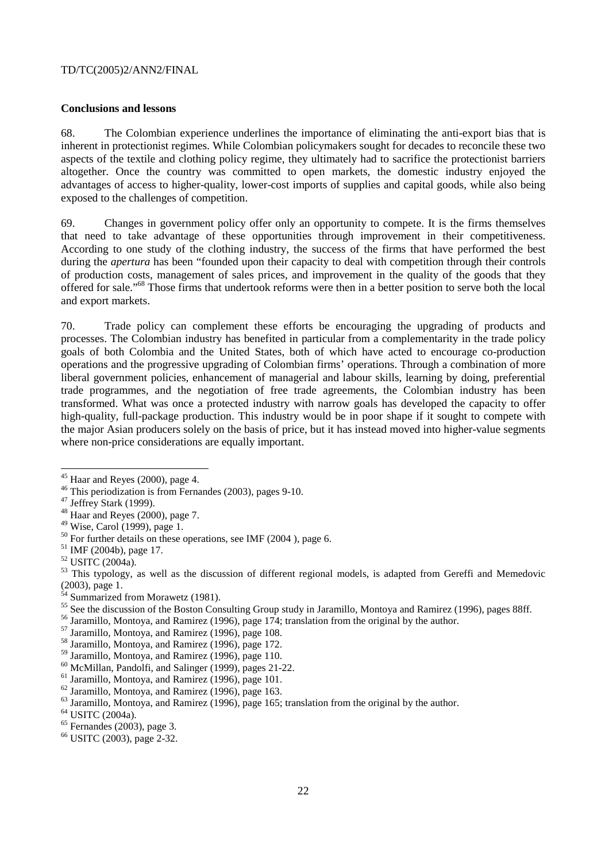#### **Conclusions and lessons**

68. The Colombian experience underlines the importance of eliminating the anti-export bias that is inherent in protectionist regimes. While Colombian policymakers sought for decades to reconcile these two aspects of the textile and clothing policy regime, they ultimately had to sacrifice the protectionist barriers altogether. Once the country was committed to open markets, the domestic industry enjoyed the advantages of access to higher-quality, lower-cost imports of supplies and capital goods, while also being exposed to the challenges of competition.

69. Changes in government policy offer only an opportunity to compete. It is the firms themselves that need to take advantage of these opportunities through improvement in their competitiveness. According to one study of the clothing industry, the success of the firms that have performed the best during the *apertura* has been "founded upon their capacity to deal with competition through their controls of production costs, management of sales prices, and improvement in the quality of the goods that they offered for sale."68 Those firms that undertook reforms were then in a better position to serve both the local and export markets.

70. Trade policy can complement these efforts be encouraging the upgrading of products and processes. The Colombian industry has benefited in particular from a complementarity in the trade policy goals of both Colombia and the United States, both of which have acted to encourage co-production operations and the progressive upgrading of Colombian firms' operations. Through a combination of more liberal government policies, enhancement of managerial and labour skills, learning by doing, preferential trade programmes, and the negotiation of free trade agreements, the Colombian industry has been transformed. What was once a protected industry with narrow goals has developed the capacity to offer high-quality, full-package production. This industry would be in poor shape if it sought to compete with the major Asian producers solely on the basis of price, but it has instead moved into higher-value segments where non-price considerations are equally important.

 $\overline{a}$ 

48 Haar and Reyes (2000), page 7.

 $45$  Haar and Reyes (2000), page 4.

<sup>46</sup> This periodization is from Fernandes (2003), pages 9-10.

 $47$  Jeffrey Stark (1999).

<sup>49</sup> Wise, Carol (1999), page 1.

 $50$  For further details on these operations, see IMF (2004), page 6.

<sup>51</sup> IMF (2004b), page 17.

<sup>52</sup> USITC (2004a).

<sup>&</sup>lt;sup>53</sup> This typology, as well as the discussion of different regional models, is adapted from Gereffi and Memedovic (2003), page 1.

<sup>&</sup>lt;sup>54</sup> Summarized from Morawetz (1981).

<sup>&</sup>lt;sup>55</sup> See the discussion of the Boston Consulting Group study in Jaramillo, Montoya and Ramirez (1996), pages 88ff.

<sup>&</sup>lt;sup>56</sup> Jaramillo, Montoya, and Ramirez (1996), page 174; translation from the original by the author.<br><sup>57</sup> Jaramillo, Montoya, and Ramirez (1996), page 108.

<sup>58</sup> Jaramillo, Montoya, and Ramirez (1996), page 172.

<sup>59</sup> Jaramillo, Montoya, and Ramirez (1996), page 110.

<sup>60</sup> McMillan, Pandolfi, and Salinger (1999), pages 21-22.

<sup>61</sup> Jaramillo, Montoya, and Ramirez (1996), page 101.

<sup>62</sup> Jaramillo, Montoya, and Ramirez (1996), page 163.

 $^{63}$  Jaramillo, Montoya, and Ramirez (1996), page 165; translation from the original by the author.  $^{64}$  USITC (2004a).

 $<sup>65</sup>$  Fernandes (2003), page 3.</sup>

<sup>66</sup> USITC (2003), page 2-32.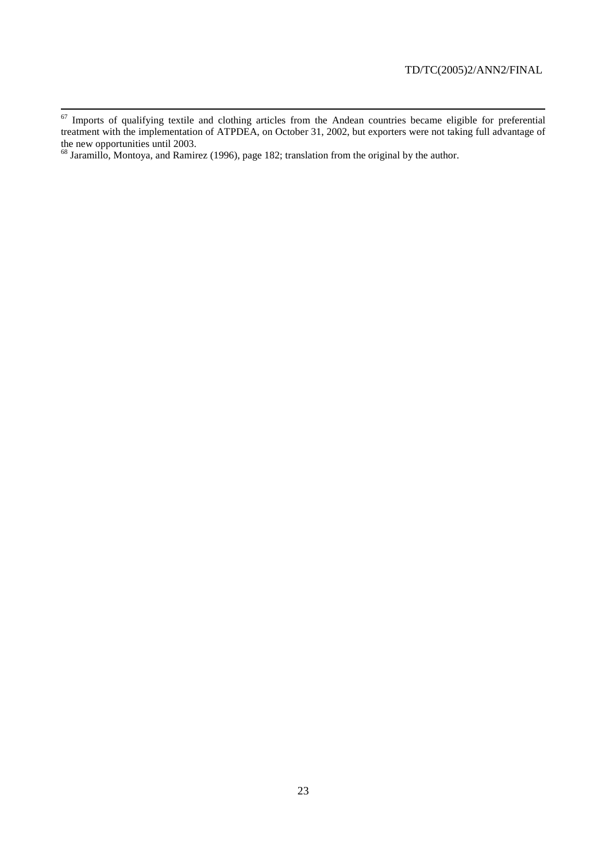<sup>&</sup>lt;sup>67</sup> Imports of qualifying textile and clothing articles from the Andean countries became eligible for preferential treatment with the implementation of ATPDEA, on October 31, 2002, but exporters were not taking full advantage of the new opportunities until 2003.

 $^{68}$  Jaramillo, Montoya, and Ramirez (1996), page 182; translation from the original by the author.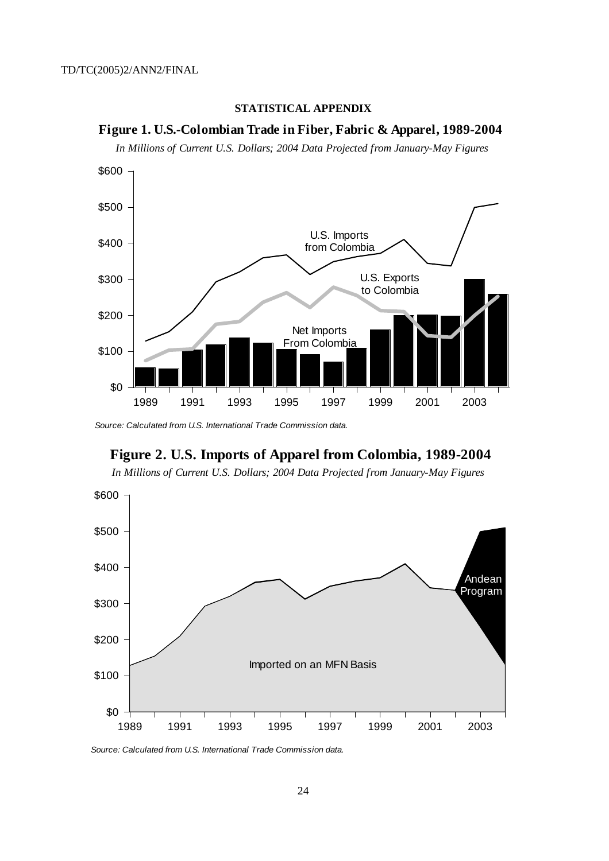



*In Millions of Current U.S. Dollars; 2004 Data Projected from January-May Figures*



Source: Calculated from U.S. International Trade Commission data.



*In Millions of Current U.S. Dollars; 2004 Data Projected from January-May Figures*



Source: Calculated from U.S. International Trade Commission data.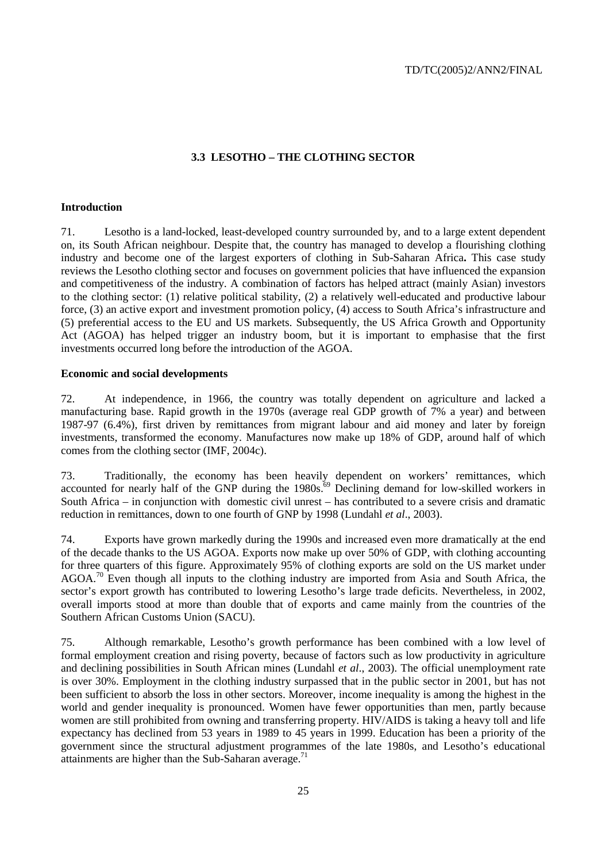# **3.3 LESOTHO – THE CLOTHING SECTOR**

#### **Introduction**

71. Lesotho is a land-locked, least-developed country surrounded by, and to a large extent dependent on, its South African neighbour. Despite that, the country has managed to develop a flourishing clothing industry and become one of the largest exporters of clothing in Sub-Saharan Africa**.** This case study reviews the Lesotho clothing sector and focuses on government policies that have influenced the expansion and competitiveness of the industry. A combination of factors has helped attract (mainly Asian) investors to the clothing sector: (1) relative political stability, (2) a relatively well-educated and productive labour force, (3) an active export and investment promotion policy, (4) access to South Africa's infrastructure and (5) preferential access to the EU and US markets. Subsequently, the US Africa Growth and Opportunity Act (AGOA) has helped trigger an industry boom, but it is important to emphasise that the first investments occurred long before the introduction of the AGOA.

#### **Economic and social developments**

72. At independence, in 1966, the country was totally dependent on agriculture and lacked a manufacturing base. Rapid growth in the 1970s (average real GDP growth of 7% a year) and between 1987-97 (6.4%), first driven by remittances from migrant labour and aid money and later by foreign investments, transformed the economy. Manufactures now make up 18% of GDP, around half of which comes from the clothing sector (IMF, 2004c).

73. Traditionally, the economy has been heavily dependent on workers' remittances, which accounted for nearly half of the GNP during the  $1980s$ .<sup>69</sup> Declining demand for low-skilled workers in South Africa – in conjunction with domestic civil unrest – has contributed to a severe crisis and dramatic reduction in remittances, down to one fourth of GNP by 1998 (Lundahl *et al*., 2003).

74. Exports have grown markedly during the 1990s and increased even more dramatically at the end of the decade thanks to the US AGOA. Exports now make up over 50% of GDP, with clothing accounting for three quarters of this figure. Approximately 95% of clothing exports are sold on the US market under AGOA.70 Even though all inputs to the clothing industry are imported from Asia and South Africa, the sector's export growth has contributed to lowering Lesotho's large trade deficits. Nevertheless, in 2002, overall imports stood at more than double that of exports and came mainly from the countries of the Southern African Customs Union (SACU).

75. Although remarkable, Lesotho's growth performance has been combined with a low level of formal employment creation and rising poverty, because of factors such as low productivity in agriculture and declining possibilities in South African mines (Lundahl *et al*., 2003). The official unemployment rate is over 30%. Employment in the clothing industry surpassed that in the public sector in 2001, but has not been sufficient to absorb the loss in other sectors. Moreover, income inequality is among the highest in the world and gender inequality is pronounced. Women have fewer opportunities than men, partly because women are still prohibited from owning and transferring property. HIV/AIDS is taking a heavy toll and life expectancy has declined from 53 years in 1989 to 45 years in 1999. Education has been a priority of the government since the structural adjustment programmes of the late 1980s, and Lesotho's educational attainments are higher than the Sub-Saharan average.<sup>71</sup>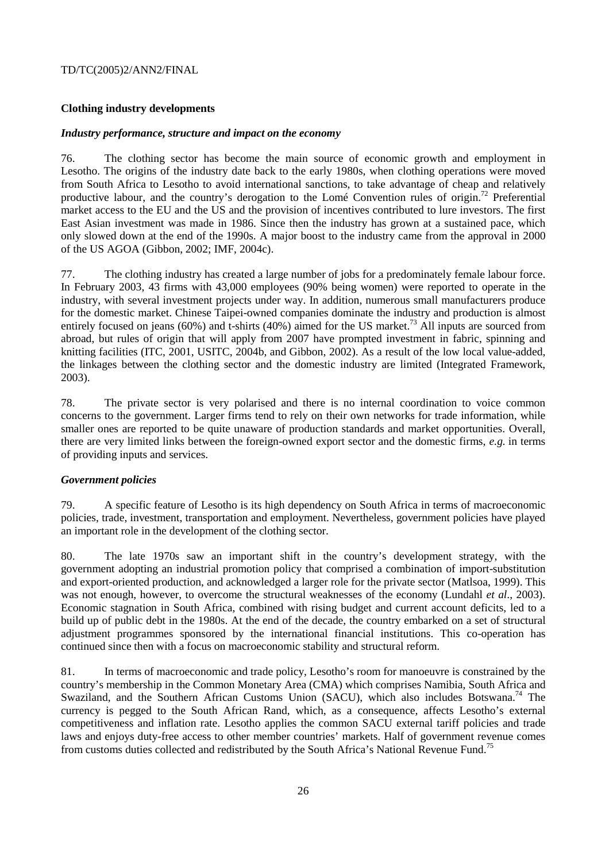# **Clothing industry developments**

#### *Industry performance, structure and impact on the economy*

76. The clothing sector has become the main source of economic growth and employment in Lesotho. The origins of the industry date back to the early 1980s, when clothing operations were moved from South Africa to Lesotho to avoid international sanctions, to take advantage of cheap and relatively productive labour, and the country's derogation to the Lomé Convention rules of origin.<sup>72</sup> Preferential market access to the EU and the US and the provision of incentives contributed to lure investors. The first East Asian investment was made in 1986. Since then the industry has grown at a sustained pace, which only slowed down at the end of the 1990s. A major boost to the industry came from the approval in 2000 of the US AGOA (Gibbon, 2002; IMF, 2004c).

77. The clothing industry has created a large number of jobs for a predominately female labour force. In February 2003, 43 firms with 43,000 employees (90% being women) were reported to operate in the industry, with several investment projects under way. In addition, numerous small manufacturers produce for the domestic market. Chinese Taipei-owned companies dominate the industry and production is almost entirely focused on jeans (60%) and t-shirts (40%) aimed for the US market.<sup>73</sup> All inputs are sourced from abroad, but rules of origin that will apply from 2007 have prompted investment in fabric, spinning and knitting facilities (ITC, 2001, USITC, 2004b, and Gibbon, 2002). As a result of the low local value-added, the linkages between the clothing sector and the domestic industry are limited (Integrated Framework, 2003).

78. The private sector is very polarised and there is no internal coordination to voice common concerns to the government. Larger firms tend to rely on their own networks for trade information, while smaller ones are reported to be quite unaware of production standards and market opportunities. Overall, there are very limited links between the foreign-owned export sector and the domestic firms, *e.g.* in terms of providing inputs and services.

# *Government policies*

79. A specific feature of Lesotho is its high dependency on South Africa in terms of macroeconomic policies, trade, investment, transportation and employment. Nevertheless, government policies have played an important role in the development of the clothing sector.

80. The late 1970s saw an important shift in the country's development strategy, with the government adopting an industrial promotion policy that comprised a combination of import-substitution and export-oriented production, and acknowledged a larger role for the private sector (Matlsoa, 1999). This was not enough, however, to overcome the structural weaknesses of the economy (Lundahl *et al*., 2003). Economic stagnation in South Africa, combined with rising budget and current account deficits, led to a build up of public debt in the 1980s. At the end of the decade, the country embarked on a set of structural adjustment programmes sponsored by the international financial institutions. This co-operation has continued since then with a focus on macroeconomic stability and structural reform.

81. In terms of macroeconomic and trade policy, Lesotho's room for manoeuvre is constrained by the country's membership in the Common Monetary Area (CMA) which comprises Namibia, South Africa and Swaziland, and the Southern African Customs Union (SACU), which also includes Botswana.<sup>74</sup> The currency is pegged to the South African Rand, which, as a consequence, affects Lesotho's external competitiveness and inflation rate. Lesotho applies the common SACU external tariff policies and trade laws and enjoys duty-free access to other member countries' markets. Half of government revenue comes from customs duties collected and redistributed by the South Africa's National Revenue Fund.<sup>75</sup>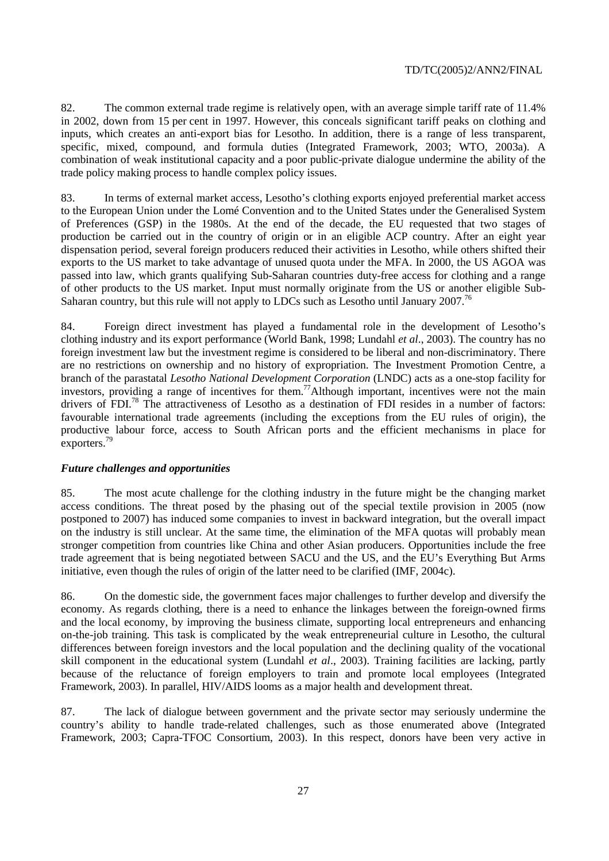82. The common external trade regime is relatively open, with an average simple tariff rate of 11.4% in 2002, down from 15 per cent in 1997. However, this conceals significant tariff peaks on clothing and inputs, which creates an anti-export bias for Lesotho. In addition, there is a range of less transparent, specific, mixed, compound, and formula duties (Integrated Framework, 2003; WTO, 2003a). A combination of weak institutional capacity and a poor public-private dialogue undermine the ability of the trade policy making process to handle complex policy issues.

83. In terms of external market access, Lesotho's clothing exports enjoyed preferential market access to the European Union under the Lomé Convention and to the United States under the Generalised System of Preferences (GSP) in the 1980s. At the end of the decade, the EU requested that two stages of production be carried out in the country of origin or in an eligible ACP country. After an eight year dispensation period, several foreign producers reduced their activities in Lesotho, while others shifted their exports to the US market to take advantage of unused quota under the MFA. In 2000, the US AGOA was passed into law, which grants qualifying Sub-Saharan countries duty-free access for clothing and a range of other products to the US market. Input must normally originate from the US or another eligible Sub-Saharan country, but this rule will not apply to LDCs such as Lesotho until January 2007.<sup>76</sup>

84. Foreign direct investment has played a fundamental role in the development of Lesotho's clothing industry and its export performance (World Bank, 1998; Lundahl *et al*., 2003). The country has no foreign investment law but the investment regime is considered to be liberal and non-discriminatory. There are no restrictions on ownership and no history of expropriation. The Investment Promotion Centre, a branch of the parastatal *Lesotho National Development Corporation* (LNDC) acts as a one-stop facility for investors, providing a range of incentives for them.77Although important, incentives were not the main drivers of FDI.<sup>78</sup> The attractiveness of Lesotho as a destination of FDI resides in a number of factors: favourable international trade agreements (including the exceptions from the EU rules of origin), the productive labour force, access to South African ports and the efficient mechanisms in place for exporters.<sup>79</sup>

# *Future challenges and opportunities*

85. The most acute challenge for the clothing industry in the future might be the changing market access conditions. The threat posed by the phasing out of the special textile provision in 2005 (now postponed to 2007) has induced some companies to invest in backward integration, but the overall impact on the industry is still unclear. At the same time, the elimination of the MFA quotas will probably mean stronger competition from countries like China and other Asian producers. Opportunities include the free trade agreement that is being negotiated between SACU and the US, and the EU's Everything But Arms initiative, even though the rules of origin of the latter need to be clarified (IMF, 2004c).

86. On the domestic side, the government faces major challenges to further develop and diversify the economy. As regards clothing, there is a need to enhance the linkages between the foreign-owned firms and the local economy, by improving the business climate, supporting local entrepreneurs and enhancing on-the-job training. This task is complicated by the weak entrepreneurial culture in Lesotho, the cultural differences between foreign investors and the local population and the declining quality of the vocational skill component in the educational system (Lundahl *et al*., 2003). Training facilities are lacking, partly because of the reluctance of foreign employers to train and promote local employees (Integrated Framework, 2003). In parallel, HIV/AIDS looms as a major health and development threat.

87. The lack of dialogue between government and the private sector may seriously undermine the country's ability to handle trade-related challenges, such as those enumerated above (Integrated Framework, 2003; Capra-TFOC Consortium, 2003). In this respect, donors have been very active in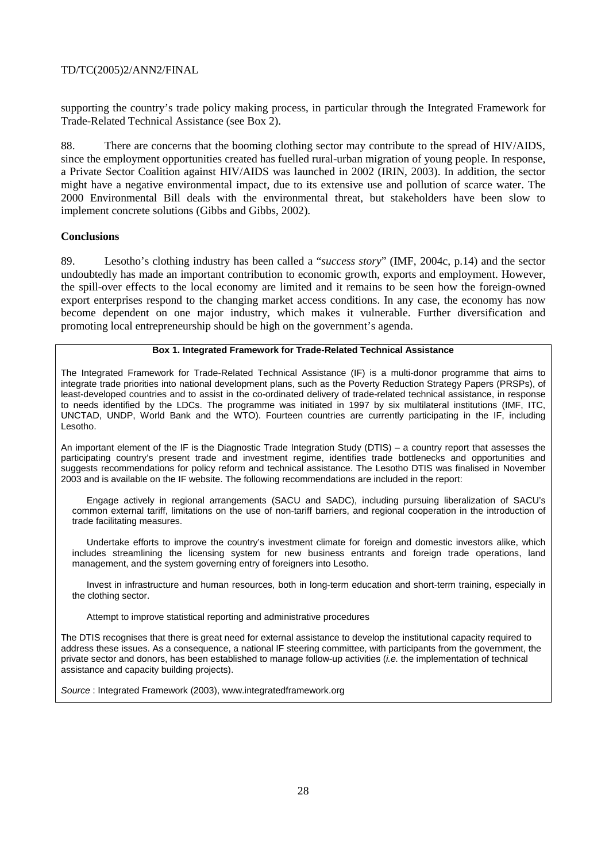supporting the country's trade policy making process, in particular through the Integrated Framework for Trade-Related Technical Assistance (see Box 2).

88. There are concerns that the booming clothing sector may contribute to the spread of HIV/AIDS, since the employment opportunities created has fuelled rural-urban migration of young people. In response, a Private Sector Coalition against HIV/AIDS was launched in 2002 (IRIN, 2003). In addition, the sector might have a negative environmental impact, due to its extensive use and pollution of scarce water. The 2000 Environmental Bill deals with the environmental threat, but stakeholders have been slow to implement concrete solutions (Gibbs and Gibbs, 2002).

# **Conclusions**

89. Lesotho's clothing industry has been called a "*success story*" (IMF, 2004c, p.14) and the sector undoubtedly has made an important contribution to economic growth, exports and employment. However, the spill-over effects to the local economy are limited and it remains to be seen how the foreign-owned export enterprises respond to the changing market access conditions. In any case, the economy has now become dependent on one major industry, which makes it vulnerable. Further diversification and promoting local entrepreneurship should be high on the government's agenda.

#### **Box 1. Integrated Framework for Trade-Related Technical Assistance**

The Integrated Framework for Trade-Related Technical Assistance (IF) is a multi-donor programme that aims to integrate trade priorities into national development plans, such as the Poverty Reduction Strategy Papers (PRSPs), of least-developed countries and to assist in the co-ordinated delivery of trade-related technical assistance, in response to needs identified by the LDCs. The programme was initiated in 1997 by six multilateral institutions (IMF, ITC, UNCTAD, UNDP, World Bank and the WTO). Fourteen countries are currently participating in the IF, including Lesotho.

An important element of the IF is the Diagnostic Trade Integration Study (DTIS) – a country report that assesses the participating country's present trade and investment regime, identifies trade bottlenecks and opportunities and suggests recommendations for policy reform and technical assistance. The Lesotho DTIS was finalised in November 2003 and is available on the IF website. The following recommendations are included in the report:

 Engage actively in regional arrangements (SACU and SADC), including pursuing liberalization of SACU's common external tariff, limitations on the use of non-tariff barriers, and regional cooperation in the introduction of trade facilitating measures.

 Undertake efforts to improve the country's investment climate for foreign and domestic investors alike, which includes streamlining the licensing system for new business entrants and foreign trade operations, land management, and the system governing entry of foreigners into Lesotho.

- Invest in infrastructure and human resources, both in long-term education and short-term training, especially in the clothing sector.

Attempt to improve statistical reporting and administrative procedures

The DTIS recognises that there is great need for external assistance to develop the institutional capacity required to address these issues. As a consequence, a national IF steering committee, with participants from the government, the private sector and donors, has been established to manage follow-up activities (i.e. the implementation of technical assistance and capacity building projects).

Source : Integrated Framework (2003), www.integratedframework.org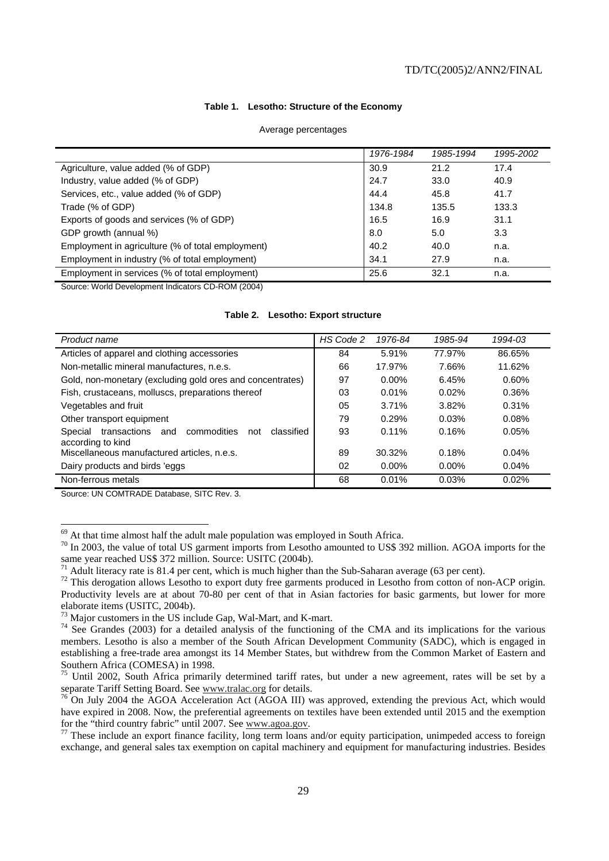#### **Table 1. Lesotho: Structure of the Economy**

|                                                   | 1976-1984 | 1985-1994 | 1995-2002 |
|---------------------------------------------------|-----------|-----------|-----------|
| Agriculture, value added (% of GDP)               | 30.9      | 21.2      | 17.4      |
| Industry, value added (% of GDP)                  | 24.7      | 33.0      | 40.9      |
| Services, etc., value added (% of GDP)            | 44.4      | 45.8      | 41.7      |
| Trade (% of GDP)                                  | 134.8     | 135.5     | 133.3     |
| Exports of goods and services (% of GDP)          | 16.5      | 16.9      | 31.1      |
| GDP growth (annual %)                             | 8.0       | 5.0       | 3.3       |
| Employment in agriculture (% of total employment) | 40.2      | 40.0      | n.a.      |
| Employment in industry (% of total employment)    | 34.1      | 27.9      | n.a.      |
| Employment in services (% of total employment)    | 25.6      | 32.1      | n.a.      |

Source: World Development Indicators CD-ROM (2004)

|  | Table 2. Lesotho: Export structure |  |  |
|--|------------------------------------|--|--|
|--|------------------------------------|--|--|

| Product name                                                                            | HS Code 2 | 1976-84  | 1985-94  | 1994-03  |
|-----------------------------------------------------------------------------------------|-----------|----------|----------|----------|
| Articles of apparel and clothing accessories                                            | 84        | 5.91%    | 77.97%   | 86.65%   |
| Non-metallic mineral manufactures, n.e.s.                                               | 66        | 17.97%   | 7.66%    | 11.62%   |
| Gold, non-monetary (excluding gold ores and concentrates)                               | 97        | $0.00\%$ | 6.45%    | $0.60\%$ |
| Fish, crustaceans, molluscs, preparations thereof                                       | 03        | 0.01%    | 0.02%    | 0.36%    |
| Vegetables and fruit                                                                    | 05        | 3.71%    | 3.82%    | 0.31%    |
| Other transport equipment                                                               | 79        | 0.29%    | 0.03%    | 0.08%    |
| transactions<br>commodities<br>classified<br>Special<br>and<br>not<br>according to kind | 93        | $0.11\%$ | 0.16%    | 0.05%    |
| Miscellaneous manufactured articles, n.e.s.                                             | 89        | 30.32%   | 0.18%    | 0.04%    |
| Dairy products and birds 'eggs                                                          | 02        | $0.00\%$ | $0.00\%$ | 0.04%    |
| Non-ferrous metals                                                                      | 68        | 0.01%    | 0.03%    | 0.02%    |

Source: UN COMTRADE Database, SITC Rev. 3.

 $\overline{a}$ 

 $69$  At that time almost half the adult male population was employed in South Africa.

<sup>&</sup>lt;sup>70</sup> In 2003, the value of total US garment imports from Lesotho amounted to US\$ 392 million. AGOA imports for the same year reached US\$ 372 million. Source: USITC (2004b).

Adult literacy rate is 81.4 per cent, which is much higher than the Sub-Saharan average (63 per cent).

<sup>&</sup>lt;sup>72</sup> This derogation allows Lesotho to export duty free garments produced in Lesotho from cotton of non-ACP origin. Productivity levels are at about 70-80 per cent of that in Asian factories for basic garments, but lower for more elaborate items (USITC, 2004b).

<sup>73</sup> Major customers in the US include Gap, Wal-Mart, and K-mart.

<sup>&</sup>lt;sup>74</sup> See Grandes (2003) for a detailed analysis of the functioning of the CMA and its implications for the various members. Lesotho is also a member of the South African Development Community (SADC), which is engaged in establishing a free-trade area amongst its 14 Member States, but withdrew from the Common Market of Eastern and Southern Africa (COMESA) in 1998.

<sup>&</sup>lt;sup>75</sup> Until 2002, South Africa primarily determined tariff rates, but under a new agreement, rates will be set by a separate Tariff Setting Board. See www.tralac.org for details.

 $\frac{76}{6}$  On July 2004 the AGOA Acceleration Act (AGOA III) was approved, extending the previous Act, which would have expired in 2008. Now, the preferential agreements on textiles have been extended until 2015 and the exemption for the "third country fabric" until 2007. See www.agoa.gov.

 $\frac{77}{7}$  These include an export finance facility, long term loans and/or equity participation, unimpeded access to foreign exchange, and general sales tax exemption on capital machinery and equipment for manufacturing industries. Besides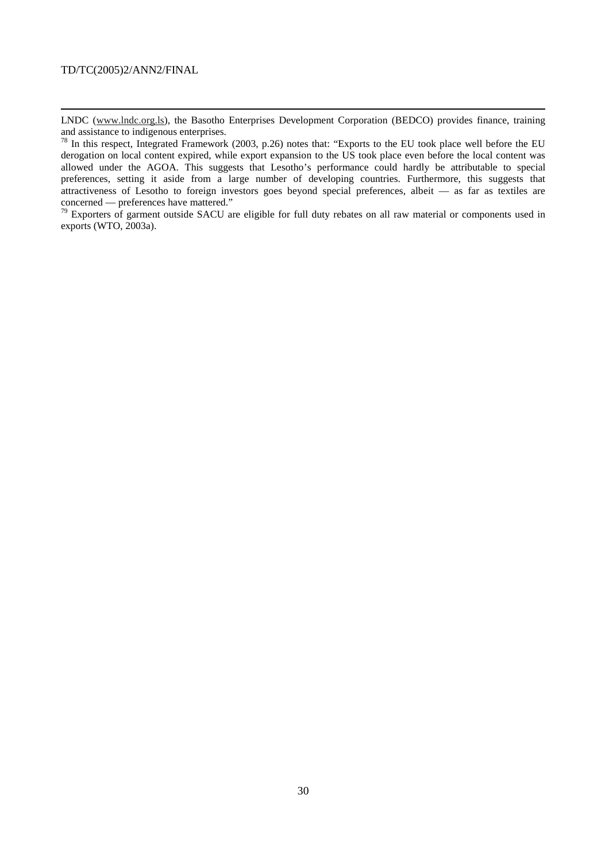1

LNDC (www.lndc.org.ls), the Basotho Enterprises Development Corporation (BEDCO) provides finance, training and assistance to indigenous enterprises.

 $^{78}$  In this respect, Integrated Framework (2003, p.26) notes that: "Exports to the EU took place well before the EU derogation on local content expired, while export expansion to the US took place even before the local content was allowed under the AGOA. This suggests that Lesotho's performance could hardly be attributable to special preferences, setting it aside from a large number of developing countries. Furthermore, this suggests that attractiveness of Lesotho to foreign investors goes beyond special preferences, albeit — as far as textiles are concerned — preferences have mattered."

 $79$  Exporters of garment outside SACU are eligible for full duty rebates on all raw material or components used in exports (WTO, 2003a).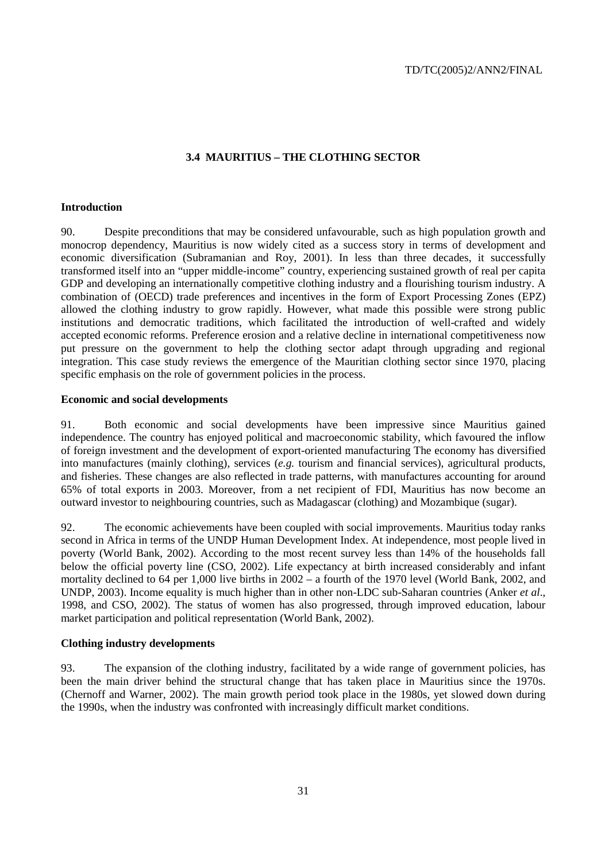# **3.4 MAURITIUS – THE CLOTHING SECTOR**

#### **Introduction**

90. Despite preconditions that may be considered unfavourable, such as high population growth and monocrop dependency, Mauritius is now widely cited as a success story in terms of development and economic diversification (Subramanian and Roy, 2001). In less than three decades, it successfully transformed itself into an "upper middle-income" country, experiencing sustained growth of real per capita GDP and developing an internationally competitive clothing industry and a flourishing tourism industry. A combination of (OECD) trade preferences and incentives in the form of Export Processing Zones (EPZ) allowed the clothing industry to grow rapidly. However, what made this possible were strong public institutions and democratic traditions, which facilitated the introduction of well-crafted and widely accepted economic reforms. Preference erosion and a relative decline in international competitiveness now put pressure on the government to help the clothing sector adapt through upgrading and regional integration. This case study reviews the emergence of the Mauritian clothing sector since 1970, placing specific emphasis on the role of government policies in the process.

#### **Economic and social developments**

91. Both economic and social developments have been impressive since Mauritius gained independence. The country has enjoyed political and macroeconomic stability, which favoured the inflow of foreign investment and the development of export-oriented manufacturing The economy has diversified into manufactures (mainly clothing), services (*e.g.* tourism and financial services), agricultural products, and fisheries. These changes are also reflected in trade patterns, with manufactures accounting for around 65% of total exports in 2003. Moreover, from a net recipient of FDI, Mauritius has now become an outward investor to neighbouring countries, such as Madagascar (clothing) and Mozambique (sugar).

92. The economic achievements have been coupled with social improvements. Mauritius today ranks second in Africa in terms of the UNDP Human Development Index. At independence, most people lived in poverty (World Bank, 2002). According to the most recent survey less than 14% of the households fall below the official poverty line (CSO, 2002). Life expectancy at birth increased considerably and infant mortality declined to 64 per 1,000 live births in 2002 – a fourth of the 1970 level (World Bank, 2002, and UNDP, 2003). Income equality is much higher than in other non-LDC sub-Saharan countries (Anker *et al*., 1998, and CSO, 2002). The status of women has also progressed, through improved education, labour market participation and political representation (World Bank, 2002).

#### **Clothing industry developments**

93. The expansion of the clothing industry, facilitated by a wide range of government policies, has been the main driver behind the structural change that has taken place in Mauritius since the 1970s. (Chernoff and Warner, 2002). The main growth period took place in the 1980s, yet slowed down during the 1990s, when the industry was confronted with increasingly difficult market conditions.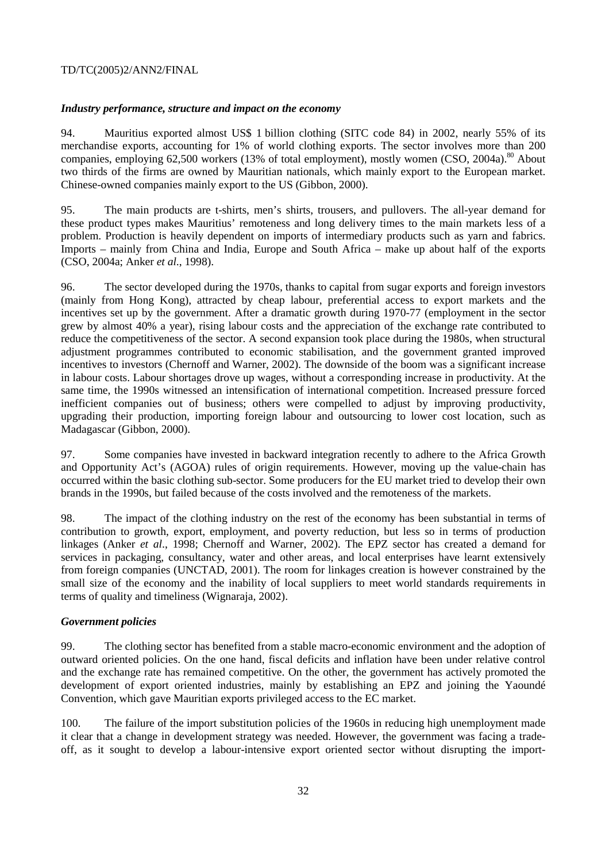# *Industry performance, structure and impact on the economy*

94. Mauritius exported almost US\$ 1 billion clothing (SITC code 84) in 2002, nearly 55% of its merchandise exports, accounting for 1% of world clothing exports. The sector involves more than 200 companies, employing  $62,500$  workers (13% of total employment), mostly women (CSO, 2004a).<sup>80</sup> About two thirds of the firms are owned by Mauritian nationals, which mainly export to the European market. Chinese-owned companies mainly export to the US (Gibbon, 2000).

95. The main products are t-shirts, men's shirts, trousers, and pullovers. The all-year demand for these product types makes Mauritius' remoteness and long delivery times to the main markets less of a problem. Production is heavily dependent on imports of intermediary products such as yarn and fabrics. Imports – mainly from China and India, Europe and South Africa – make up about half of the exports (CSO, 2004a; Anker *et al*., 1998).

96. The sector developed during the 1970s, thanks to capital from sugar exports and foreign investors (mainly from Hong Kong), attracted by cheap labour, preferential access to export markets and the incentives set up by the government. After a dramatic growth during 1970-77 (employment in the sector grew by almost 40% a year), rising labour costs and the appreciation of the exchange rate contributed to reduce the competitiveness of the sector. A second expansion took place during the 1980s, when structural adjustment programmes contributed to economic stabilisation, and the government granted improved incentives to investors (Chernoff and Warner, 2002). The downside of the boom was a significant increase in labour costs. Labour shortages drove up wages, without a corresponding increase in productivity. At the same time, the 1990s witnessed an intensification of international competition. Increased pressure forced inefficient companies out of business; others were compelled to adjust by improving productivity, upgrading their production, importing foreign labour and outsourcing to lower cost location, such as Madagascar (Gibbon, 2000).

97. Some companies have invested in backward integration recently to adhere to the Africa Growth and Opportunity Act's (AGOA) rules of origin requirements. However, moving up the value-chain has occurred within the basic clothing sub-sector. Some producers for the EU market tried to develop their own brands in the 1990s, but failed because of the costs involved and the remoteness of the markets.

98. The impact of the clothing industry on the rest of the economy has been substantial in terms of contribution to growth, export, employment, and poverty reduction, but less so in terms of production linkages (Anker *et al*., 1998; Chernoff and Warner, 2002). The EPZ sector has created a demand for services in packaging, consultancy, water and other areas, and local enterprises have learnt extensively from foreign companies (UNCTAD, 2001). The room for linkages creation is however constrained by the small size of the economy and the inability of local suppliers to meet world standards requirements in terms of quality and timeliness (Wignaraja, 2002).

# *Government policies*

99. The clothing sector has benefited from a stable macro-economic environment and the adoption of outward oriented policies. On the one hand, fiscal deficits and inflation have been under relative control and the exchange rate has remained competitive. On the other, the government has actively promoted the development of export oriented industries, mainly by establishing an EPZ and joining the Yaoundé Convention, which gave Mauritian exports privileged access to the EC market.

100. The failure of the import substitution policies of the 1960s in reducing high unemployment made it clear that a change in development strategy was needed. However, the government was facing a tradeoff, as it sought to develop a labour-intensive export oriented sector without disrupting the import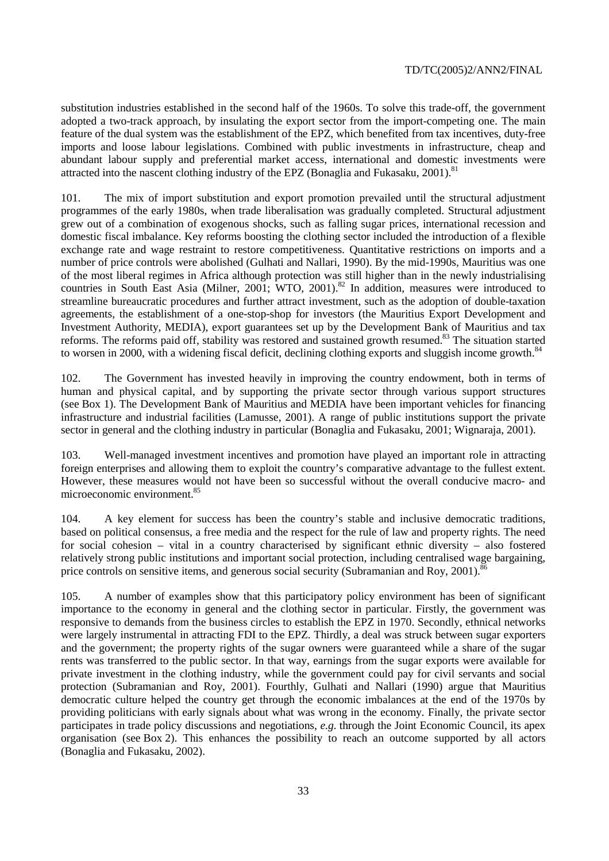substitution industries established in the second half of the 1960s. To solve this trade-off, the government adopted a two-track approach, by insulating the export sector from the import-competing one. The main feature of the dual system was the establishment of the EPZ, which benefited from tax incentives, duty-free imports and loose labour legislations. Combined with public investments in infrastructure, cheap and abundant labour supply and preferential market access, international and domestic investments were attracted into the nascent clothing industry of the EPZ (Bonaglia and Fukasaku, 2001).<sup>81</sup>

101. The mix of import substitution and export promotion prevailed until the structural adjustment programmes of the early 1980s, when trade liberalisation was gradually completed. Structural adjustment grew out of a combination of exogenous shocks, such as falling sugar prices, international recession and domestic fiscal imbalance. Key reforms boosting the clothing sector included the introduction of a flexible exchange rate and wage restraint to restore competitiveness. Quantitative restrictions on imports and a number of price controls were abolished (Gulhati and Nallari, 1990). By the mid-1990s, Mauritius was one of the most liberal regimes in Africa although protection was still higher than in the newly industrialising countries in South East Asia (Milner, 2001; WTO, 2001).<sup>82</sup> In addition, measures were introduced to streamline bureaucratic procedures and further attract investment, such as the adoption of double-taxation agreements, the establishment of a one-stop-shop for investors (the Mauritius Export Development and Investment Authority, MEDIA), export guarantees set up by the Development Bank of Mauritius and tax reforms. The reforms paid off, stability was restored and sustained growth resumed.<sup>83</sup> The situation started to worsen in 2000, with a widening fiscal deficit, declining clothing exports and sluggish income growth.<sup>84</sup>

102. The Government has invested heavily in improving the country endowment, both in terms of human and physical capital, and by supporting the private sector through various support structures (see Box 1). The Development Bank of Mauritius and MEDIA have been important vehicles for financing infrastructure and industrial facilities (Lamusse, 2001). A range of public institutions support the private sector in general and the clothing industry in particular (Bonaglia and Fukasaku, 2001; Wignaraja, 2001).

103. Well-managed investment incentives and promotion have played an important role in attracting foreign enterprises and allowing them to exploit the country's comparative advantage to the fullest extent. However, these measures would not have been so successful without the overall conducive macro- and microeconomic environment.85

104. A key element for success has been the country's stable and inclusive democratic traditions, based on political consensus, a free media and the respect for the rule of law and property rights. The need for social cohesion – vital in a country characterised by significant ethnic diversity – also fostered relatively strong public institutions and important social protection, including centralised wage bargaining, price controls on sensitive items, and generous social security (Subramanian and Roy, 2001).<sup>8</sup>

105. A number of examples show that this participatory policy environment has been of significant importance to the economy in general and the clothing sector in particular. Firstly, the government was responsive to demands from the business circles to establish the EPZ in 1970. Secondly, ethnical networks were largely instrumental in attracting FDI to the EPZ. Thirdly, a deal was struck between sugar exporters and the government; the property rights of the sugar owners were guaranteed while a share of the sugar rents was transferred to the public sector. In that way, earnings from the sugar exports were available for private investment in the clothing industry, while the government could pay for civil servants and social protection (Subramanian and Roy, 2001). Fourthly, Gulhati and Nallari (1990) argue that Mauritius democratic culture helped the country get through the economic imbalances at the end of the 1970s by providing politicians with early signals about what was wrong in the economy. Finally, the private sector participates in trade policy discussions and negotiations, *e.g.* through the Joint Economic Council, its apex organisation (see Box 2). This enhances the possibility to reach an outcome supported by all actors (Bonaglia and Fukasaku, 2002).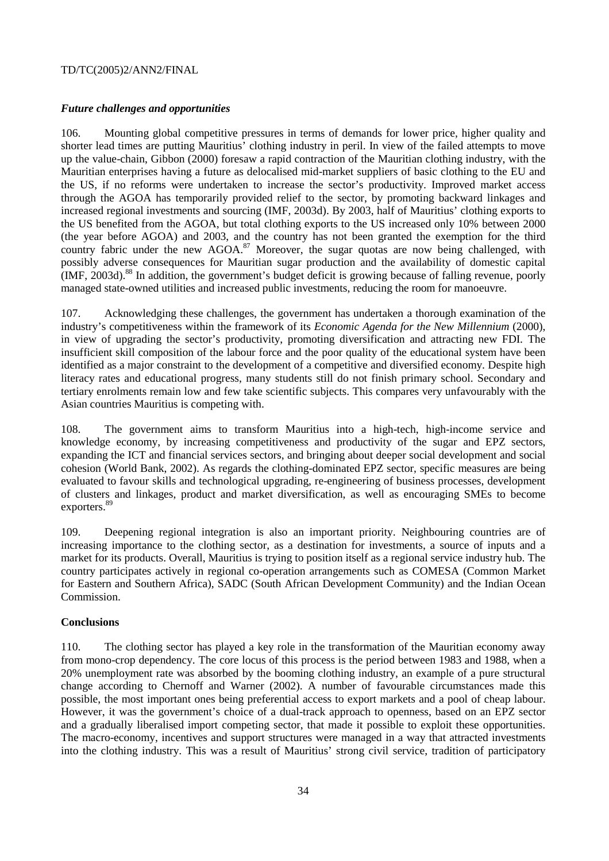## *Future challenges and opportunities*

106. Mounting global competitive pressures in terms of demands for lower price, higher quality and shorter lead times are putting Mauritius' clothing industry in peril. In view of the failed attempts to move up the value-chain, Gibbon (2000) foresaw a rapid contraction of the Mauritian clothing industry, with the Mauritian enterprises having a future as delocalised mid-market suppliers of basic clothing to the EU and the US, if no reforms were undertaken to increase the sector's productivity. Improved market access through the AGOA has temporarily provided relief to the sector, by promoting backward linkages and increased regional investments and sourcing (IMF, 2003d). By 2003, half of Mauritius' clothing exports to the US benefited from the AGOA, but total clothing exports to the US increased only 10% between 2000 (the year before AGOA) and 2003, and the country has not been granted the exemption for the third country fabric under the new  $AGOA<sup>87</sup>$  Moreover, the sugar quotas are now being challenged, with possibly adverse consequences for Mauritian sugar production and the availability of domestic capital  $IMF. 2003d.$ <sup>88</sup> In addition, the government's budget deficit is growing because of falling revenue, poorly managed state-owned utilities and increased public investments, reducing the room for manoeuvre.

107. Acknowledging these challenges, the government has undertaken a thorough examination of the industry's competitiveness within the framework of its *Economic Agenda for the New Millennium* (2000), in view of upgrading the sector's productivity, promoting diversification and attracting new FDI. The insufficient skill composition of the labour force and the poor quality of the educational system have been identified as a major constraint to the development of a competitive and diversified economy. Despite high literacy rates and educational progress, many students still do not finish primary school. Secondary and tertiary enrolments remain low and few take scientific subjects. This compares very unfavourably with the Asian countries Mauritius is competing with.

108. The government aims to transform Mauritius into a high-tech, high-income service and knowledge economy, by increasing competitiveness and productivity of the sugar and EPZ sectors, expanding the ICT and financial services sectors, and bringing about deeper social development and social cohesion (World Bank, 2002). As regards the clothing-dominated EPZ sector, specific measures are being evaluated to favour skills and technological upgrading, re-engineering of business processes, development of clusters and linkages, product and market diversification, as well as encouraging SMEs to become exporters.<sup>89</sup>

109. Deepening regional integration is also an important priority. Neighbouring countries are of increasing importance to the clothing sector, as a destination for investments, a source of inputs and a market for its products. Overall, Mauritius is trying to position itself as a regional service industry hub. The country participates actively in regional co-operation arrangements such as COMESA (Common Market for Eastern and Southern Africa), SADC (South African Development Community) and the Indian Ocean Commission.

#### **Conclusions**

110. The clothing sector has played a key role in the transformation of the Mauritian economy away from mono-crop dependency. The core locus of this process is the period between 1983 and 1988, when a 20% unemployment rate was absorbed by the booming clothing industry, an example of a pure structural change according to Chernoff and Warner (2002). A number of favourable circumstances made this possible, the most important ones being preferential access to export markets and a pool of cheap labour. However, it was the government's choice of a dual-track approach to openness, based on an EPZ sector and a gradually liberalised import competing sector, that made it possible to exploit these opportunities. The macro-economy, incentives and support structures were managed in a way that attracted investments into the clothing industry. This was a result of Mauritius' strong civil service, tradition of participatory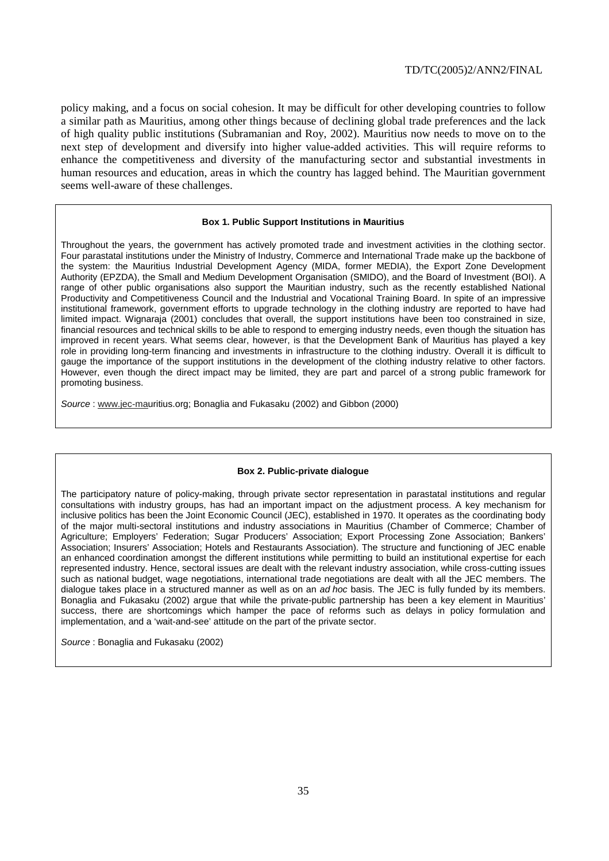policy making, and a focus on social cohesion. It may be difficult for other developing countries to follow a similar path as Mauritius, among other things because of declining global trade preferences and the lack of high quality public institutions (Subramanian and Roy, 2002). Mauritius now needs to move on to the next step of development and diversify into higher value-added activities. This will require reforms to enhance the competitiveness and diversity of the manufacturing sector and substantial investments in human resources and education, areas in which the country has lagged behind. The Mauritian government seems well-aware of these challenges.

#### **Box 1. Public Support Institutions in Mauritius**

Throughout the years, the government has actively promoted trade and investment activities in the clothing sector. Four parastatal institutions under the Ministry of Industry, Commerce and International Trade make up the backbone of the system: the Mauritius Industrial Development Agency (MIDA, former MEDIA), the Export Zone Development Authority (EPZDA), the Small and Medium Development Organisation (SMIDO), and the Board of Investment (BOI). A range of other public organisations also support the Mauritian industry, such as the recently established National Productivity and Competitiveness Council and the Industrial and Vocational Training Board. In spite of an impressive institutional framework, government efforts to upgrade technology in the clothing industry are reported to have had limited impact. Wignaraja (2001) concludes that overall, the support institutions have been too constrained in size, financial resources and technical skills to be able to respond to emerging industry needs, even though the situation has improved in recent years. What seems clear, however, is that the Development Bank of Mauritius has played a key role in providing long-term financing and investments in infrastructure to the clothing industry. Overall it is difficult to gauge the importance of the support institutions in the development of the clothing industry relative to other factors. However, even though the direct impact may be limited, they are part and parcel of a strong public framework for promoting business.

Source : www.jec-mauritius.org; Bonaglia and Fukasaku (2002) and Gibbon (2000)

#### **Box 2. Public-private dialogue**

The participatory nature of policy-making, through private sector representation in parastatal institutions and regular consultations with industry groups, has had an important impact on the adjustment process. A key mechanism for inclusive politics has been the Joint Economic Council (JEC), established in 1970. It operates as the coordinating body of the major multi-sectoral institutions and industry associations in Mauritius (Chamber of Commerce; Chamber of Agriculture; Employers' Federation; Sugar Producers' Association; Export Processing Zone Association; Bankers' Association; Insurers' Association; Hotels and Restaurants Association). The structure and functioning of JEC enable an enhanced coordination amongst the different institutions while permitting to build an institutional expertise for each represented industry. Hence, sectoral issues are dealt with the relevant industry association, while cross-cutting issues such as national budget, wage negotiations, international trade negotiations are dealt with all the JEC members. The dialogue takes place in a structured manner as well as on an ad hoc basis. The JEC is fully funded by its members. Bonaglia and Fukasaku (2002) argue that while the private-public partnership has been a key element in Mauritius' success, there are shortcomings which hamper the pace of reforms such as delays in policy formulation and implementation, and a 'wait-and-see' attitude on the part of the private sector.

Source : Bonaglia and Fukasaku (2002)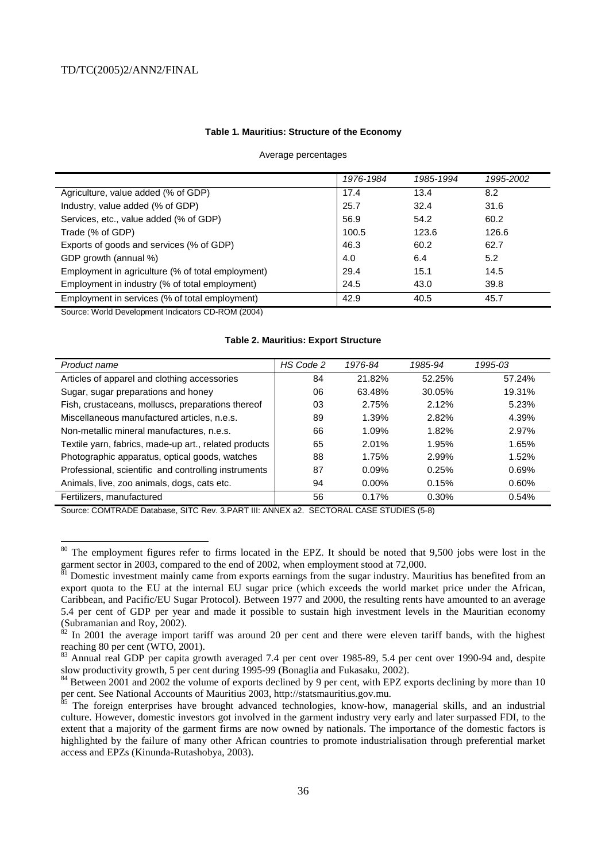#### **Table 1. Mauritius: Structure of the Economy**

#### Average percentages

|                                                   | 1976-1984 | 1985-1994 | 1995-2002 |
|---------------------------------------------------|-----------|-----------|-----------|
| Agriculture, value added (% of GDP)               | 17.4      | 13.4      | 8.2       |
| Industry, value added (% of GDP)                  | 25.7      | 32.4      | 31.6      |
| Services, etc., value added (% of GDP)            | 56.9      | 54.2      | 60.2      |
| Trade (% of GDP)                                  | 100.5     | 123.6     | 126.6     |
| Exports of goods and services (% of GDP)          | 46.3      | 60.2      | 62.7      |
| GDP growth (annual %)                             | 4.0       | 6.4       | 5.2       |
| Employment in agriculture (% of total employment) | 29.4      | 15.1      | 14.5      |
| Employment in industry (% of total employment)    | 24.5      | 43.0      | 39.8      |
| Employment in services (% of total employment)    | 42.9      | 40.5      | 45.7      |

Source: World Development Indicators CD-ROM (2004)

 $\overline{a}$ 

#### **Table 2. Mauritius: Export Structure**

| Product name                                          | HS Code 2 | 1976-84  | 1985-94 | 1995-03 |
|-------------------------------------------------------|-----------|----------|---------|---------|
| Articles of apparel and clothing accessories          | 84        | 21.82%   | 52.25%  | 57.24%  |
| Sugar, sugar preparations and honey                   | 06        | 63.48%   | 30.05%  | 19.31%  |
| Fish, crustaceans, molluscs, preparations thereof     | 03        | 2.75%    | 2.12%   | 5.23%   |
| Miscellaneous manufactured articles, n.e.s.           | 89        | 1.39%    | 2.82%   | 4.39%   |
| Non-metallic mineral manufactures, n.e.s.             | 66        | 1.09%    | 1.82%   | 2.97%   |
| Textile yarn, fabrics, made-up art., related products | 65        | 2.01%    | 1.95%   | 1.65%   |
| Photographic apparatus, optical goods, watches        | 88        | 1.75%    | 2.99%   | 1.52%   |
| Professional, scientific and controlling instruments  | 87        | $0.09\%$ | 0.25%   | 0.69%   |
| Animals, live, zoo animals, dogs, cats etc.           | 94        | $0.00\%$ | 0.15%   | 0.60%   |
| Fertilizers, manufactured                             | 56        | 0.17%    | 0.30%   | 0.54%   |

Source: COMTRADE Database, SITC Rev. 3.PART III: ANNEX a2. SECTORAL CASE STUDIES (5-8)

 $80$  The employment figures refer to firms located in the EPZ. It should be noted that 9,500 jobs were lost in the garment sector in 2003, compared to the end of 2002, when employment stood at  $72,000$ .

Bomestic investment mainly came from exports earnings from the sugar industry. Mauritius has benefited from an export quota to the EU at the internal EU sugar price (which exceeds the world market price under the African, Caribbean, and Pacific/EU Sugar Protocol). Between 1977 and 2000, the resulting rents have amounted to an average 5.4 per cent of GDP per year and made it possible to sustain high investment levels in the Mauritian economy (Subramanian and Roy, 2002).<br> $82 \text{ In } 2001$  the average import

In 2001 the average import tariff was around 20 per cent and there were eleven tariff bands, with the highest reaching 80 per cent (WTO, 2001).

<sup>&</sup>lt;sup>83</sup> Annual real GDP per capita growth averaged 7.4 per cent over 1985-89, 5.4 per cent over 1990-94 and, despite slow productivity growth, 5 per cent during 1995-99 (Bonaglia and Fukasaku, 2002).

<sup>&</sup>lt;sup>84</sup> Between 2001 and 2002 the volume of exports declined by 9 per cent, with EPZ exports declining by more than 10 per cent. See National Accounts of Mauritius 2003, http://statsmauritius.gov.mu.

<sup>&</sup>lt;sup>85</sup> The foreign enterprises have brought advanced technologies, know-how, managerial skills, and an industrial culture. However, domestic investors got involved in the garment industry very early and later surpassed FDI, to the extent that a majority of the garment firms are now owned by nationals. The importance of the domestic factors is highlighted by the failure of many other African countries to promote industrialisation through preferential market access and EPZs (Kinunda-Rutashobya, 2003).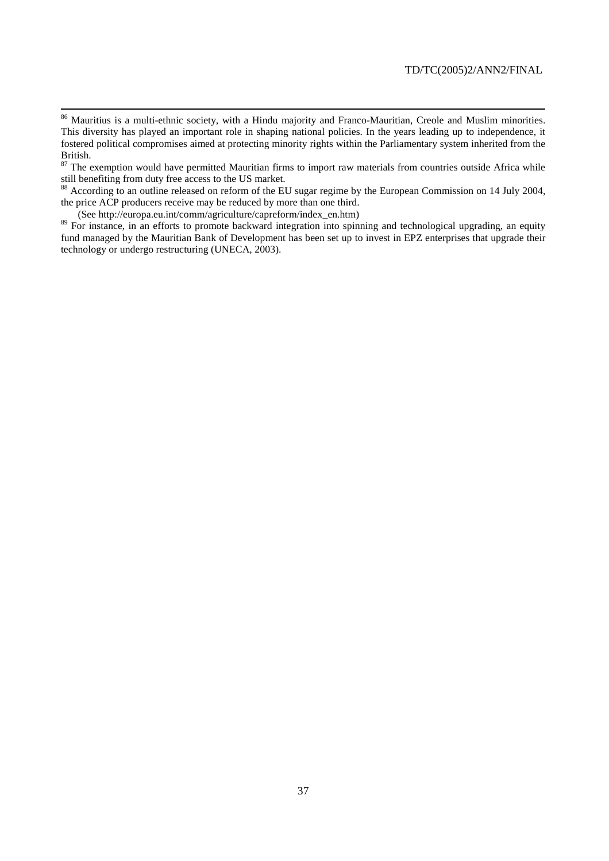<sup>87</sup> The exemption would have permitted Mauritian firms to import raw materials from countries outside Africa while still benefiting from duty free access to the US market.

<sup>88</sup> According to an outline released on reform of the EU sugar regime by the European Commission on 14 July 2004, the price ACP producers receive may be reduced by more than one third.

(See http://europa.eu.int/comm/agriculture/capreform/index\_en.htm)

<sup>89</sup> For instance, in an efforts to promote backward integration into spinning and technological upgrading, an equity fund managed by the Mauritian Bank of Development has been set up to invest in EPZ enterprises that upgrade their technology or undergo restructuring (UNECA, 2003).

<sup>&</sup>lt;sup>86</sup> Mauritius is a multi-ethnic society, with a Hindu majority and Franco-Mauritian, Creole and Muslim minorities. This diversity has played an important role in shaping national policies. In the years leading up to independence, it fostered political compromises aimed at protecting minority rights within the Parliamentary system inherited from the British.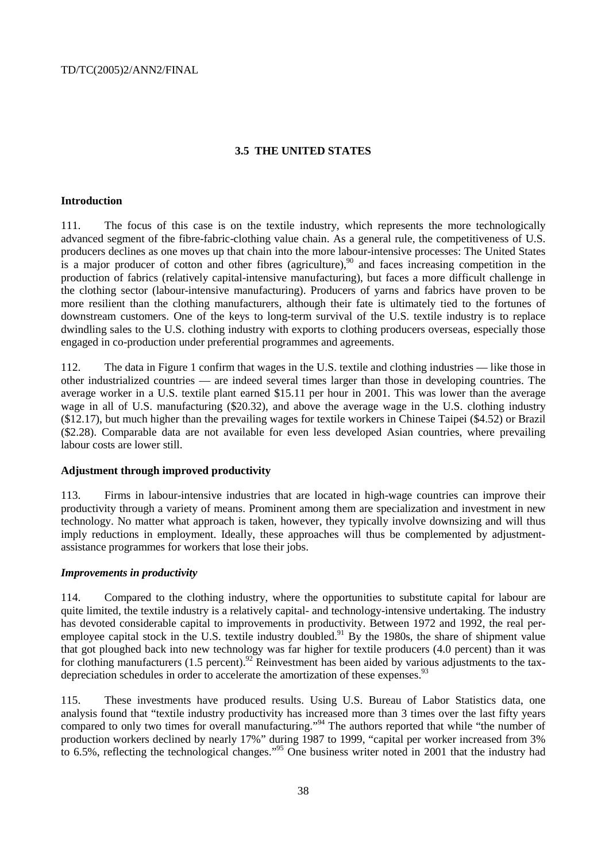## **3.5 THE UNITED STATES**

#### **Introduction**

111. The focus of this case is on the textile industry, which represents the more technologically advanced segment of the fibre-fabric-clothing value chain. As a general rule, the competitiveness of U.S. producers declines as one moves up that chain into the more labour-intensive processes: The United States is a major producer of cotton and other fibres (agriculture),<sup>90</sup> and faces increasing competition in the production of fabrics (relatively capital-intensive manufacturing), but faces a more difficult challenge in the clothing sector (labour-intensive manufacturing). Producers of yarns and fabrics have proven to be more resilient than the clothing manufacturers, although their fate is ultimately tied to the fortunes of downstream customers. One of the keys to long-term survival of the U.S. textile industry is to replace dwindling sales to the U.S. clothing industry with exports to clothing producers overseas, especially those engaged in co-production under preferential programmes and agreements.

112. The data in Figure 1 confirm that wages in the U.S. textile and clothing industries — like those in other industrialized countries — are indeed several times larger than those in developing countries. The average worker in a U.S. textile plant earned \$15.11 per hour in 2001. This was lower than the average wage in all of U.S. manufacturing (\$20.32), and above the average wage in the U.S. clothing industry (\$12.17), but much higher than the prevailing wages for textile workers in Chinese Taipei (\$4.52) or Brazil (\$2.28). Comparable data are not available for even less developed Asian countries, where prevailing labour costs are lower still.

#### **Adjustment through improved productivity**

113. Firms in labour-intensive industries that are located in high-wage countries can improve their productivity through a variety of means. Prominent among them are specialization and investment in new technology. No matter what approach is taken, however, they typically involve downsizing and will thus imply reductions in employment. Ideally, these approaches will thus be complemented by adjustmentassistance programmes for workers that lose their jobs.

#### *Improvements in productivity*

114. Compared to the clothing industry, where the opportunities to substitute capital for labour are quite limited, the textile industry is a relatively capital- and technology-intensive undertaking. The industry has devoted considerable capital to improvements in productivity. Between 1972 and 1992, the real peremployee capital stock in the U.S. textile industry doubled.<sup>91</sup> By the 1980s, the share of shipment value that got ploughed back into new technology was far higher for textile producers (4.0 percent) than it was for clothing manufacturers  $(1.5 \text{ percent})^{92}$  Reinvestment has been aided by various adjustments to the taxdepreciation schedules in order to accelerate the amortization of these expenses.<sup>93</sup>

115. These investments have produced results. Using U.S. Bureau of Labor Statistics data, one analysis found that "textile industry productivity has increased more than 3 times over the last fifty years compared to only two times for overall manufacturing."<sup>94</sup> The authors reported that while "the number of production workers declined by nearly 17%" during 1987 to 1999, "capital per worker increased from 3% to 6.5%, reflecting the technological changes."<sup>95</sup> One business writer noted in 2001 that the industry had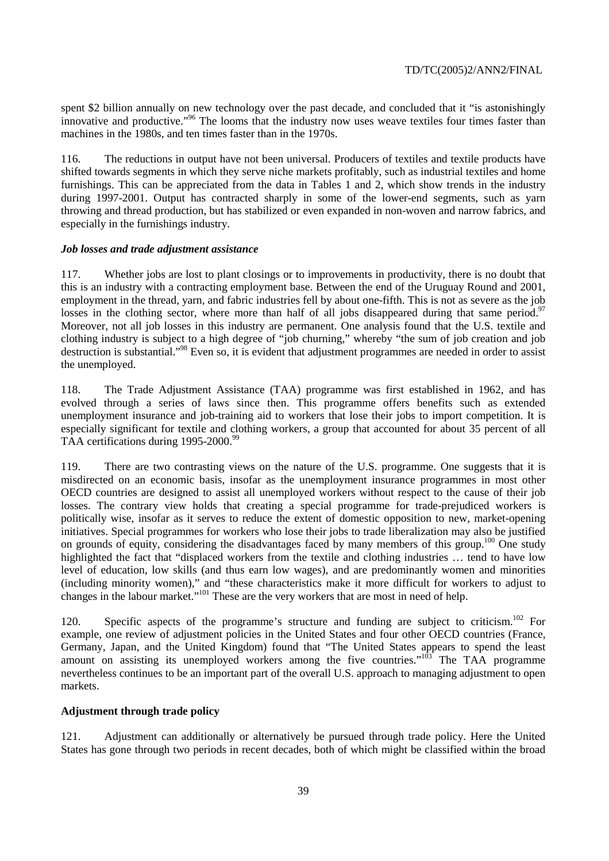spent \$2 billion annually on new technology over the past decade, and concluded that it "is astonishingly innovative and productive."96 The looms that the industry now uses weave textiles four times faster than machines in the 1980s, and ten times faster than in the 1970s.

116. The reductions in output have not been universal. Producers of textiles and textile products have shifted towards segments in which they serve niche markets profitably, such as industrial textiles and home furnishings. This can be appreciated from the data in Tables 1 and 2, which show trends in the industry during 1997-2001. Output has contracted sharply in some of the lower-end segments, such as yarn throwing and thread production, but has stabilized or even expanded in non-woven and narrow fabrics, and especially in the furnishings industry.

#### *Job losses and trade adjustment assistance*

117. Whether jobs are lost to plant closings or to improvements in productivity, there is no doubt that this is an industry with a contracting employment base. Between the end of the Uruguay Round and 2001, employment in the thread, yarn, and fabric industries fell by about one-fifth. This is not as severe as the job losses in the clothing sector, where more than half of all jobs disappeared during that same period.<sup>97</sup> Moreover, not all job losses in this industry are permanent. One analysis found that the U.S. textile and clothing industry is subject to a high degree of "job churning," whereby "the sum of job creation and job destruction is substantial."98 Even so, it is evident that adjustment programmes are needed in order to assist the unemployed.

118. The Trade Adjustment Assistance (TAA) programme was first established in 1962, and has evolved through a series of laws since then. This programme offers benefits such as extended unemployment insurance and job-training aid to workers that lose their jobs to import competition. It is especially significant for textile and clothing workers, a group that accounted for about 35 percent of all TAA certifications during 1995-2000.<sup>99</sup>

119. There are two contrasting views on the nature of the U.S. programme. One suggests that it is misdirected on an economic basis, insofar as the unemployment insurance programmes in most other OECD countries are designed to assist all unemployed workers without respect to the cause of their job losses. The contrary view holds that creating a special programme for trade-prejudiced workers is politically wise, insofar as it serves to reduce the extent of domestic opposition to new, market-opening initiatives. Special programmes for workers who lose their jobs to trade liberalization may also be justified on grounds of equity, considering the disadvantages faced by many members of this group.<sup>100</sup> One study highlighted the fact that "displaced workers from the textile and clothing industries … tend to have low level of education, low skills (and thus earn low wages), and are predominantly women and minorities (including minority women)," and "these characteristics make it more difficult for workers to adjust to changes in the labour market."<sup>101</sup> These are the very workers that are most in need of help.

120. Specific aspects of the programme's structure and funding are subject to criticism.<sup>102</sup> For example, one review of adjustment policies in the United States and four other OECD countries (France, Germany, Japan, and the United Kingdom) found that "The United States appears to spend the least amount on assisting its unemployed workers among the five countries."<sup>103</sup> The TAA programme nevertheless continues to be an important part of the overall U.S. approach to managing adjustment to open markets.

#### **Adjustment through trade policy**

121. Adjustment can additionally or alternatively be pursued through trade policy. Here the United States has gone through two periods in recent decades, both of which might be classified within the broad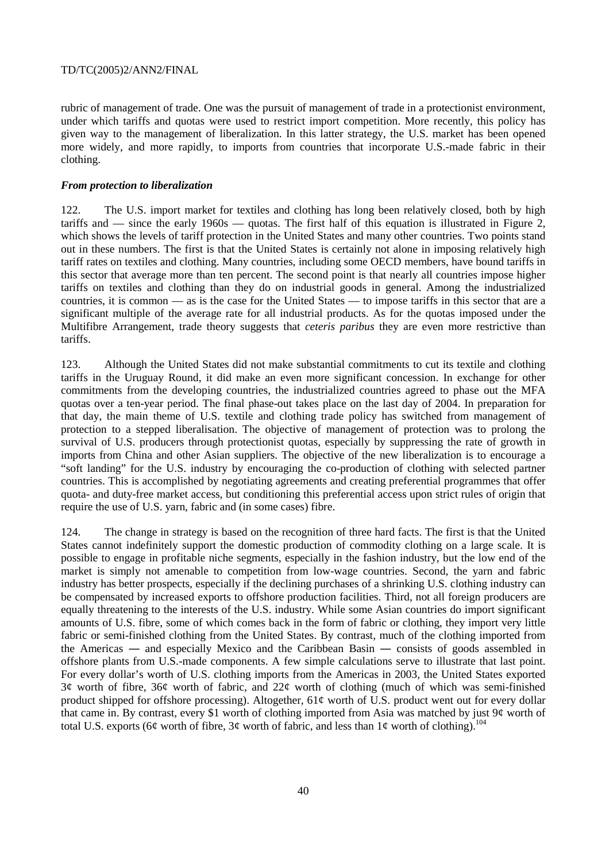rubric of management of trade. One was the pursuit of management of trade in a protectionist environment, under which tariffs and quotas were used to restrict import competition. More recently, this policy has given way to the management of liberalization. In this latter strategy, the U.S. market has been opened more widely, and more rapidly, to imports from countries that incorporate U.S.-made fabric in their clothing.

## *From protection to liberalization*

122. The U.S. import market for textiles and clothing has long been relatively closed, both by high tariffs and  $\frac{1}{2}$  since the early 1960s  $\frac{1}{2}$  quotas. The first half of this equation is illustrated in Figure 2, which shows the levels of tariff protection in the United States and many other countries. Two points stand out in these numbers. The first is that the United States is certainly not alone in imposing relatively high tariff rates on textiles and clothing. Many countries, including some OECD members, have bound tariffs in this sector that average more than ten percent. The second point is that nearly all countries impose higher tariffs on textiles and clothing than they do on industrial goods in general. Among the industrialized countries, it is common — as is the case for the United States — to impose tariffs in this sector that are a significant multiple of the average rate for all industrial products. As for the quotas imposed under the Multifibre Arrangement, trade theory suggests that *ceteris paribus* they are even more restrictive than tariffs.

123. Although the United States did not make substantial commitments to cut its textile and clothing tariffs in the Uruguay Round, it did make an even more significant concession. In exchange for other commitments from the developing countries, the industrialized countries agreed to phase out the MFA quotas over a ten-year period. The final phase-out takes place on the last day of 2004. In preparation for that day, the main theme of U.S. textile and clothing trade policy has switched from management of protection to a stepped liberalisation. The objective of management of protection was to prolong the survival of U.S. producers through protectionist quotas, especially by suppressing the rate of growth in imports from China and other Asian suppliers. The objective of the new liberalization is to encourage a "soft landing" for the U.S. industry by encouraging the co-production of clothing with selected partner countries. This is accomplished by negotiating agreements and creating preferential programmes that offer quota- and duty-free market access, but conditioning this preferential access upon strict rules of origin that require the use of U.S. yarn, fabric and (in some cases) fibre.

124. The change in strategy is based on the recognition of three hard facts. The first is that the United States cannot indefinitely support the domestic production of commodity clothing on a large scale. It is possible to engage in profitable niche segments, especially in the fashion industry, but the low end of the market is simply not amenable to competition from low-wage countries. Second, the yarn and fabric industry has better prospects, especially if the declining purchases of a shrinking U.S. clothing industry can be compensated by increased exports to offshore production facilities. Third, not all foreign producers are equally threatening to the interests of the U.S. industry. While some Asian countries do import significant amounts of U.S. fibre, some of which comes back in the form of fabric or clothing, they import very little fabric or semi-finished clothing from the United States. By contrast, much of the clothing imported from the Americas ― and especially Mexico and the Caribbean Basin ― consists of goods assembled in offshore plants from U.S.-made components. A few simple calculations serve to illustrate that last point. For every dollar's worth of U.S. clothing imports from the Americas in 2003, the United States exported 3¢ worth of fibre, 36¢ worth of fabric, and 22¢ worth of clothing (much of which was semi-finished product shipped for offshore processing). Altogether, 61¢ worth of U.S. product went out for every dollar that came in. By contrast, every \$1 worth of clothing imported from Asia was matched by just 9¢ worth of total U.S. exports (6¢ worth of fibre, 3¢ worth of fabric, and less than  $1¢$  worth of clothing).<sup>104</sup>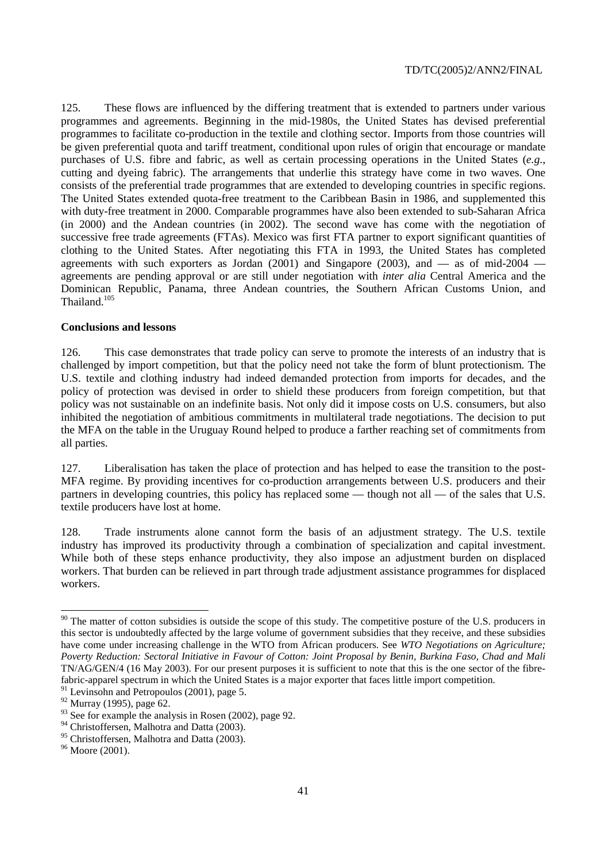125. These flows are influenced by the differing treatment that is extended to partners under various programmes and agreements. Beginning in the mid-1980s, the United States has devised preferential programmes to facilitate co-production in the textile and clothing sector. Imports from those countries will be given preferential quota and tariff treatment, conditional upon rules of origin that encourage or mandate purchases of U.S. fibre and fabric, as well as certain processing operations in the United States (*e.g.*, cutting and dyeing fabric). The arrangements that underlie this strategy have come in two waves. One consists of the preferential trade programmes that are extended to developing countries in specific regions. The United States extended quota-free treatment to the Caribbean Basin in 1986, and supplemented this with duty-free treatment in 2000. Comparable programmes have also been extended to sub-Saharan Africa (in 2000) and the Andean countries (in 2002). The second wave has come with the negotiation of successive free trade agreements (FTAs). Mexico was first FTA partner to export significant quantities of clothing to the United States. After negotiating this FTA in 1993, the United States has completed agreements with such exporters as Jordan (2001) and Singapore (2003), and  $-$  as of mid-2004  $$ agreements are pending approval or are still under negotiation with *inter alia* Central America and the Dominican Republic, Panama, three Andean countries, the Southern African Customs Union, and Thailand.<sup>105</sup>

#### **Conclusions and lessons**

126. This case demonstrates that trade policy can serve to promote the interests of an industry that is challenged by import competition, but that the policy need not take the form of blunt protectionism. The U.S. textile and clothing industry had indeed demanded protection from imports for decades, and the policy of protection was devised in order to shield these producers from foreign competition, but that policy was not sustainable on an indefinite basis. Not only did it impose costs on U.S. consumers, but also inhibited the negotiation of ambitious commitments in multilateral trade negotiations. The decision to put the MFA on the table in the Uruguay Round helped to produce a farther reaching set of commitments from all parties.

127. Liberalisation has taken the place of protection and has helped to ease the transition to the post-MFA regime. By providing incentives for co-production arrangements between U.S. producers and their partners in developing countries, this policy has replaced some — though not all — of the sales that U.S. textile producers have lost at home.

128. Trade instruments alone cannot form the basis of an adjustment strategy. The U.S. textile industry has improved its productivity through a combination of specialization and capital investment. While both of these steps enhance productivity, they also impose an adjustment burden on displaced workers. That burden can be relieved in part through trade adjustment assistance programmes for displaced workers.

 $\overline{a}$ 

 $90$  The matter of cotton subsidies is outside the scope of this study. The competitive posture of the U.S. producers in this sector is undoubtedly affected by the large volume of government subsidies that they receive, and these subsidies have come under increasing challenge in the WTO from African producers. See *WTO Negotiations on Agriculture; Poverty Reduction: Sectoral Initiative in Favour of Cotton: Joint Proposal by Benin, Burkina Faso, Chad and Mali*  TN/AG/GEN/4 (16 May 2003). For our present purposes it is sufficient to note that this is the one sector of the fibrefabric-apparel spectrum in which the United States is a major exporter that faces little import competition.

 $91$  Levinsohn and Petropoulos (2001), page 5.

<sup>92</sup> Murray (1995), page 62.

 $93$  See for example the analysis in Rosen (2002), page 92.

<sup>&</sup>lt;sup>94</sup> Christoffersen, Malhotra and Datta (2003).

<sup>&</sup>lt;sup>95</sup> Christoffersen, Malhotra and Datta (2003).

<sup>96</sup> Moore (2001).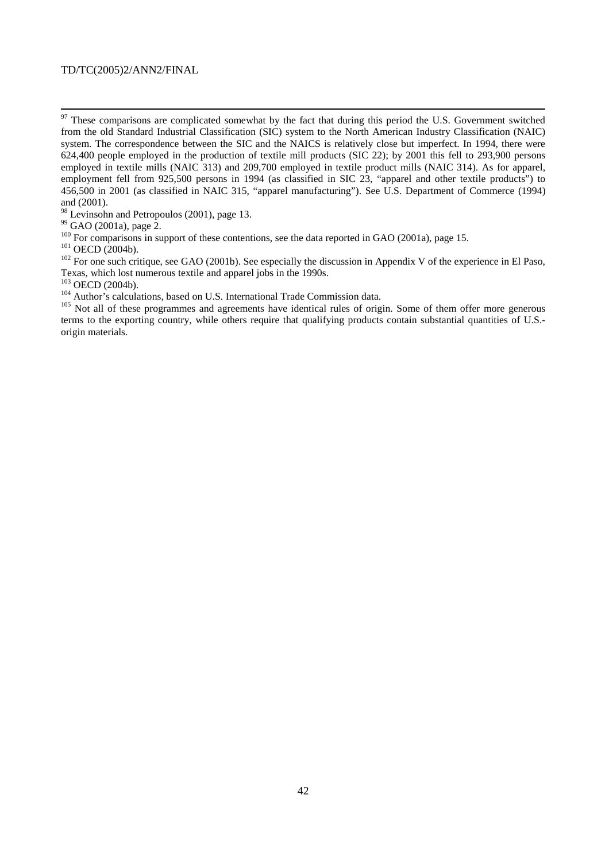<sup>98</sup> Levinsohn and Petropoulos (2001), page 13.

 $^{99}$  GAO (2001a), page 2.<br><sup>100</sup> For comparisons in support of these contentions, see the data reported in GAO (2001a), page 15.

<sup>101</sup> OECD (2004b).<br><sup>102</sup> For one such critique, see GAO (2001b). See especially the discussion in Appendix V of the experience in El Paso, Texas, which lost numerous textile and apparel jobs in the 1990s.

<sup>104</sup> Author's calculations, based on U.S. International Trade Commission data.<br><sup>105</sup> Not all of these programmes and agreements have identical rules of origin. Some of them offer more generous terms to the exporting country, while others require that qualifying products contain substantial quantities of U.S. origin materials.

<sup>&</sup>lt;sup>97</sup> These comparisons are complicated somewhat by the fact that during this period the U.S. Government switched from the old Standard Industrial Classification (SIC) system to the North American Industry Classification (NAIC) system. The correspondence between the SIC and the NAICS is relatively close but imperfect. In 1994, there were 624,400 people employed in the production of textile mill products (SIC 22); by 2001 this fell to 293,900 persons employed in textile mills (NAIC 313) and 209,700 employed in textile product mills (NAIC 314). As for apparel, employment fell from 925,500 persons in 1994 (as classified in SIC 23, "apparel and other textile products") to 456,500 in 2001 (as classified in NAIC 315, "apparel manufacturing"). See U.S. Department of Commerce (1994) and (2001).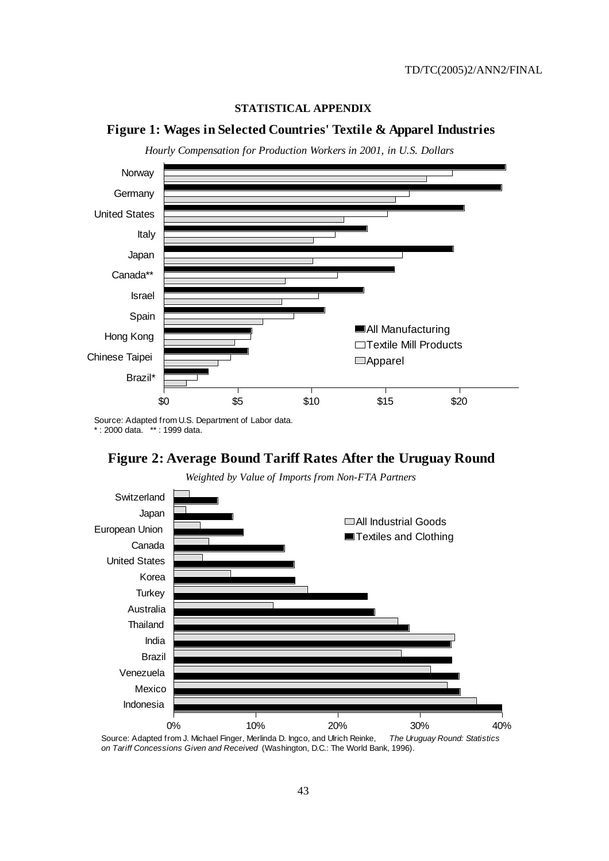# **STATISTICAL APPENDIX**

# **Figure 1: Wages in Selected Countries' Textile & Apparel Industries**

*Hourly Compensation for Production Workers in 2001, in U.S. Dollars*



\* : 2000 data. \*\* : 1999 data.





*Weighted by Value of Imports from Non-FTA Partners*

Source: Adapted from J. Michael Finger, Merlinda D. Ingco, and Ulrich Reinke, The Uruguay Round: Statistics on Tariff Concessions Given and Received (Washington, D.C.: The World Bank, 1996).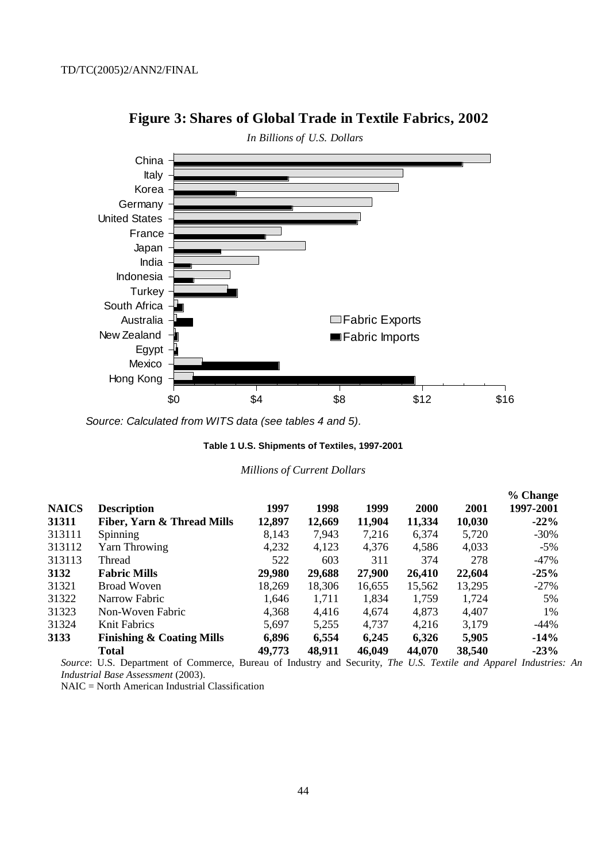

# **Figure 3: Shares of Global Trade in Textile Fabrics, 2002**

Source: Calculated from WITS data (see tables 4 and 5).

## **Table 1 U.S. Shipments of Textiles, 1997-2001**

#### *Millions of Current Dollars*

| <b>NAICS</b> | <b>Description</b>                    | 1997   | 1998   | 1999   | <b>2000</b> | 2001   | % Change<br>1997-2001 |
|--------------|---------------------------------------|--------|--------|--------|-------------|--------|-----------------------|
| 31311        | <b>Fiber, Yarn &amp; Thread Mills</b> | 12,897 | 12,669 | 11,904 | 11,334      | 10,030 | $-22%$                |
| 313111       | <b>Spinning</b>                       | 8,143  | 7,943  | 7,216  | 6,374       | 5,720  | $-30\%$               |
| 313112       | Yarn Throwing                         | 4,232  | 4,123  | 4,376  | 4,586       | 4,033  | $-5\%$                |
| 313113       | Thread                                | 522    | 603    | 311    | 374         | 278    | $-47%$                |
| 3132         | <b>Fabric Mills</b>                   | 29,980 | 29,688 | 27,900 | 26,410      | 22,604 | $-25%$                |
| 31321        | Broad Woven                           | 18,269 | 18,306 | 16,655 | 15,562      | 13,295 | $-27%$                |
| 31322        | Narrow Fabric                         | 1,646  | 1,711  | 1,834  | 1,759       | 1,724  | 5%                    |
| 31323        | Non-Woven Fabric                      | 4,368  | 4,416  | 4,674  | 4,873       | 4,407  | 1%                    |
| 31324        | Knit Fabrics                          | 5,697  | 5,255  | 4,737  | 4,216       | 3,179  | -44%                  |
| 3133         | <b>Finishing &amp; Coating Mills</b>  | 6,896  | 6,554  | 6,245  | 6,326       | 5,905  | $-14%$                |
|              | <b>Total</b>                          | 49,773 | 48,911 | 46,049 | 44,070      | 38,540 | $-23%$                |

*Source*: U.S. Department of Commerce, Bureau of Industry and Security, *The U.S. Textile and Apparel Industries: An Industrial Base Assessment* (2003).

NAIC = North American Industrial Classification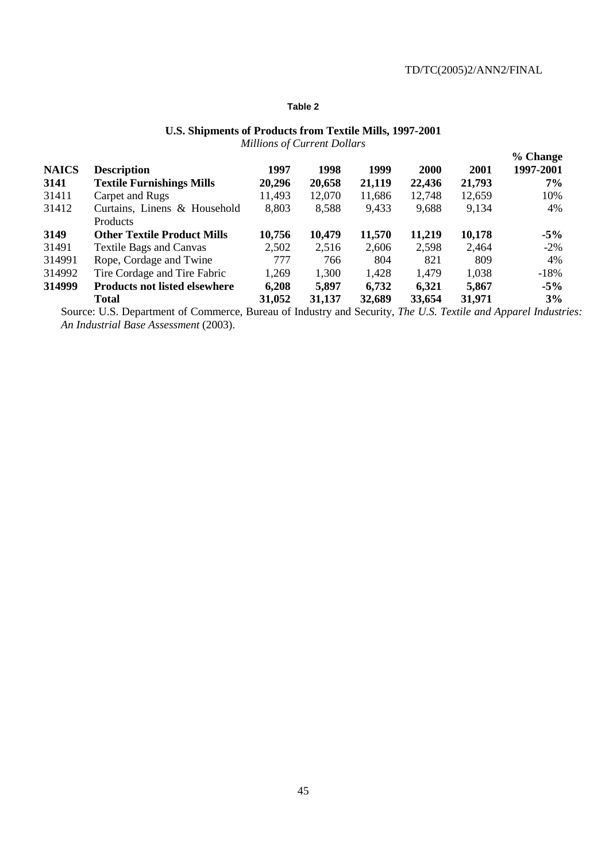## **Table 2**

#### **U.S. Shipments of Products from Textile Mills, 1997-2001**  *Millions of Current Dollars*

|              |                                      |        | $\frac{1}{2}$ |        |        |        | % Change  |
|--------------|--------------------------------------|--------|---------------|--------|--------|--------|-----------|
| <b>NAICS</b> | <b>Description</b>                   | 1997   | 1998          | 1999   | 2000   | 2001   | 1997-2001 |
| 3141         | <b>Textile Furnishings Mills</b>     | 20,296 | 20,658        | 21,119 | 22,436 | 21,793 | $7\%$     |
| 31411        | Carpet and Rugs                      | 11,493 | 12,070        | 11,686 | 12,748 | 12,659 | 10%       |
| 31412        | Curtains, Linens & Household         | 8,803  | 8,588         | 9,433  | 9,688  | 9,134  | 4%        |
|              | Products                             |        |               |        |        |        |           |
| 3149         | <b>Other Textile Product Mills</b>   | 10,756 | 10,479        | 11,570 | 11,219 | 10,178 | $-5%$     |
| 31491        | <b>Textile Bags and Canvas</b>       | 2,502  | 2,516         | 2,606  | 2,598  | 2,464  | $-2\%$    |
| 314991       | Rope, Cordage and Twine              | 777    | 766           | 804    | 821    | 809    | 4%        |
| 314992       | Tire Cordage and Tire Fabric         | 1,269  | 1,300         | 1,428  | 1,479  | 1,038  | $-18%$    |
| 314999       | <b>Products not listed elsewhere</b> | 6,208  | 5,897         | 6,732  | 6,321  | 5,867  | $-5%$     |
|              | <b>Total</b>                         | 31,052 | 31,137        | 32,689 | 33,654 | 31,971 | 3%        |

Source: U.S. Department of Commerce, Bureau of Industry and Security, *The U.S. Textile and Apparel Industries: An Industrial Base Assessment* (2003).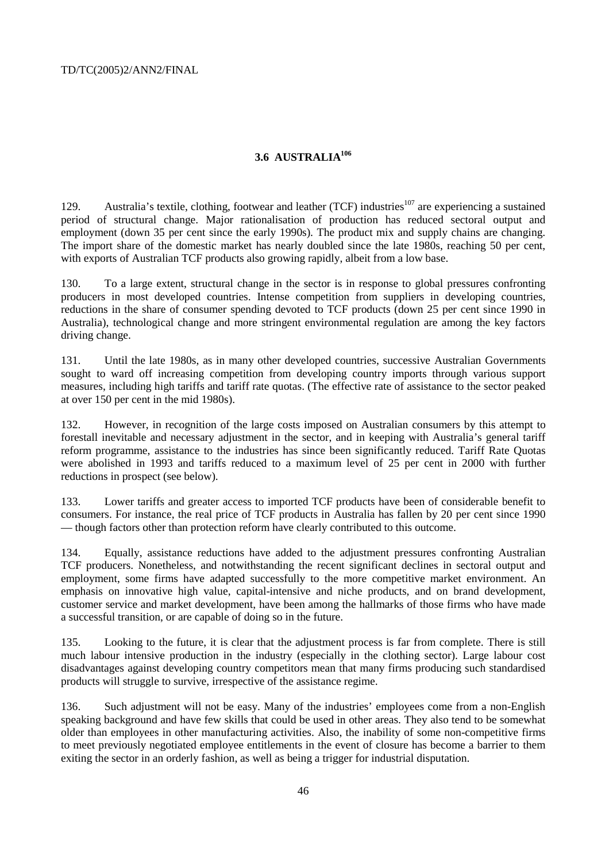# **3.6 AUSTRALIA106**

129. Australia's textile, clothing, footwear and leather (TCF) industries<sup>107</sup> are experiencing a sustained period of structural change. Major rationalisation of production has reduced sectoral output and employment (down 35 per cent since the early 1990s). The product mix and supply chains are changing. The import share of the domestic market has nearly doubled since the late 1980s, reaching 50 per cent, with exports of Australian TCF products also growing rapidly, albeit from a low base.

130. To a large extent, structural change in the sector is in response to global pressures confronting producers in most developed countries. Intense competition from suppliers in developing countries, reductions in the share of consumer spending devoted to TCF products (down 25 per cent since 1990 in Australia), technological change and more stringent environmental regulation are among the key factors driving change.

131. Until the late 1980s, as in many other developed countries, successive Australian Governments sought to ward off increasing competition from developing country imports through various support measures, including high tariffs and tariff rate quotas. (The effective rate of assistance to the sector peaked at over 150 per cent in the mid 1980s).

132. However, in recognition of the large costs imposed on Australian consumers by this attempt to forestall inevitable and necessary adjustment in the sector, and in keeping with Australia's general tariff reform programme, assistance to the industries has since been significantly reduced. Tariff Rate Quotas were abolished in 1993 and tariffs reduced to a maximum level of 25 per cent in 2000 with further reductions in prospect (see below).

133. Lower tariffs and greater access to imported TCF products have been of considerable benefit to consumers. For instance, the real price of TCF products in Australia has fallen by 20 per cent since 1990 — though factors other than protection reform have clearly contributed to this outcome.

134. Equally, assistance reductions have added to the adjustment pressures confronting Australian TCF producers. Nonetheless, and notwithstanding the recent significant declines in sectoral output and employment, some firms have adapted successfully to the more competitive market environment. An emphasis on innovative high value, capital-intensive and niche products, and on brand development, customer service and market development, have been among the hallmarks of those firms who have made a successful transition, or are capable of doing so in the future.

135. Looking to the future, it is clear that the adjustment process is far from complete. There is still much labour intensive production in the industry (especially in the clothing sector). Large labour cost disadvantages against developing country competitors mean that many firms producing such standardised products will struggle to survive, irrespective of the assistance regime.

136. Such adjustment will not be easy. Many of the industries' employees come from a non-English speaking background and have few skills that could be used in other areas. They also tend to be somewhat older than employees in other manufacturing activities. Also, the inability of some non-competitive firms to meet previously negotiated employee entitlements in the event of closure has become a barrier to them exiting the sector in an orderly fashion, as well as being a trigger for industrial disputation.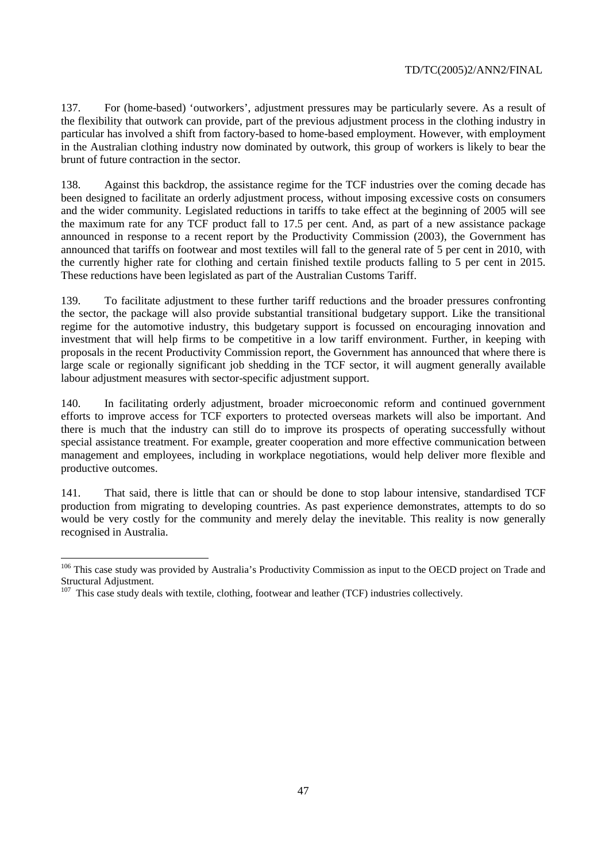137. For (home-based) 'outworkers', adjustment pressures may be particularly severe. As a result of the flexibility that outwork can provide, part of the previous adjustment process in the clothing industry in particular has involved a shift from factory-based to home-based employment. However, with employment in the Australian clothing industry now dominated by outwork, this group of workers is likely to bear the brunt of future contraction in the sector.

138. Against this backdrop, the assistance regime for the TCF industries over the coming decade has been designed to facilitate an orderly adjustment process, without imposing excessive costs on consumers and the wider community. Legislated reductions in tariffs to take effect at the beginning of 2005 will see the maximum rate for any TCF product fall to 17.5 per cent. And, as part of a new assistance package announced in response to a recent report by the Productivity Commission (2003), the Government has announced that tariffs on footwear and most textiles will fall to the general rate of 5 per cent in 2010, with the currently higher rate for clothing and certain finished textile products falling to 5 per cent in 2015. These reductions have been legislated as part of the Australian Customs Tariff.

139. To facilitate adjustment to these further tariff reductions and the broader pressures confronting the sector, the package will also provide substantial transitional budgetary support. Like the transitional regime for the automotive industry, this budgetary support is focussed on encouraging innovation and investment that will help firms to be competitive in a low tariff environment. Further, in keeping with proposals in the recent Productivity Commission report, the Government has announced that where there is large scale or regionally significant job shedding in the TCF sector, it will augment generally available labour adjustment measures with sector-specific adjustment support.

140. In facilitating orderly adjustment, broader microeconomic reform and continued government efforts to improve access for TCF exporters to protected overseas markets will also be important. And there is much that the industry can still do to improve its prospects of operating successfully without special assistance treatment. For example, greater cooperation and more effective communication between management and employees, including in workplace negotiations, would help deliver more flexible and productive outcomes.

141. That said, there is little that can or should be done to stop labour intensive, standardised TCF production from migrating to developing countries. As past experience demonstrates, attempts to do so would be very costly for the community and merely delay the inevitable. This reality is now generally recognised in Australia.

 $\overline{a}$ 

<sup>&</sup>lt;sup>106</sup> This case study was provided by Australia's Productivity Commission as input to the OECD project on Trade and Structural Adjustment.

 $107$  This case study deals with textile, clothing, footwear and leather (TCF) industries collectively.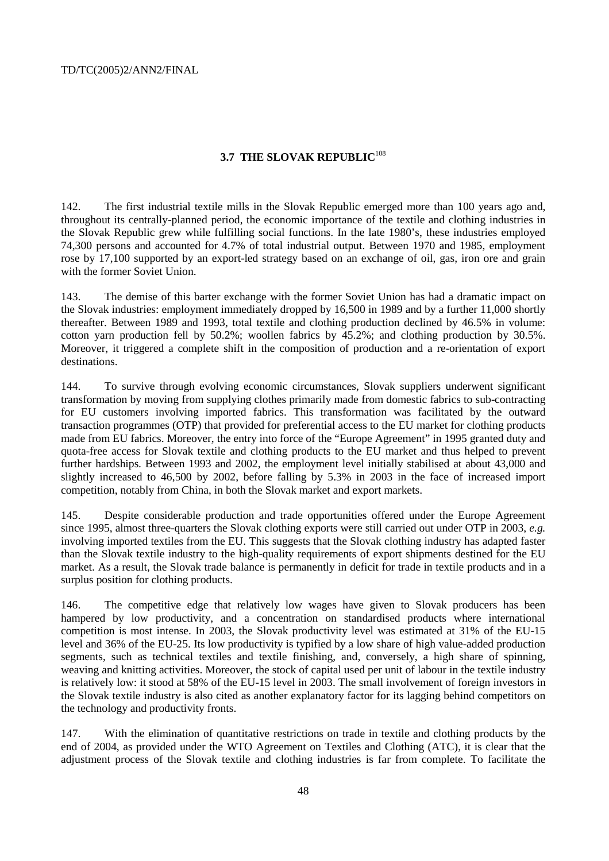# **3.7 THE SLOVAK REPUBLIC**<sup>108</sup>

142. The first industrial textile mills in the Slovak Republic emerged more than 100 years ago and, throughout its centrally-planned period, the economic importance of the textile and clothing industries in the Slovak Republic grew while fulfilling social functions. In the late 1980's, these industries employed 74,300 persons and accounted for 4.7% of total industrial output. Between 1970 and 1985, employment rose by 17,100 supported by an export-led strategy based on an exchange of oil, gas, iron ore and grain with the former Soviet Union.

143. The demise of this barter exchange with the former Soviet Union has had a dramatic impact on the Slovak industries: employment immediately dropped by 16,500 in 1989 and by a further 11,000 shortly thereafter. Between 1989 and 1993, total textile and clothing production declined by 46.5% in volume: cotton yarn production fell by 50.2%; woollen fabrics by 45.2%; and clothing production by 30.5%. Moreover, it triggered a complete shift in the composition of production and a re-orientation of export destinations.

144. To survive through evolving economic circumstances, Slovak suppliers underwent significant transformation by moving from supplying clothes primarily made from domestic fabrics to sub-contracting for EU customers involving imported fabrics. This transformation was facilitated by the outward transaction programmes (OTP) that provided for preferential access to the EU market for clothing products made from EU fabrics. Moreover, the entry into force of the "Europe Agreement" in 1995 granted duty and quota-free access for Slovak textile and clothing products to the EU market and thus helped to prevent further hardships. Between 1993 and 2002, the employment level initially stabilised at about 43,000 and slightly increased to 46,500 by 2002, before falling by 5.3% in 2003 in the face of increased import competition, notably from China, in both the Slovak market and export markets.

145. Despite considerable production and trade opportunities offered under the Europe Agreement since 1995, almost three-quarters the Slovak clothing exports were still carried out under OTP in 2003, *e.g.* involving imported textiles from the EU. This suggests that the Slovak clothing industry has adapted faster than the Slovak textile industry to the high-quality requirements of export shipments destined for the EU market. As a result, the Slovak trade balance is permanently in deficit for trade in textile products and in a surplus position for clothing products.

146. The competitive edge that relatively low wages have given to Slovak producers has been hampered by low productivity, and a concentration on standardised products where international competition is most intense. In 2003, the Slovak productivity level was estimated at 31% of the EU-15 level and 36% of the EU-25. Its low productivity is typified by a low share of high value-added production segments, such as technical textiles and textile finishing, and, conversely, a high share of spinning, weaving and knitting activities. Moreover, the stock of capital used per unit of labour in the textile industry is relatively low: it stood at 58% of the EU-15 level in 2003. The small involvement of foreign investors in the Slovak textile industry is also cited as another explanatory factor for its lagging behind competitors on the technology and productivity fronts.

147. With the elimination of quantitative restrictions on trade in textile and clothing products by the end of 2004, as provided under the WTO Agreement on Textiles and Clothing (ATC), it is clear that the adjustment process of the Slovak textile and clothing industries is far from complete. To facilitate the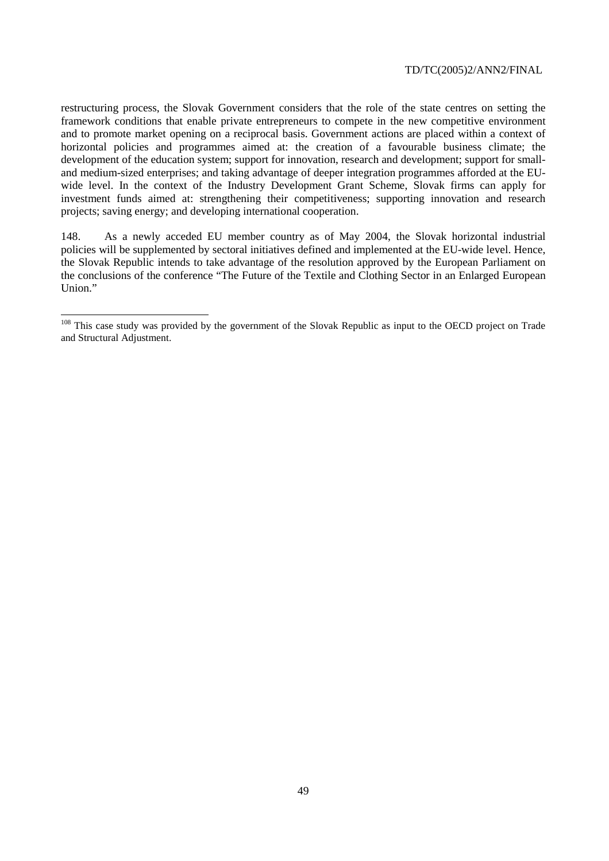restructuring process, the Slovak Government considers that the role of the state centres on setting the framework conditions that enable private entrepreneurs to compete in the new competitive environment and to promote market opening on a reciprocal basis. Government actions are placed within a context of horizontal policies and programmes aimed at: the creation of a favourable business climate; the development of the education system; support for innovation, research and development; support for smalland medium-sized enterprises; and taking advantage of deeper integration programmes afforded at the EUwide level. In the context of the Industry Development Grant Scheme, Slovak firms can apply for investment funds aimed at: strengthening their competitiveness; supporting innovation and research projects; saving energy; and developing international cooperation.

148. As a newly acceded EU member country as of May 2004, the Slovak horizontal industrial policies will be supplemented by sectoral initiatives defined and implemented at the EU-wide level. Hence, the Slovak Republic intends to take advantage of the resolution approved by the European Parliament on the conclusions of the conference "The Future of the Textile and Clothing Sector in an Enlarged European Union."

 $\overline{a}$ 

<sup>&</sup>lt;sup>108</sup> This case study was provided by the government of the Slovak Republic as input to the OECD project on Trade and Structural Adjustment.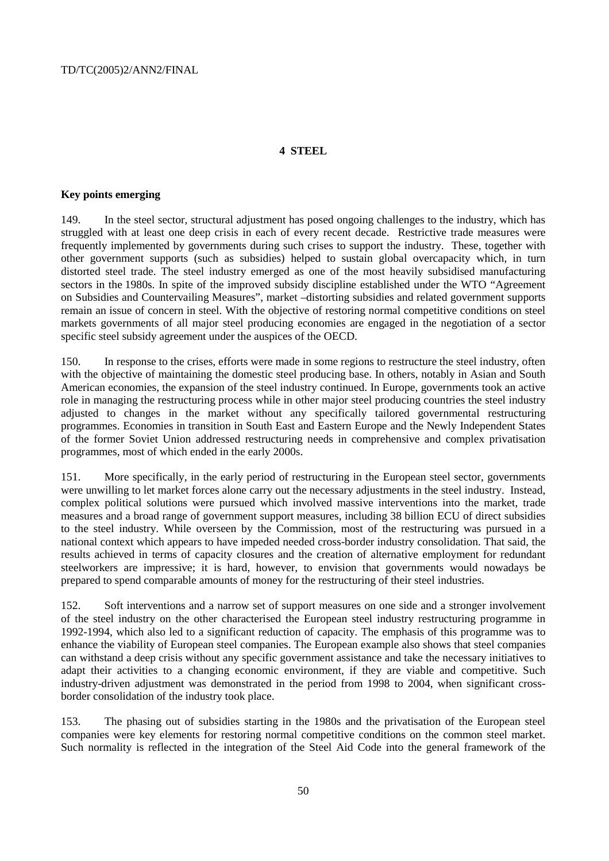# **4 STEEL**

#### **Key points emerging**

149. In the steel sector, structural adjustment has posed ongoing challenges to the industry, which has struggled with at least one deep crisis in each of every recent decade. Restrictive trade measures were frequently implemented by governments during such crises to support the industry. These, together with other government supports (such as subsidies) helped to sustain global overcapacity which, in turn distorted steel trade. The steel industry emerged as one of the most heavily subsidised manufacturing sectors in the 1980s. In spite of the improved subsidy discipline established under the WTO "Agreement on Subsidies and Countervailing Measures", market –distorting subsidies and related government supports remain an issue of concern in steel. With the objective of restoring normal competitive conditions on steel markets governments of all major steel producing economies are engaged in the negotiation of a sector specific steel subsidy agreement under the auspices of the OECD.

150. In response to the crises, efforts were made in some regions to restructure the steel industry, often with the objective of maintaining the domestic steel producing base. In others, notably in Asian and South American economies, the expansion of the steel industry continued. In Europe, governments took an active role in managing the restructuring process while in other major steel producing countries the steel industry adjusted to changes in the market without any specifically tailored governmental restructuring programmes. Economies in transition in South East and Eastern Europe and the Newly Independent States of the former Soviet Union addressed restructuring needs in comprehensive and complex privatisation programmes, most of which ended in the early 2000s.

151. More specifically, in the early period of restructuring in the European steel sector, governments were unwilling to let market forces alone carry out the necessary adjustments in the steel industry. Instead, complex political solutions were pursued which involved massive interventions into the market, trade measures and a broad range of government support measures, including 38 billion ECU of direct subsidies to the steel industry. While overseen by the Commission, most of the restructuring was pursued in a national context which appears to have impeded needed cross-border industry consolidation. That said, the results achieved in terms of capacity closures and the creation of alternative employment for redundant steelworkers are impressive; it is hard, however, to envision that governments would nowadays be prepared to spend comparable amounts of money for the restructuring of their steel industries.

152. Soft interventions and a narrow set of support measures on one side and a stronger involvement of the steel industry on the other characterised the European steel industry restructuring programme in 1992-1994, which also led to a significant reduction of capacity. The emphasis of this programme was to enhance the viability of European steel companies. The European example also shows that steel companies can withstand a deep crisis without any specific government assistance and take the necessary initiatives to adapt their activities to a changing economic environment, if they are viable and competitive. Such industry-driven adjustment was demonstrated in the period from 1998 to 2004, when significant crossborder consolidation of the industry took place.

153. The phasing out of subsidies starting in the 1980s and the privatisation of the European steel companies were key elements for restoring normal competitive conditions on the common steel market. Such normality is reflected in the integration of the Steel Aid Code into the general framework of the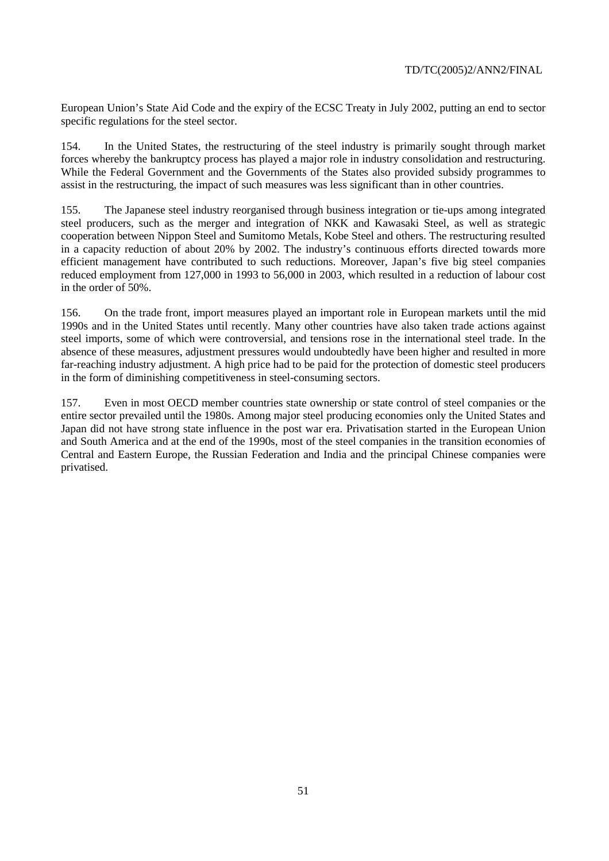European Union's State Aid Code and the expiry of the ECSC Treaty in July 2002, putting an end to sector specific regulations for the steel sector.

154. In the United States, the restructuring of the steel industry is primarily sought through market forces whereby the bankruptcy process has played a major role in industry consolidation and restructuring. While the Federal Government and the Governments of the States also provided subsidy programmes to assist in the restructuring, the impact of such measures was less significant than in other countries.

155. The Japanese steel industry reorganised through business integration or tie-ups among integrated steel producers, such as the merger and integration of NKK and Kawasaki Steel, as well as strategic cooperation between Nippon Steel and Sumitomo Metals, Kobe Steel and others. The restructuring resulted in a capacity reduction of about 20% by 2002. The industry's continuous efforts directed towards more efficient management have contributed to such reductions. Moreover, Japan's five big steel companies reduced employment from 127,000 in 1993 to 56,000 in 2003, which resulted in a reduction of labour cost in the order of 50%.

156. On the trade front, import measures played an important role in European markets until the mid 1990s and in the United States until recently. Many other countries have also taken trade actions against steel imports, some of which were controversial, and tensions rose in the international steel trade. In the absence of these measures, adjustment pressures would undoubtedly have been higher and resulted in more far-reaching industry adjustment. A high price had to be paid for the protection of domestic steel producers in the form of diminishing competitiveness in steel-consuming sectors.

157. Even in most OECD member countries state ownership or state control of steel companies or the entire sector prevailed until the 1980s. Among major steel producing economies only the United States and Japan did not have strong state influence in the post war era. Privatisation started in the European Union and South America and at the end of the 1990s, most of the steel companies in the transition economies of Central and Eastern Europe, the Russian Federation and India and the principal Chinese companies were privatised.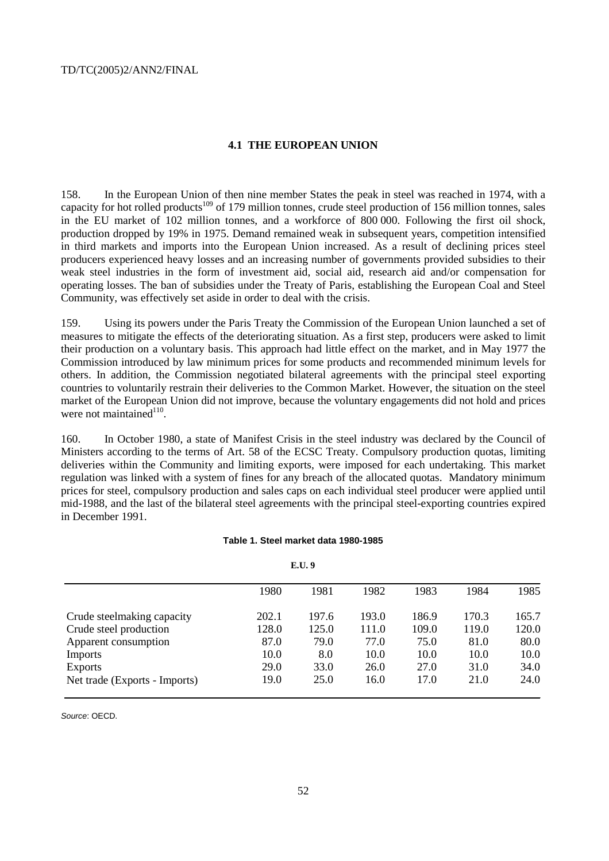## **4.1 THE EUROPEAN UNION**

158. In the European Union of then nine member States the peak in steel was reached in 1974, with a capacity for hot rolled products<sup>109</sup> of 179 million tonnes, crude steel production of 156 million tonnes, sales in the EU market of 102 million tonnes, and a workforce of 800 000. Following the first oil shock, production dropped by 19% in 1975. Demand remained weak in subsequent years, competition intensified in third markets and imports into the European Union increased. As a result of declining prices steel producers experienced heavy losses and an increasing number of governments provided subsidies to their weak steel industries in the form of investment aid, social aid, research aid and/or compensation for operating losses. The ban of subsidies under the Treaty of Paris, establishing the European Coal and Steel Community, was effectively set aside in order to deal with the crisis.

159. Using its powers under the Paris Treaty the Commission of the European Union launched a set of measures to mitigate the effects of the deteriorating situation. As a first step, producers were asked to limit their production on a voluntary basis. This approach had little effect on the market, and in May 1977 the Commission introduced by law minimum prices for some products and recommended minimum levels for others. In addition, the Commission negotiated bilateral agreements with the principal steel exporting countries to voluntarily restrain their deliveries to the Common Market. However, the situation on the steel market of the European Union did not improve, because the voluntary engagements did not hold and prices were not maintained $110$ .

160. In October 1980, a state of Manifest Crisis in the steel industry was declared by the Council of Ministers according to the terms of Art. 58 of the ECSC Treaty. Compulsory production quotas, limiting deliveries within the Community and limiting exports, were imposed for each undertaking. This market regulation was linked with a system of fines for any breach of the allocated quotas. Mandatory minimum prices for steel, compulsory production and sales caps on each individual steel producer were applied until mid-1988, and the last of the bilateral steel agreements with the principal steel-exporting countries expired in December 1991.

#### **Table 1. Steel market data 1980-1985**

|                               |       | .     |       |       |       |       |
|-------------------------------|-------|-------|-------|-------|-------|-------|
|                               | 1980  | 1981  | 1982  | 1983  | 1984  | 1985  |
| Crude steelmaking capacity    | 202.1 | 197.6 | 193.0 | 186.9 | 170.3 | 165.7 |
| Crude steel production        | 128.0 | 125.0 | 111.0 | 109.0 | 119.0 | 120.0 |
| Apparent consumption          | 87.0  | 79.0  | 77.0  | 75.0  | 81.0  | 80.0  |
| <b>Imports</b>                | 10.0  | 8.0   | 10.0  | 10.0  | 10.0  | 10.0  |
| <b>Exports</b>                | 29.0  | 33.0  | 26.0  | 27.0  | 31.0  | 34.0  |
| Net trade (Exports - Imports) | 19.0  | 25.0  | 16.0  | 17.0  | 21.0  | 24.0  |

**E.U. 9**

Source: OECD.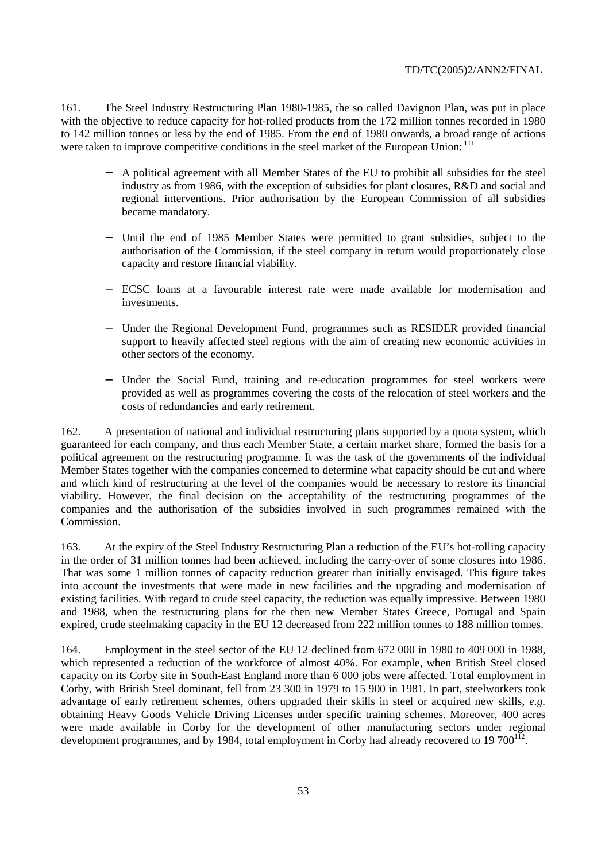161. The Steel Industry Restructuring Plan 1980-1985, the so called Davignon Plan, was put in place with the objective to reduce capacity for hot-rolled products from the 172 million tonnes recorded in 1980 to 142 million tonnes or less by the end of 1985. From the end of 1980 onwards, a broad range of actions were taken to improve competitive conditions in the steel market of the European Union: <sup>111</sup>

- − A political agreement with all Member States of the EU to prohibit all subsidies for the steel industry as from 1986, with the exception of subsidies for plant closures, R&D and social and regional interventions. Prior authorisation by the European Commission of all subsidies became mandatory.
- − Until the end of 1985 Member States were permitted to grant subsidies, subject to the authorisation of the Commission, if the steel company in return would proportionately close capacity and restore financial viability.
- ECSC loans at a favourable interest rate were made available for modernisation and investments.
- Under the Regional Development Fund, programmes such as RESIDER provided financial support to heavily affected steel regions with the aim of creating new economic activities in other sectors of the economy.
- Under the Social Fund, training and re-education programmes for steel workers were provided as well as programmes covering the costs of the relocation of steel workers and the costs of redundancies and early retirement.

162. A presentation of national and individual restructuring plans supported by a quota system, which guaranteed for each company, and thus each Member State, a certain market share, formed the basis for a political agreement on the restructuring programme. It was the task of the governments of the individual Member States together with the companies concerned to determine what capacity should be cut and where and which kind of restructuring at the level of the companies would be necessary to restore its financial viability. However, the final decision on the acceptability of the restructuring programmes of the companies and the authorisation of the subsidies involved in such programmes remained with the Commission.

163. At the expiry of the Steel Industry Restructuring Plan a reduction of the EU's hot-rolling capacity in the order of 31 million tonnes had been achieved, including the carry-over of some closures into 1986. That was some 1 million tonnes of capacity reduction greater than initially envisaged. This figure takes into account the investments that were made in new facilities and the upgrading and modernisation of existing facilities. With regard to crude steel capacity, the reduction was equally impressive. Between 1980 and 1988, when the restructuring plans for the then new Member States Greece, Portugal and Spain expired, crude steelmaking capacity in the EU 12 decreased from 222 million tonnes to 188 million tonnes.

164. Employment in the steel sector of the EU 12 declined from 672 000 in 1980 to 409 000 in 1988, which represented a reduction of the workforce of almost 40%. For example, when British Steel closed capacity on its Corby site in South-East England more than 6 000 jobs were affected. Total employment in Corby, with British Steel dominant, fell from 23 300 in 1979 to 15 900 in 1981. In part, steelworkers took advantage of early retirement schemes, others upgraded their skills in steel or acquired new skills, *e.g.* obtaining Heavy Goods Vehicle Driving Licenses under specific training schemes. Moreover, 400 acres were made available in Corby for the development of other manufacturing sectors under regional development programmes, and by 1984, total employment in Corby had already recovered to 19  $700^{112}$ .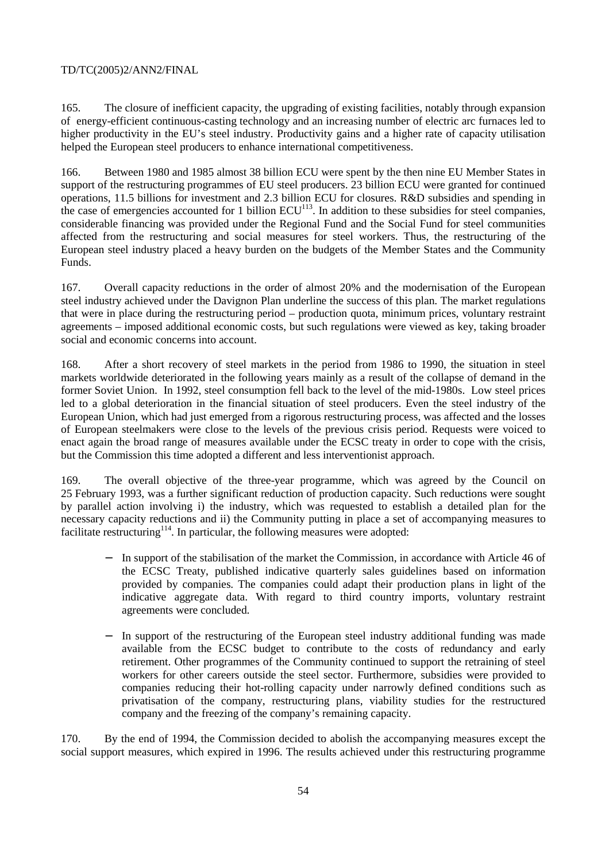165. The closure of inefficient capacity, the upgrading of existing facilities, notably through expansion of energy-efficient continuous-casting technology and an increasing number of electric arc furnaces led to higher productivity in the EU's steel industry. Productivity gains and a higher rate of capacity utilisation helped the European steel producers to enhance international competitiveness.

166. Between 1980 and 1985 almost 38 billion ECU were spent by the then nine EU Member States in support of the restructuring programmes of EU steel producers. 23 billion ECU were granted for continued operations, 11.5 billions for investment and 2.3 billion ECU for closures. R&D subsidies and spending in the case of emergencies accounted for 1 billion  $ECU<sup>113</sup>$ . In addition to these subsidies for steel companies, considerable financing was provided under the Regional Fund and the Social Fund for steel communities affected from the restructuring and social measures for steel workers. Thus, the restructuring of the European steel industry placed a heavy burden on the budgets of the Member States and the Community Funds.

167. Overall capacity reductions in the order of almost 20% and the modernisation of the European steel industry achieved under the Davignon Plan underline the success of this plan. The market regulations that were in place during the restructuring period – production quota, minimum prices, voluntary restraint agreements – imposed additional economic costs, but such regulations were viewed as key, taking broader social and economic concerns into account.

168. After a short recovery of steel markets in the period from 1986 to 1990, the situation in steel markets worldwide deteriorated in the following years mainly as a result of the collapse of demand in the former Soviet Union. In 1992, steel consumption fell back to the level of the mid-1980s. Low steel prices led to a global deterioration in the financial situation of steel producers. Even the steel industry of the European Union, which had just emerged from a rigorous restructuring process, was affected and the losses of European steelmakers were close to the levels of the previous crisis period. Requests were voiced to enact again the broad range of measures available under the ECSC treaty in order to cope with the crisis, but the Commission this time adopted a different and less interventionist approach.

169. The overall objective of the three-year programme, which was agreed by the Council on 25 February 1993, was a further significant reduction of production capacity. Such reductions were sought by parallel action involving i) the industry, which was requested to establish a detailed plan for the necessary capacity reductions and ii) the Community putting in place a set of accompanying measures to facilitate restructuring<sup> $114$ </sup>. In particular, the following measures were adopted:

- In support of the stabilisation of the market the Commission, in accordance with Article 46 of the ECSC Treaty, published indicative quarterly sales guidelines based on information provided by companies. The companies could adapt their production plans in light of the indicative aggregate data. With regard to third country imports, voluntary restraint agreements were concluded.
- In support of the restructuring of the European steel industry additional funding was made available from the ECSC budget to contribute to the costs of redundancy and early retirement. Other programmes of the Community continued to support the retraining of steel workers for other careers outside the steel sector. Furthermore, subsidies were provided to companies reducing their hot-rolling capacity under narrowly defined conditions such as privatisation of the company, restructuring plans, viability studies for the restructured company and the freezing of the company's remaining capacity.

170. By the end of 1994, the Commission decided to abolish the accompanying measures except the social support measures, which expired in 1996. The results achieved under this restructuring programme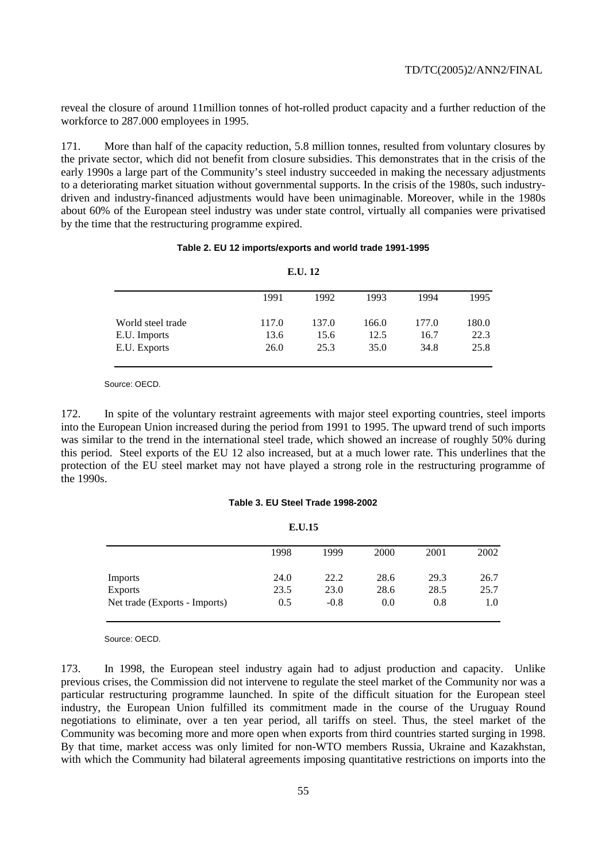reveal the closure of around 11million tonnes of hot-rolled product capacity and a further reduction of the workforce to 287.000 employees in 1995.

171. More than half of the capacity reduction, 5.8 million tonnes, resulted from voluntary closures by the private sector, which did not benefit from closure subsidies. This demonstrates that in the crisis of the early 1990s a large part of the Community's steel industry succeeded in making the necessary adjustments to a deteriorating market situation without governmental supports. In the crisis of the 1980s, such industrydriven and industry-financed adjustments would have been unimaginable. Moreover, while in the 1980s about 60% of the European steel industry was under state control, virtually all companies were privatised by the time that the restructuring programme expired.

#### **Table 2. EU 12 imports/exports and world trade 1991-1995**

| E.U. 12           |       |       |       |       |       |  |  |
|-------------------|-------|-------|-------|-------|-------|--|--|
|                   | 1991  | 1992  | 1993  | 1994  | 1995  |  |  |
| World steel trade | 117.0 | 137.0 | 166.0 | 177.0 | 180.0 |  |  |
| E.U. Imports      | 13.6  | 15.6  | 12.5  | 16.7  | 22.3  |  |  |
| E.U. Exports      | 26.0  | 25.3  | 35.0  | 34.8  | 25.8  |  |  |

Source: OECD.

172. In spite of the voluntary restraint agreements with major steel exporting countries, steel imports into the European Union increased during the period from 1991 to 1995. The upward trend of such imports was similar to the trend in the international steel trade, which showed an increase of roughly 50% during this period. Steel exports of the EU 12 also increased, but at a much lower rate. This underlines that the protection of the EU steel market may not have played a strong role in the restructuring programme of the 1990s.

#### **Table 3. EU Steel Trade 1998-2002**

| E.U.15                        |      |        |      |      |      |  |
|-------------------------------|------|--------|------|------|------|--|
|                               | 1998 | 1999   | 2000 | 2001 | 2002 |  |
| <b>Imports</b>                | 24.0 | 22.2   | 28.6 | 29.3 | 26.7 |  |
| <b>Exports</b>                | 23.5 | 23.0   | 28.6 | 28.5 | 25.7 |  |
| Net trade (Exports - Imports) | 0.5  | $-0.8$ | 0.0  | 0.8  | 1.0  |  |

Source: OECD.

173. In 1998, the European steel industry again had to adjust production and capacity. Unlike previous crises, the Commission did not intervene to regulate the steel market of the Community nor was a particular restructuring programme launched. In spite of the difficult situation for the European steel industry, the European Union fulfilled its commitment made in the course of the Uruguay Round negotiations to eliminate, over a ten year period, all tariffs on steel. Thus, the steel market of the Community was becoming more and more open when exports from third countries started surging in 1998. By that time, market access was only limited for non-WTO members Russia, Ukraine and Kazakhstan, with which the Community had bilateral agreements imposing quantitative restrictions on imports into the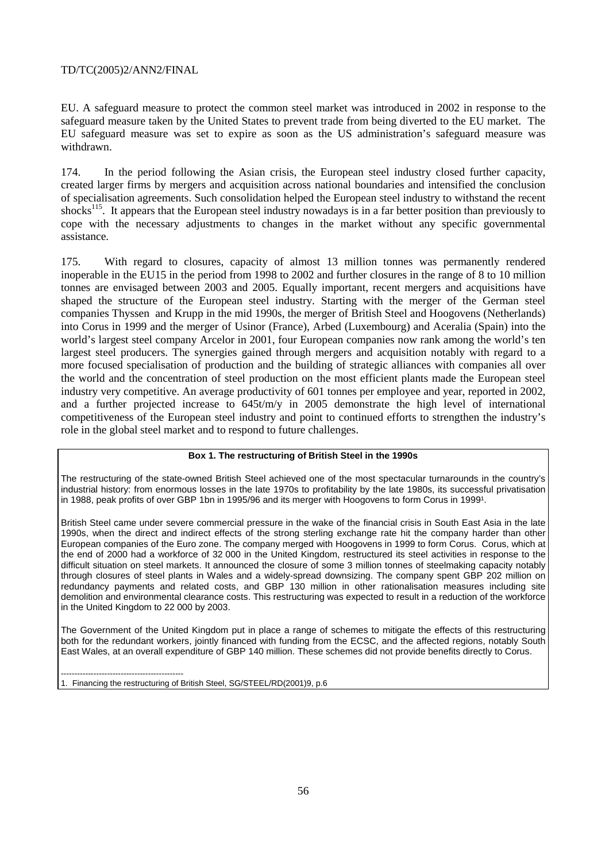EU. A safeguard measure to protect the common steel market was introduced in 2002 in response to the safeguard measure taken by the United States to prevent trade from being diverted to the EU market. The EU safeguard measure was set to expire as soon as the US administration's safeguard measure was withdrawn.

174. In the period following the Asian crisis, the European steel industry closed further capacity, created larger firms by mergers and acquisition across national boundaries and intensified the conclusion of specialisation agreements. Such consolidation helped the European steel industry to withstand the recent shocks<sup>115</sup>. It appears that the European steel industry nowadays is in a far better position than previously to cope with the necessary adjustments to changes in the market without any specific governmental assistance.

175. With regard to closures, capacity of almost 13 million tonnes was permanently rendered inoperable in the EU15 in the period from 1998 to 2002 and further closures in the range of 8 to 10 million tonnes are envisaged between 2003 and 2005. Equally important, recent mergers and acquisitions have shaped the structure of the European steel industry. Starting with the merger of the German steel companies Thyssen and Krupp in the mid 1990s, the merger of British Steel and Hoogovens (Netherlands) into Corus in 1999 and the merger of Usinor (France), Arbed (Luxembourg) and Aceralia (Spain) into the world's largest steel company Arcelor in 2001, four European companies now rank among the world's ten largest steel producers. The synergies gained through mergers and acquisition notably with regard to a more focused specialisation of production and the building of strategic alliances with companies all over the world and the concentration of steel production on the most efficient plants made the European steel industry very competitive. An average productivity of 601 tonnes per employee and year, reported in 2002, and a further projected increase to 645t/m/y in 2005 demonstrate the high level of international competitiveness of the European steel industry and point to continued efforts to strengthen the industry's role in the global steel market and to respond to future challenges.

## **Box 1. The restructuring of British Steel in the 1990s**

The restructuring of the state-owned British Steel achieved one of the most spectacular turnarounds in the country's industrial history: from enormous losses in the late 1970s to profitability by the late 1980s, its successful privatisation in 1988, peak profits of over GBP 1bn in 1995/96 and its merger with Hoogovens to form Corus in 19991.

British Steel came under severe commercial pressure in the wake of the financial crisis in South East Asia in the late 1990s, when the direct and indirect effects of the strong sterling exchange rate hit the company harder than other European companies of the Euro zone. The company merged with Hoogovens in 1999 to form Corus. Corus, which at the end of 2000 had a workforce of 32 000 in the United Kingdom, restructured its steel activities in response to the difficult situation on steel markets. It announced the closure of some 3 million tonnes of steelmaking capacity notably through closures of steel plants in Wales and a widely-spread downsizing. The company spent GBP 202 million on redundancy payments and related costs, and GBP 130 million in other rationalisation measures including site demolition and environmental clearance costs. This restructuring was expected to result in a reduction of the workforce in the United Kingdom to 22 000 by 2003.

The Government of the United Kingdom put in place a range of schemes to mitigate the effects of this restructuring both for the redundant workers, jointly financed with funding from the ECSC, and the affected regions, notably South East Wales, at an overall expenditure of GBP 140 million. These schemes did not provide benefits directly to Corus.

--------------------------------------------- 1. Financing the restructuring of British Steel, SG/STEEL/RD(2001)9, p.6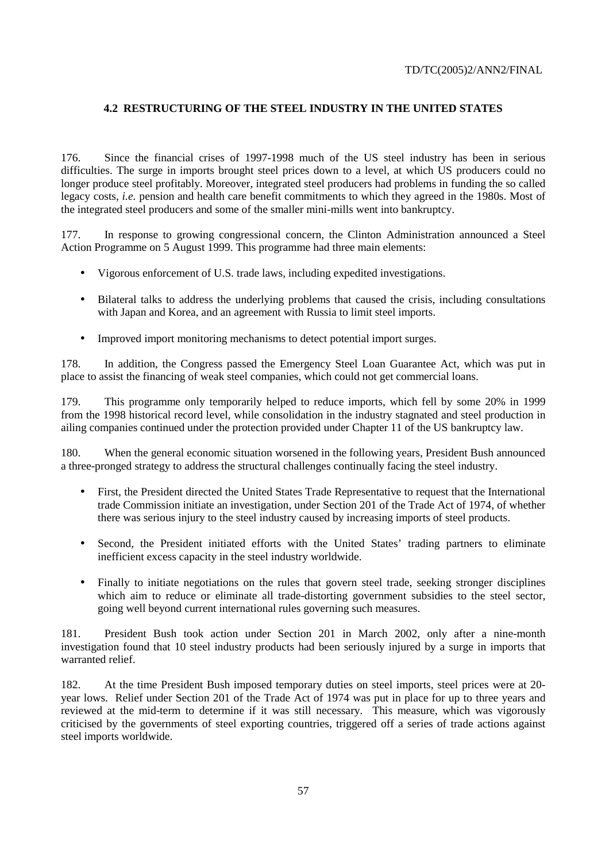# **4.2 RESTRUCTURING OF THE STEEL INDUSTRY IN THE UNITED STATES**

176. Since the financial crises of 1997-1998 much of the US steel industry has been in serious difficulties. The surge in imports brought steel prices down to a level, at which US producers could no longer produce steel profitably. Moreover, integrated steel producers had problems in funding the so called legacy costs, *i.e.* pension and health care benefit commitments to which they agreed in the 1980s. Most of the integrated steel producers and some of the smaller mini-mills went into bankruptcy.

177. In response to growing congressional concern, the Clinton Administration announced a Steel Action Programme on 5 August 1999. This programme had three main elements:

- Vigorous enforcement of U.S. trade laws, including expedited investigations.
- Bilateral talks to address the underlying problems that caused the crisis, including consultations with Japan and Korea, and an agreement with Russia to limit steel imports.
- Improved import monitoring mechanisms to detect potential import surges.

178. In addition, the Congress passed the Emergency Steel Loan Guarantee Act, which was put in place to assist the financing of weak steel companies, which could not get commercial loans.

179. This programme only temporarily helped to reduce imports, which fell by some 20% in 1999 from the 1998 historical record level, while consolidation in the industry stagnated and steel production in ailing companies continued under the protection provided under Chapter 11 of the US bankruptcy law.

180. When the general economic situation worsened in the following years, President Bush announced a three-pronged strategy to address the structural challenges continually facing the steel industry.

- First, the President directed the United States Trade Representative to request that the International trade Commission initiate an investigation, under Section 201 of the Trade Act of 1974, of whether there was serious injury to the steel industry caused by increasing imports of steel products.
- Second, the President initiated efforts with the United States' trading partners to eliminate inefficient excess capacity in the steel industry worldwide.
- Finally to initiate negotiations on the rules that govern steel trade, seeking stronger disciplines which aim to reduce or eliminate all trade-distorting government subsidies to the steel sector, going well beyond current international rules governing such measures.

181. President Bush took action under Section 201 in March 2002, only after a nine-month investigation found that 10 steel industry products had been seriously injured by a surge in imports that warranted relief.

182. At the time President Bush imposed temporary duties on steel imports, steel prices were at 20 year lows. Relief under Section 201 of the Trade Act of 1974 was put in place for up to three years and reviewed at the mid-term to determine if it was still necessary. This measure, which was vigorously criticised by the governments of steel exporting countries, triggered off a series of trade actions against steel imports worldwide.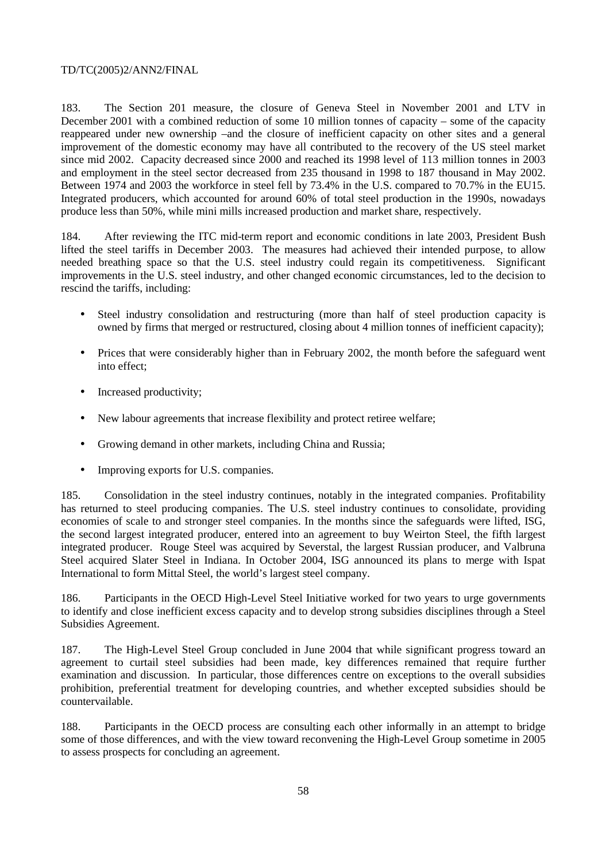183. The Section 201 measure, the closure of Geneva Steel in November 2001 and LTV in December 2001 with a combined reduction of some 10 million tonnes of capacity – some of the capacity reappeared under new ownership –and the closure of inefficient capacity on other sites and a general improvement of the domestic economy may have all contributed to the recovery of the US steel market since mid 2002. Capacity decreased since 2000 and reached its 1998 level of 113 million tonnes in 2003 and employment in the steel sector decreased from 235 thousand in 1998 to 187 thousand in May 2002. Between 1974 and 2003 the workforce in steel fell by 73.4% in the U.S. compared to 70.7% in the EU15. Integrated producers, which accounted for around 60% of total steel production in the 1990s, nowadays produce less than 50%, while mini mills increased production and market share, respectively.

184. After reviewing the ITC mid-term report and economic conditions in late 2003, President Bush lifted the steel tariffs in December 2003. The measures had achieved their intended purpose, to allow needed breathing space so that the U.S. steel industry could regain its competitiveness. Significant improvements in the U.S. steel industry, and other changed economic circumstances, led to the decision to rescind the tariffs, including:

- Steel industry consolidation and restructuring (more than half of steel production capacity is owned by firms that merged or restructured, closing about 4 million tonnes of inefficient capacity);
- Prices that were considerably higher than in February 2002, the month before the safeguard went into effect;
- Increased productivity;
- New labour agreements that increase flexibility and protect retiree welfare;
- Growing demand in other markets, including China and Russia:
- Improving exports for U.S. companies.

185. Consolidation in the steel industry continues, notably in the integrated companies. Profitability has returned to steel producing companies. The U.S. steel industry continues to consolidate, providing economies of scale to and stronger steel companies. In the months since the safeguards were lifted, ISG, the second largest integrated producer, entered into an agreement to buy Weirton Steel, the fifth largest integrated producer. Rouge Steel was acquired by Severstal, the largest Russian producer, and Valbruna Steel acquired Slater Steel in Indiana. In October 2004, ISG announced its plans to merge with Ispat International to form Mittal Steel, the world's largest steel company.

186. Participants in the OECD High-Level Steel Initiative worked for two years to urge governments to identify and close inefficient excess capacity and to develop strong subsidies disciplines through a Steel Subsidies Agreement.

187. The High-Level Steel Group concluded in June 2004 that while significant progress toward an agreement to curtail steel subsidies had been made, key differences remained that require further examination and discussion. In particular, those differences centre on exceptions to the overall subsidies prohibition, preferential treatment for developing countries, and whether excepted subsidies should be countervailable.

188. Participants in the OECD process are consulting each other informally in an attempt to bridge some of those differences, and with the view toward reconvening the High-Level Group sometime in 2005 to assess prospects for concluding an agreement.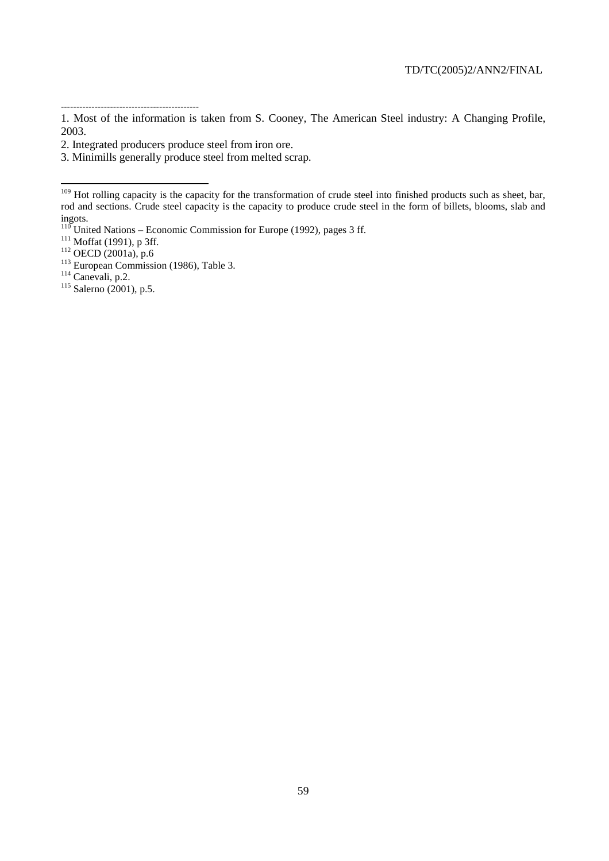$\overline{a}$ 

<sup>---------------------------------------------</sup>  1. Most of the information is taken from S. Cooney, The American Steel industry: A Changing Profile, 2003.

<sup>2.</sup> Integrated producers produce steel from iron ore.

<sup>3.</sup> Minimills generally produce steel from melted scrap.

<sup>&</sup>lt;sup>109</sup> Hot rolling capacity is the capacity for the transformation of crude steel into finished products such as sheet, bar, rod and sections. Crude steel capacity is the capacity to produce crude steel in the form of billets, blooms, slab and ingots.<br>
<sup>110</sup> United Nations – Economic Commission for Europe (1992), pages 3 ff.<br>
<sup>111</sup> Moffat (1991), p 3ff.

<sup>&</sup>lt;sup>111</sup> Mottat (1991), p 311.<br>
<sup>112</sup> OECD (2001a), p.6<br>
<sup>113</sup> European Commission (1986), Table 3.<br>
<sup>114</sup> Canevali, p.2.<br>
<sup>115</sup> Salerno (2001), p.5.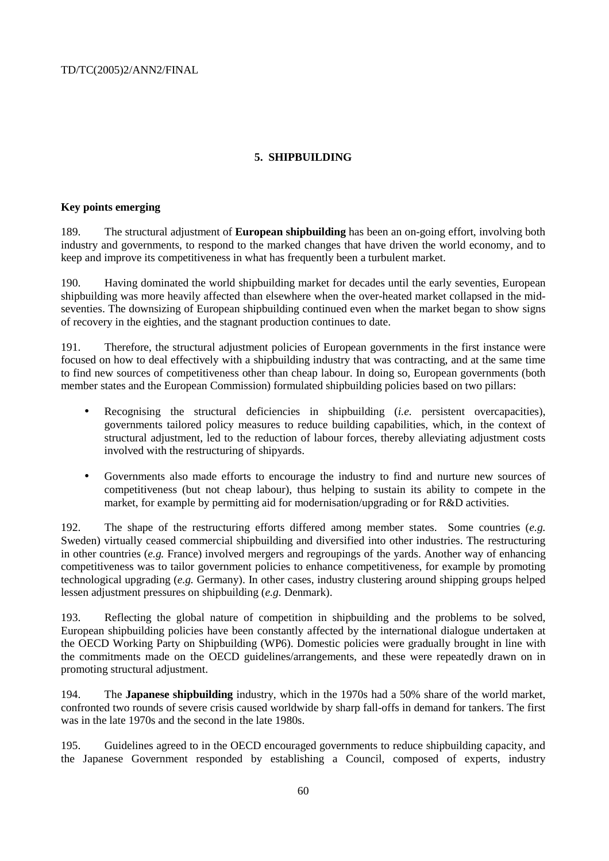# **5. SHIPBUILDING**

# **Key points emerging**

189. The structural adjustment of **European shipbuilding** has been an on-going effort, involving both industry and governments, to respond to the marked changes that have driven the world economy, and to keep and improve its competitiveness in what has frequently been a turbulent market.

190. Having dominated the world shipbuilding market for decades until the early seventies, European shipbuilding was more heavily affected than elsewhere when the over-heated market collapsed in the midseventies. The downsizing of European shipbuilding continued even when the market began to show signs of recovery in the eighties, and the stagnant production continues to date.

191. Therefore, the structural adjustment policies of European governments in the first instance were focused on how to deal effectively with a shipbuilding industry that was contracting, and at the same time to find new sources of competitiveness other than cheap labour. In doing so, European governments (both member states and the European Commission) formulated shipbuilding policies based on two pillars:

- Recognising the structural deficiencies in shipbuilding (*i.e.* persistent overcapacities), governments tailored policy measures to reduce building capabilities, which, in the context of structural adjustment, led to the reduction of labour forces, thereby alleviating adjustment costs involved with the restructuring of shipyards.
- Governments also made efforts to encourage the industry to find and nurture new sources of competitiveness (but not cheap labour), thus helping to sustain its ability to compete in the market, for example by permitting aid for modernisation/upgrading or for R&D activities.

192. The shape of the restructuring efforts differed among member states. Some countries (*e.g.* Sweden) virtually ceased commercial shipbuilding and diversified into other industries. The restructuring in other countries (*e.g.* France) involved mergers and regroupings of the yards. Another way of enhancing competitiveness was to tailor government policies to enhance competitiveness, for example by promoting technological upgrading (*e.g.* Germany). In other cases, industry clustering around shipping groups helped lessen adjustment pressures on shipbuilding (*e.g.* Denmark).

193. Reflecting the global nature of competition in shipbuilding and the problems to be solved, European shipbuilding policies have been constantly affected by the international dialogue undertaken at the OECD Working Party on Shipbuilding (WP6). Domestic policies were gradually brought in line with the commitments made on the OECD guidelines/arrangements, and these were repeatedly drawn on in promoting structural adjustment.

194. The **Japanese shipbuilding** industry, which in the 1970s had a 50% share of the world market, confronted two rounds of severe crisis caused worldwide by sharp fall-offs in demand for tankers. The first was in the late 1970s and the second in the late 1980s.

195. Guidelines agreed to in the OECD encouraged governments to reduce shipbuilding capacity, and the Japanese Government responded by establishing a Council, composed of experts, industry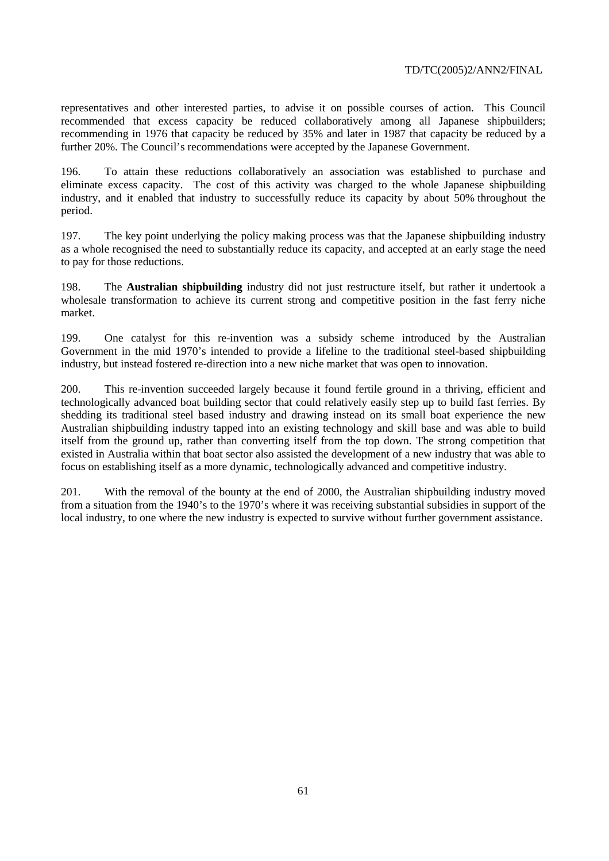representatives and other interested parties, to advise it on possible courses of action. This Council recommended that excess capacity be reduced collaboratively among all Japanese shipbuilders; recommending in 1976 that capacity be reduced by 35% and later in 1987 that capacity be reduced by a further 20%. The Council's recommendations were accepted by the Japanese Government.

196. To attain these reductions collaboratively an association was established to purchase and eliminate excess capacity. The cost of this activity was charged to the whole Japanese shipbuilding industry, and it enabled that industry to successfully reduce its capacity by about 50% throughout the period.

197. The key point underlying the policy making process was that the Japanese shipbuilding industry as a whole recognised the need to substantially reduce its capacity, and accepted at an early stage the need to pay for those reductions.

198. The **Australian shipbuilding** industry did not just restructure itself, but rather it undertook a wholesale transformation to achieve its current strong and competitive position in the fast ferry niche market.

199. One catalyst for this re-invention was a subsidy scheme introduced by the Australian Government in the mid 1970's intended to provide a lifeline to the traditional steel-based shipbuilding industry, but instead fostered re-direction into a new niche market that was open to innovation.

200. This re-invention succeeded largely because it found fertile ground in a thriving, efficient and technologically advanced boat building sector that could relatively easily step up to build fast ferries. By shedding its traditional steel based industry and drawing instead on its small boat experience the new Australian shipbuilding industry tapped into an existing technology and skill base and was able to build itself from the ground up, rather than converting itself from the top down. The strong competition that existed in Australia within that boat sector also assisted the development of a new industry that was able to focus on establishing itself as a more dynamic, technologically advanced and competitive industry.

201. With the removal of the bounty at the end of 2000, the Australian shipbuilding industry moved from a situation from the 1940's to the 1970's where it was receiving substantial subsidies in support of the local industry, to one where the new industry is expected to survive without further government assistance.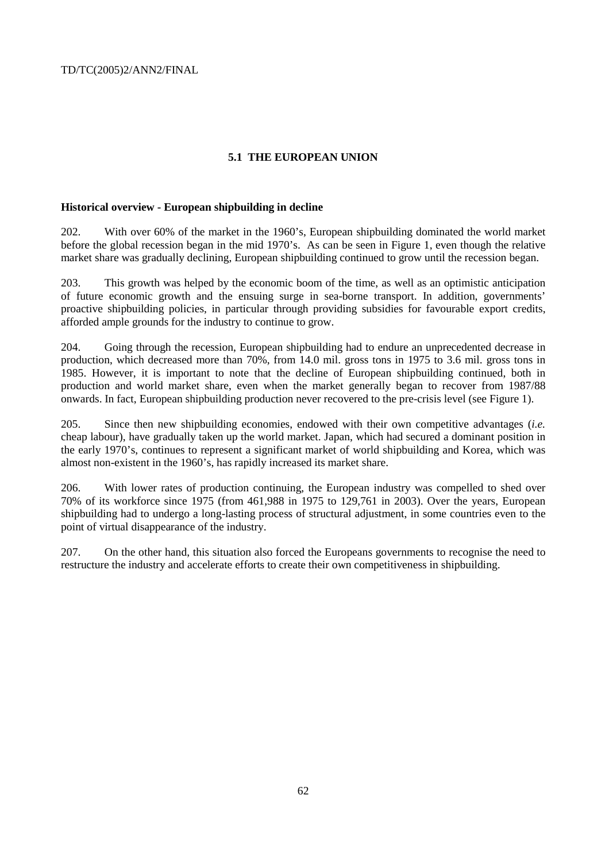# **5.1 THE EUROPEAN UNION**

# **Historical overview - European shipbuilding in decline**

202. With over 60% of the market in the 1960's, European shipbuilding dominated the world market before the global recession began in the mid 1970's. As can be seen in Figure 1, even though the relative market share was gradually declining, European shipbuilding continued to grow until the recession began.

203. This growth was helped by the economic boom of the time, as well as an optimistic anticipation of future economic growth and the ensuing surge in sea-borne transport. In addition, governments' proactive shipbuilding policies, in particular through providing subsidies for favourable export credits, afforded ample grounds for the industry to continue to grow.

204. Going through the recession, European shipbuilding had to endure an unprecedented decrease in production, which decreased more than 70%, from 14.0 mil. gross tons in 1975 to 3.6 mil. gross tons in 1985. However, it is important to note that the decline of European shipbuilding continued, both in production and world market share, even when the market generally began to recover from 1987/88 onwards. In fact, European shipbuilding production never recovered to the pre-crisis level (see Figure 1).

205. Since then new shipbuilding economies, endowed with their own competitive advantages (*i.e.* cheap labour), have gradually taken up the world market. Japan, which had secured a dominant position in the early 1970's, continues to represent a significant market of world shipbuilding and Korea, which was almost non-existent in the 1960's, has rapidly increased its market share.

206. With lower rates of production continuing, the European industry was compelled to shed over 70% of its workforce since 1975 (from 461,988 in 1975 to 129,761 in 2003). Over the years, European shipbuilding had to undergo a long-lasting process of structural adjustment, in some countries even to the point of virtual disappearance of the industry.

207. On the other hand, this situation also forced the Europeans governments to recognise the need to restructure the industry and accelerate efforts to create their own competitiveness in shipbuilding.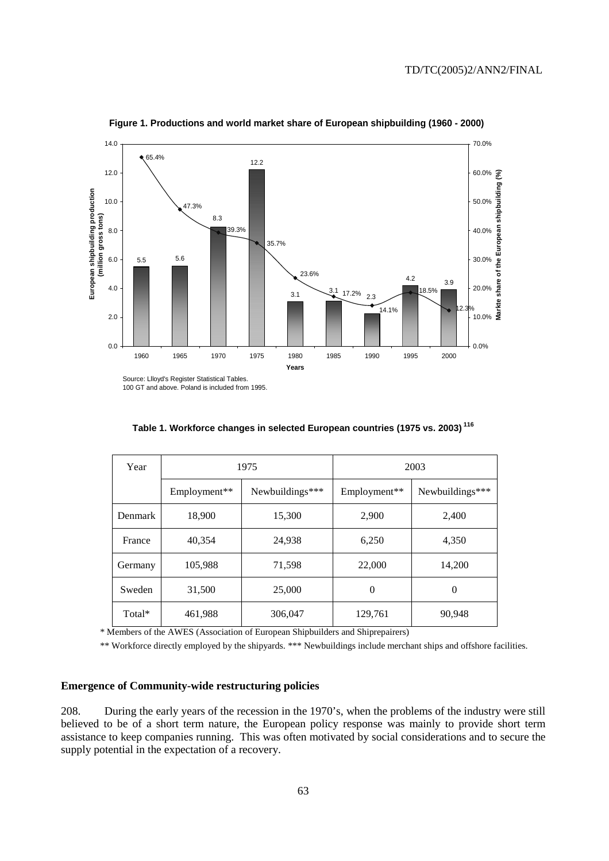

**Figure 1. Productions and world market share of European shipbuilding (1960 - 2000)**

100 GT and above. Poland is included from 1995.

| Table 1. Workforce changes in selected European countries (1975 vs. 2003) <sup>116</sup> |  |  |  |
|------------------------------------------------------------------------------------------|--|--|--|
|                                                                                          |  |  |  |

| Year           |              | 1975            | 2003         |                 |  |
|----------------|--------------|-----------------|--------------|-----------------|--|
|                | Employment** | Newbuildings*** | Employment** | Newbuildings*** |  |
| <b>Denmark</b> | 18,900       | 15,300          | 2,900        | 2,400           |  |
| France         | 40,354       | 24,938          | 6,250        | 4,350           |  |
| Germany        | 105,988      | 71,598          | 22,000       | 14,200          |  |
| Sweden         | 31,500       | 25,000          | $\theta$     | $\theta$        |  |
| Total*         | 461,988      | 306,047         | 129,761      | 90,948          |  |

\* Members of the AWES (Association of European Shipbuilders and Shiprepairers)

\*\* Workforce directly employed by the shipyards. \*\*\* Newbuildings include merchant ships and offshore facilities.

# **Emergence of Community-wide restructuring policies**

208. During the early years of the recession in the 1970's, when the problems of the industry were still believed to be of a short term nature, the European policy response was mainly to provide short term assistance to keep companies running. This was often motivated by social considerations and to secure the supply potential in the expectation of a recovery.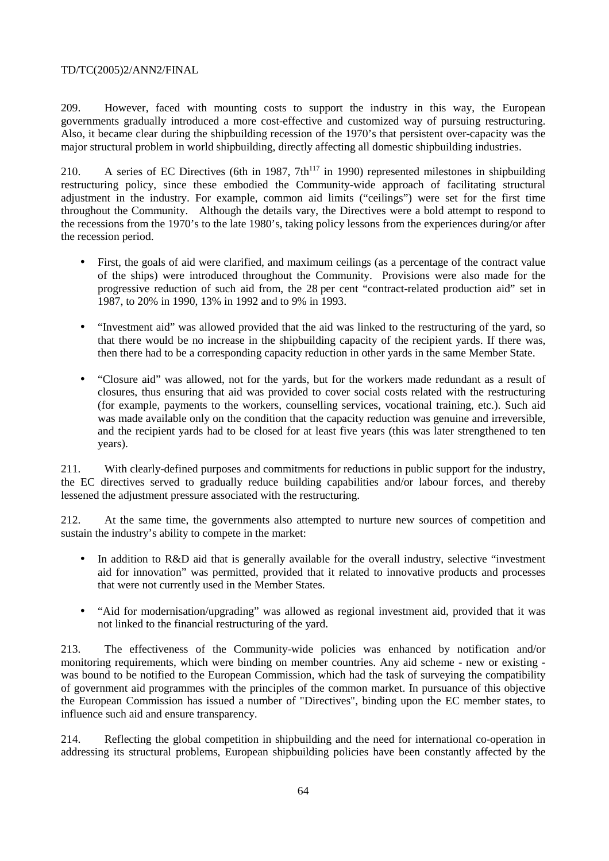209. However, faced with mounting costs to support the industry in this way, the European governments gradually introduced a more cost-effective and customized way of pursuing restructuring. Also, it became clear during the shipbuilding recession of the 1970's that persistent over-capacity was the major structural problem in world shipbuilding, directly affecting all domestic shipbuilding industries.

210. A series of EC Directives (6th in 1987,  $7th^{117}$  in 1990) represented milestones in shipbuilding restructuring policy, since these embodied the Community-wide approach of facilitating structural adjustment in the industry. For example, common aid limits ("ceilings") were set for the first time throughout the Community. Although the details vary, the Directives were a bold attempt to respond to the recessions from the 1970's to the late 1980's, taking policy lessons from the experiences during/or after the recession period.

- First, the goals of aid were clarified, and maximum ceilings (as a percentage of the contract value of the ships) were introduced throughout the Community. Provisions were also made for the progressive reduction of such aid from, the 28 per cent "contract-related production aid" set in 1987, to 20% in 1990, 13% in 1992 and to 9% in 1993.
- "Investment aid" was allowed provided that the aid was linked to the restructuring of the yard, so that there would be no increase in the shipbuilding capacity of the recipient yards. If there was, then there had to be a corresponding capacity reduction in other yards in the same Member State.
- "Closure aid" was allowed, not for the yards, but for the workers made redundant as a result of closures, thus ensuring that aid was provided to cover social costs related with the restructuring (for example, payments to the workers, counselling services, vocational training, etc.). Such aid was made available only on the condition that the capacity reduction was genuine and irreversible, and the recipient yards had to be closed for at least five years (this was later strengthened to ten years).

211. With clearly-defined purposes and commitments for reductions in public support for the industry, the EC directives served to gradually reduce building capabilities and/or labour forces, and thereby lessened the adjustment pressure associated with the restructuring.

212. At the same time, the governments also attempted to nurture new sources of competition and sustain the industry's ability to compete in the market:

- In addition to R&D aid that is generally available for the overall industry, selective "investment" aid for innovation" was permitted, provided that it related to innovative products and processes that were not currently used in the Member States.
- "Aid for modernisation/upgrading" was allowed as regional investment aid, provided that it was not linked to the financial restructuring of the yard.

213. The effectiveness of the Community-wide policies was enhanced by notification and/or monitoring requirements, which were binding on member countries. Any aid scheme - new or existing was bound to be notified to the European Commission, which had the task of surveying the compatibility of government aid programmes with the principles of the common market. In pursuance of this objective the European Commission has issued a number of "Directives", binding upon the EC member states, to influence such aid and ensure transparency.

214. Reflecting the global competition in shipbuilding and the need for international co-operation in addressing its structural problems, European shipbuilding policies have been constantly affected by the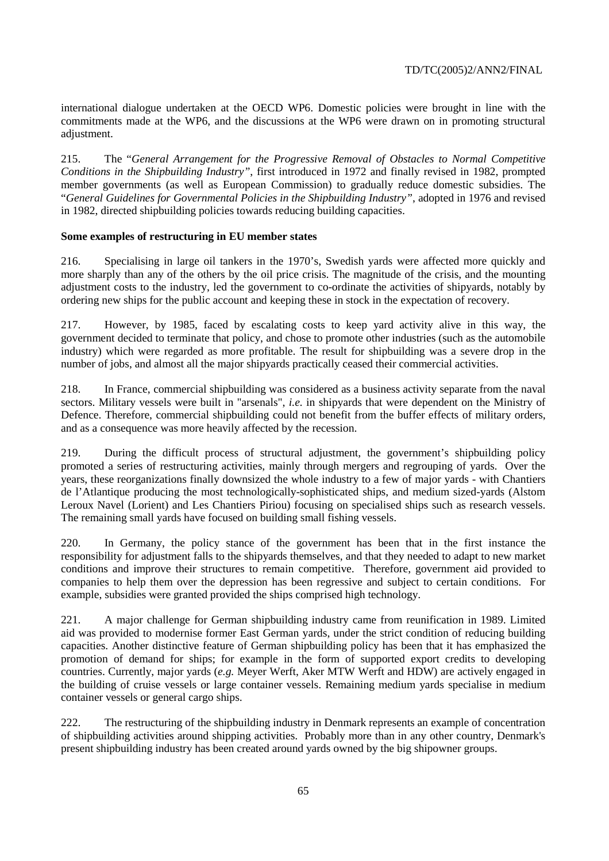international dialogue undertaken at the OECD WP6. Domestic policies were brought in line with the commitments made at the WP6, and the discussions at the WP6 were drawn on in promoting structural adjustment.

215. The "*General Arrangement for the Progressive Removal of Obstacles to Normal Competitive Conditions in the Shipbuilding Industry"*, first introduced in 1972 and finally revised in 1982, prompted member governments (as well as European Commission) to gradually reduce domestic subsidies. The "*General Guidelines for Governmental Policies in the Shipbuilding Industry"*, adopted in 1976 and revised in 1982, directed shipbuilding policies towards reducing building capacities.

# **Some examples of restructuring in EU member states**

216. Specialising in large oil tankers in the 1970's, Swedish yards were affected more quickly and more sharply than any of the others by the oil price crisis. The magnitude of the crisis, and the mounting adjustment costs to the industry, led the government to co-ordinate the activities of shipyards, notably by ordering new ships for the public account and keeping these in stock in the expectation of recovery.

217. However, by 1985, faced by escalating costs to keep yard activity alive in this way, the government decided to terminate that policy, and chose to promote other industries (such as the automobile industry) which were regarded as more profitable. The result for shipbuilding was a severe drop in the number of jobs, and almost all the major shipyards practically ceased their commercial activities.

218. In France, commercial shipbuilding was considered as a business activity separate from the naval sectors. Military vessels were built in "arsenals", *i.e.* in shipyards that were dependent on the Ministry of Defence. Therefore, commercial shipbuilding could not benefit from the buffer effects of military orders, and as a consequence was more heavily affected by the recession.

219. During the difficult process of structural adjustment, the government's shipbuilding policy promoted a series of restructuring activities, mainly through mergers and regrouping of yards. Over the years, these reorganizations finally downsized the whole industry to a few of major yards - with Chantiers de l'Atlantique producing the most technologically-sophisticated ships, and medium sized-yards (Alstom Leroux Navel (Lorient) and Les Chantiers Piriou) focusing on specialised ships such as research vessels. The remaining small yards have focused on building small fishing vessels.

220. In Germany, the policy stance of the government has been that in the first instance the responsibility for adjustment falls to the shipyards themselves, and that they needed to adapt to new market conditions and improve their structures to remain competitive. Therefore, government aid provided to companies to help them over the depression has been regressive and subject to certain conditions. For example, subsidies were granted provided the ships comprised high technology.

221. A major challenge for German shipbuilding industry came from reunification in 1989. Limited aid was provided to modernise former East German yards, under the strict condition of reducing building capacities. Another distinctive feature of German shipbuilding policy has been that it has emphasized the promotion of demand for ships; for example in the form of supported export credits to developing countries. Currently, major yards (*e.g.* Meyer Werft, Aker MTW Werft and HDW) are actively engaged in the building of cruise vessels or large container vessels. Remaining medium yards specialise in medium container vessels or general cargo ships.

222. The restructuring of the shipbuilding industry in Denmark represents an example of concentration of shipbuilding activities around shipping activities. Probably more than in any other country, Denmark's present shipbuilding industry has been created around yards owned by the big shipowner groups.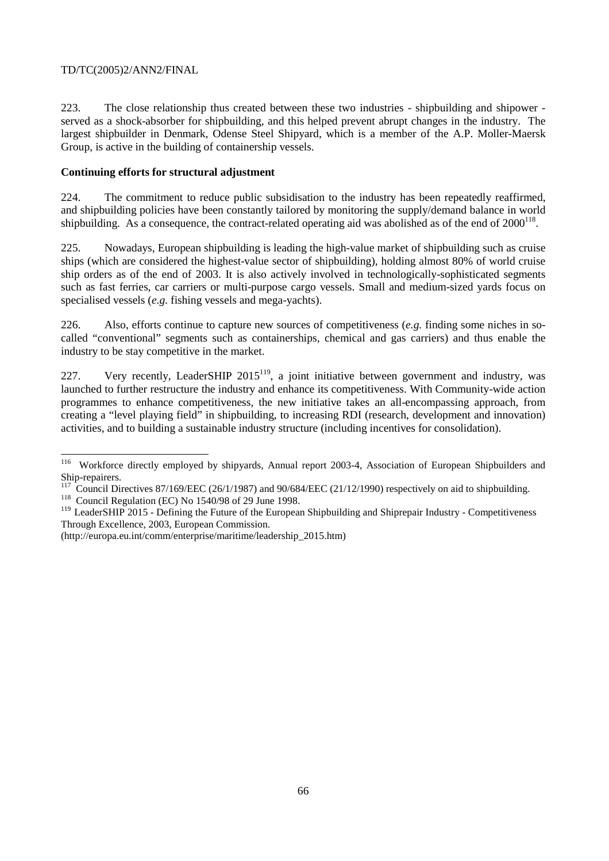223. The close relationship thus created between these two industries - shipbuilding and shipower served as a shock-absorber for shipbuilding, and this helped prevent abrupt changes in the industry. The largest shipbuilder in Denmark, Odense Steel Shipyard, which is a member of the A.P. Moller-Maersk Group, is active in the building of containership vessels.

# **Continuing efforts for structural adjustment**

224. The commitment to reduce public subsidisation to the industry has been repeatedly reaffirmed, and shipbuilding policies have been constantly tailored by monitoring the supply/demand balance in world shipbuilding. As a consequence, the contract-related operating aid was abolished as of the end of  $2000^{118}$ .

225. Nowadays, European shipbuilding is leading the high-value market of shipbuilding such as cruise ships (which are considered the highest-value sector of shipbuilding), holding almost 80% of world cruise ship orders as of the end of 2003. It is also actively involved in technologically-sophisticated segments such as fast ferries, car carriers or multi-purpose cargo vessels. Small and medium-sized yards focus on specialised vessels (*e.g.* fishing vessels and mega-yachts).

226. Also, efforts continue to capture new sources of competitiveness (*e.g.* finding some niches in socalled "conventional" segments such as containerships, chemical and gas carriers) and thus enable the industry to be stay competitive in the market.

227. Very recently, LeaderSHIP  $2015^{119}$ , a joint initiative between government and industry, was launched to further restructure the industry and enhance its competitiveness. With Community-wide action programmes to enhance competitiveness, the new initiative takes an all-encompassing approach, from creating a "level playing field" in shipbuilding, to increasing RDI (research, development and innovation) activities, and to building a sustainable industry structure (including incentives for consolidation).

 $\overline{a}$ 

<sup>&</sup>lt;sup>116</sup> Workforce directly employed by shipyards, Annual report 2003-4, Association of European Shipbuilders and Ship-repairers.

<sup>&</sup>lt;sup>117</sup> Council Directives 87/169/EEC (26/1/1987) and 90/684/EEC (21/12/1990) respectively on aid to shipbuilding.<br><sup>118</sup> Council Regulation (EC) No 1540/98 of 29 June 1998.

<sup>&</sup>lt;sup>119</sup> LeaderSHIP 2015 - Defining the Future of the European Shipbuilding and Shiprepair Industry - Competitiveness Through Excellence, 2003, European Commission.

<sup>(</sup>http://europa.eu.int/comm/enterprise/maritime/leadership\_2015.htm)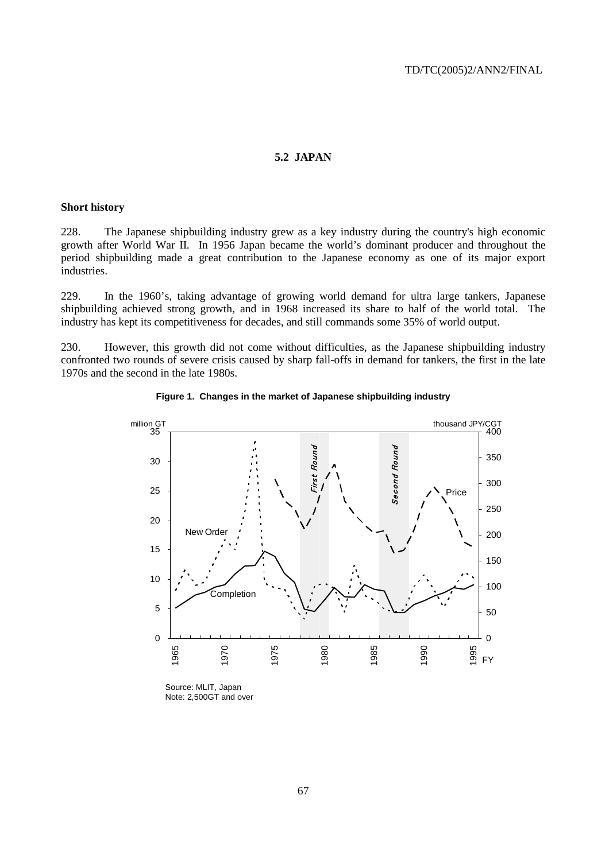# **5.2 JAPAN**

#### **Short history**

228. The Japanese shipbuilding industry grew as a key industry during the country's high economic growth after World War II. In 1956 Japan became the world's dominant producer and throughout the period shipbuilding made a great contribution to the Japanese economy as one of its major export industries.

229. In the 1960's, taking advantage of growing world demand for ultra large tankers, Japanese shipbuilding achieved strong growth, and in 1968 increased its share to half of the world total. The industry has kept its competitiveness for decades, and still commands some 35% of world output.

230. However, this growth did not come without difficulties, as the Japanese shipbuilding industry confronted two rounds of severe crisis caused by sharp fall-offs in demand for tankers, the first in the late 1970s and the second in the late 1980s.



**Figure 1. Changes in the market of Japanese shipbuilding industry** 

Source: MLIT, Japan Note: 2,500GT and over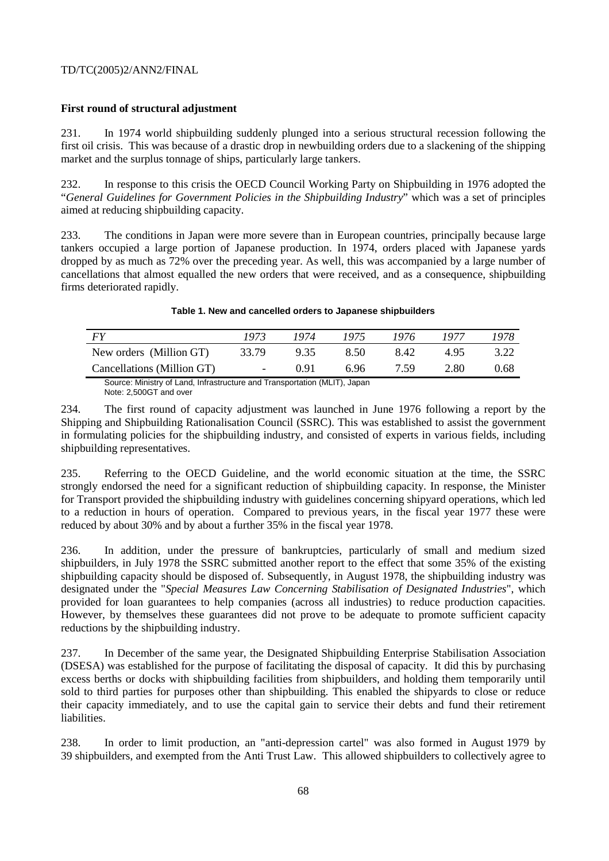# **First round of structural adjustment**

231. In 1974 world shipbuilding suddenly plunged into a serious structural recession following the first oil crisis. This was because of a drastic drop in newbuilding orders due to a slackening of the shipping market and the surplus tonnage of ships, particularly large tankers.

232. In response to this crisis the OECD Council Working Party on Shipbuilding in 1976 adopted the "*General Guidelines for Government Policies in the Shipbuilding Industry*" which was a set of principles aimed at reducing shipbuilding capacity.

233. The conditions in Japan were more severe than in European countries, principally because large tankers occupied a large portion of Japanese production. In 1974, orders placed with Japanese yards dropped by as much as 72% over the preceding year. As well, this was accompanied by a large number of cancellations that almost equalled the new orders that were received, and as a consequence, shipbuilding firms deteriorated rapidly.

# **Table 1. New and cancelled orders to Japanese shipbuilders**  *FY 1973 1974 1975 1976 1977 1978*

|                                                                           | 19/2                          |        | $19/4$ $19/3$ | 19/0 | 19/7 | 19/0 |
|---------------------------------------------------------------------------|-------------------------------|--------|---------------|------|------|------|
| New orders (Million GT)                                                   | 33.79                         | 9.35   | 8.50          | 842  | 495  | 3.22 |
| Cancellations (Million GT)                                                | $\mathbf{r}$ and $\mathbf{r}$ | - 0.91 | 696           | 7.59 | 2.80 | 0.68 |
| Source: Ministry of Land, Infrastructure and Transportation (MLIT), Japan |                               |        |               |      |      |      |

Note: 2,500GT and over

234. The first round of capacity adjustment was launched in June 1976 following a report by the Shipping and Shipbuilding Rationalisation Council (SSRC). This was established to assist the government in formulating policies for the shipbuilding industry, and consisted of experts in various fields, including shipbuilding representatives.

235. Referring to the OECD Guideline, and the world economic situation at the time, the SSRC strongly endorsed the need for a significant reduction of shipbuilding capacity. In response, the Minister for Transport provided the shipbuilding industry with guidelines concerning shipyard operations, which led to a reduction in hours of operation. Compared to previous years, in the fiscal year 1977 these were reduced by about 30% and by about a further 35% in the fiscal year 1978.

236. In addition, under the pressure of bankruptcies, particularly of small and medium sized shipbuilders, in July 1978 the SSRC submitted another report to the effect that some 35% of the existing shipbuilding capacity should be disposed of. Subsequently, in August 1978, the shipbuilding industry was designated under the "*Special Measures Law Concerning Stabilisation of Designated Industries*", which provided for loan guarantees to help companies (across all industries) to reduce production capacities. However, by themselves these guarantees did not prove to be adequate to promote sufficient capacity reductions by the shipbuilding industry.

237. In December of the same year, the Designated Shipbuilding Enterprise Stabilisation Association (DSESA) was established for the purpose of facilitating the disposal of capacity. It did this by purchasing excess berths or docks with shipbuilding facilities from shipbuilders, and holding them temporarily until sold to third parties for purposes other than shipbuilding. This enabled the shipyards to close or reduce their capacity immediately, and to use the capital gain to service their debts and fund their retirement liabilities.

238. In order to limit production, an "anti-depression cartel" was also formed in August 1979 by 39 shipbuilders, and exempted from the Anti Trust Law. This allowed shipbuilders to collectively agree to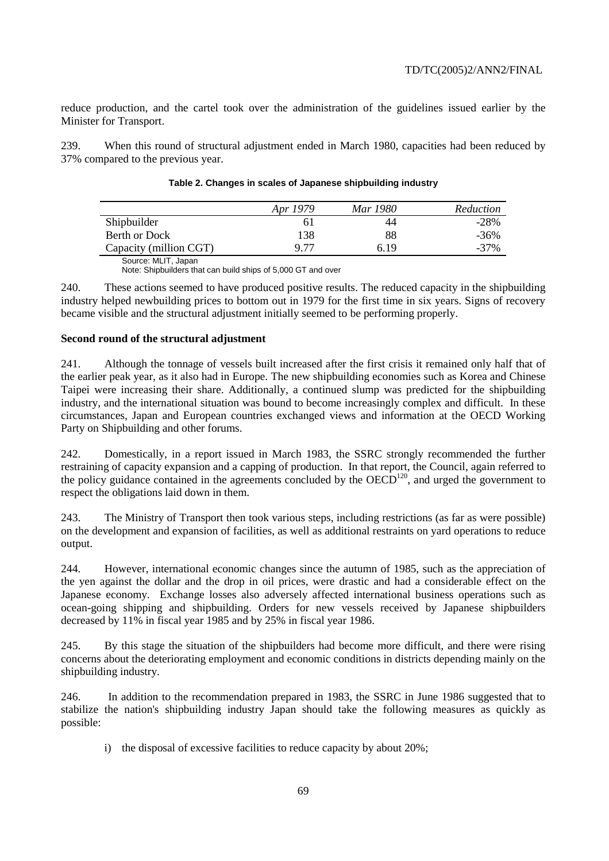reduce production, and the cartel took over the administration of the guidelines issued earlier by the Minister for Transport.

239. When this round of structural adjustment ended in March 1980, capacities had been reduced by 37% compared to the previous year.

|                        | Apr 1979 | Mar 1980 | Reduction |
|------------------------|----------|----------|-----------|
| Shipbuilder            | 61       | 44       | $-28%$    |
| Berth or Dock          | 138      | 88       | $-36\%$   |
| Capacity (million CGT) | 9 77     | 6 19     | $-37\%$   |

#### **Table 2. Changes in scales of Japanese shipbuilding industry**

Source: MLIT, Japan

Note: Shipbuilders that can build ships of 5,000 GT and over

240. These actions seemed to have produced positive results. The reduced capacity in the shipbuilding industry helped newbuilding prices to bottom out in 1979 for the first time in six years. Signs of recovery became visible and the structural adjustment initially seemed to be performing properly.

#### **Second round of the structural adjustment**

241. Although the tonnage of vessels built increased after the first crisis it remained only half that of the earlier peak year, as it also had in Europe. The new shipbuilding economies such as Korea and Chinese Taipei were increasing their share. Additionally, a continued slump was predicted for the shipbuilding industry, and the international situation was bound to become increasingly complex and difficult. In these circumstances, Japan and European countries exchanged views and information at the OECD Working Party on Shipbuilding and other forums.

242. Domestically, in a report issued in March 1983, the SSRC strongly recommended the further restraining of capacity expansion and a capping of production. In that report, the Council, again referred to the policy guidance contained in the agreements concluded by the  $OECD<sup>120</sup>$ , and urged the government to respect the obligations laid down in them.

243. The Ministry of Transport then took various steps, including restrictions (as far as were possible) on the development and expansion of facilities, as well as additional restraints on yard operations to reduce output.

244. However, international economic changes since the autumn of 1985, such as the appreciation of the yen against the dollar and the drop in oil prices, were drastic and had a considerable effect on the Japanese economy. Exchange losses also adversely affected international business operations such as ocean-going shipping and shipbuilding. Orders for new vessels received by Japanese shipbuilders decreased by 11% in fiscal year 1985 and by 25% in fiscal year 1986.

245. By this stage the situation of the shipbuilders had become more difficult, and there were rising concerns about the deteriorating employment and economic conditions in districts depending mainly on the shipbuilding industry.

246. In addition to the recommendation prepared in 1983, the SSRC in June 1986 suggested that to stabilize the nation's shipbuilding industry Japan should take the following measures as quickly as possible:

i) the disposal of excessive facilities to reduce capacity by about 20%;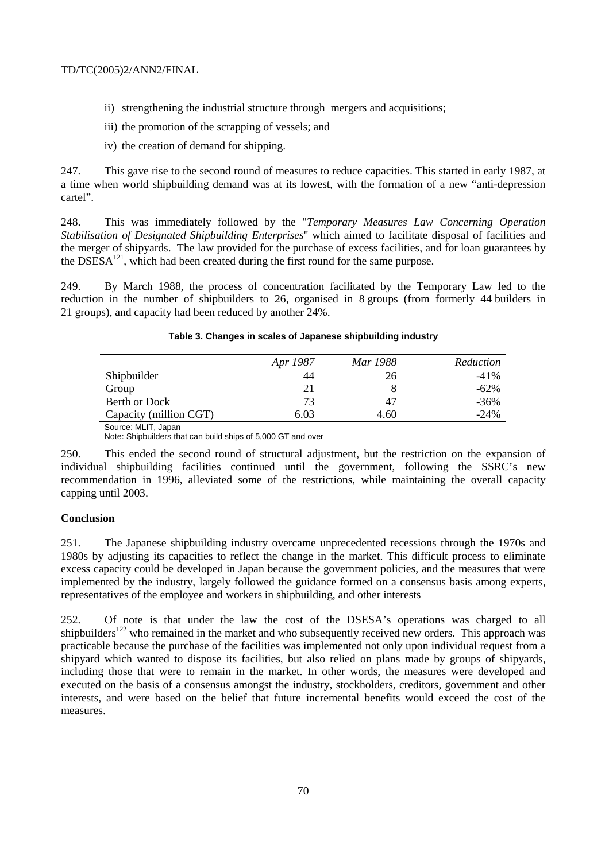- ii) strengthening the industrial structure through mergers and acquisitions;
- iii) the promotion of the scrapping of vessels; and
- iv) the creation of demand for shipping.

247. This gave rise to the second round of measures to reduce capacities. This started in early 1987, at a time when world shipbuilding demand was at its lowest, with the formation of a new "anti-depression cartel".

248. This was immediately followed by the "*Temporary Measures Law Concerning Operation Stabilisation of Designated Shipbuilding Enterprises*" which aimed to facilitate disposal of facilities and the merger of shipyards. The law provided for the purchase of excess facilities, and for loan guarantees by the DSESA $^{121}$ , which had been created during the first round for the same purpose.

249. By March 1988, the process of concentration facilitated by the Temporary Law led to the reduction in the number of shipbuilders to 26, organised in 8 groups (from formerly 44 builders in 21 groups), and capacity had been reduced by another 24%.

# **Table 3. Changes in scales of Japanese shipbuilding industry**

|                        | Apr 1987 | Mar 1988 | Reduction |
|------------------------|----------|----------|-----------|
| Shipbuilder            | 44       | 26       | $-41\%$   |
| Group                  | 21       |          | $-62\%$   |
| Berth or Dock          | 73       | 47       | $-36\%$   |
| Capacity (million CGT) | 6.03     | 4.60     | $-24%$    |

 Source: MLIT, Japan Note: Shipbuilders that can build ships of 5,000 GT and over

250. This ended the second round of structural adjustment, but the restriction on the expansion of individual shipbuilding facilities continued until the government, following the SSRC's new recommendation in 1996, alleviated some of the restrictions, while maintaining the overall capacity capping until 2003.

# **Conclusion**

251. The Japanese shipbuilding industry overcame unprecedented recessions through the 1970s and 1980s by adjusting its capacities to reflect the change in the market. This difficult process to eliminate excess capacity could be developed in Japan because the government policies, and the measures that were implemented by the industry, largely followed the guidance formed on a consensus basis among experts, representatives of the employee and workers in shipbuilding, and other interests

252. Of note is that under the law the cost of the DSESA's operations was charged to all shipbuilders<sup>122</sup> who remained in the market and who subsequently received new orders. This approach was practicable because the purchase of the facilities was implemented not only upon individual request from a shipyard which wanted to dispose its facilities, but also relied on plans made by groups of shipyards, including those that were to remain in the market. In other words, the measures were developed and executed on the basis of a consensus amongst the industry, stockholders, creditors, government and other interests, and were based on the belief that future incremental benefits would exceed the cost of the measures.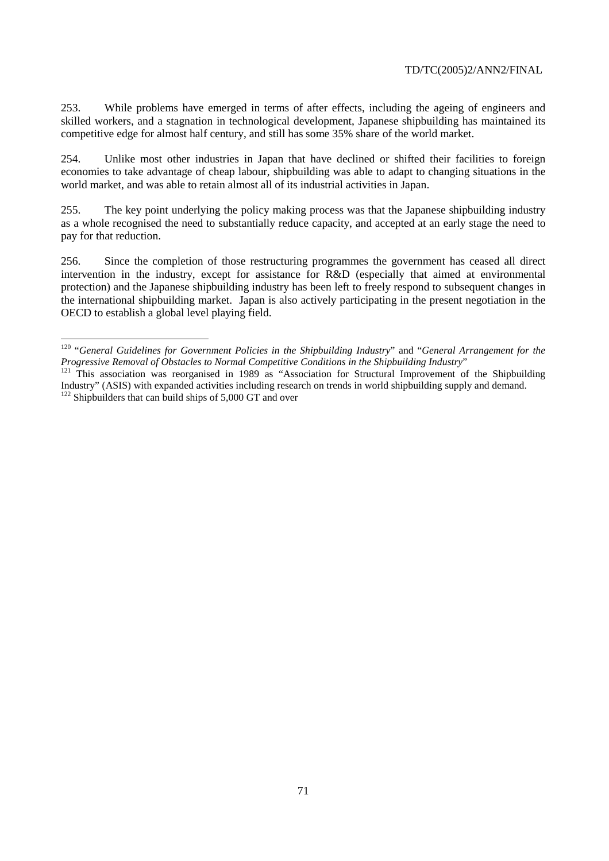253. While problems have emerged in terms of after effects, including the ageing of engineers and skilled workers, and a stagnation in technological development, Japanese shipbuilding has maintained its competitive edge for almost half century, and still has some 35% share of the world market.

254. Unlike most other industries in Japan that have declined or shifted their facilities to foreign economies to take advantage of cheap labour, shipbuilding was able to adapt to changing situations in the world market, and was able to retain almost all of its industrial activities in Japan.

255. The key point underlying the policy making process was that the Japanese shipbuilding industry as a whole recognised the need to substantially reduce capacity, and accepted at an early stage the need to pay for that reduction.

256. Since the completion of those restructuring programmes the government has ceased all direct intervention in the industry, except for assistance for R&D (especially that aimed at environmental protection) and the Japanese shipbuilding industry has been left to freely respond to subsequent changes in the international shipbuilding market. Japan is also actively participating in the present negotiation in the OECD to establish a global level playing field.

 $\overline{a}$ 

<sup>120 &</sup>quot;*General Guidelines for Government Policies in the Shipbuilding Industry*" and "*General Arrangement for the Progressive Removal of Obstacles to Normal Competitive Conditions in the Shipbuilding Industry*" 121 This association was reorganised in 1989 as "Association for Structural Improvement of the Shipbuilding

Industry" (ASIS) with expanded activities including research on trends in world shipbuilding supply and demand.  $122$  Shipbuilders that can build ships of 5,000 GT and over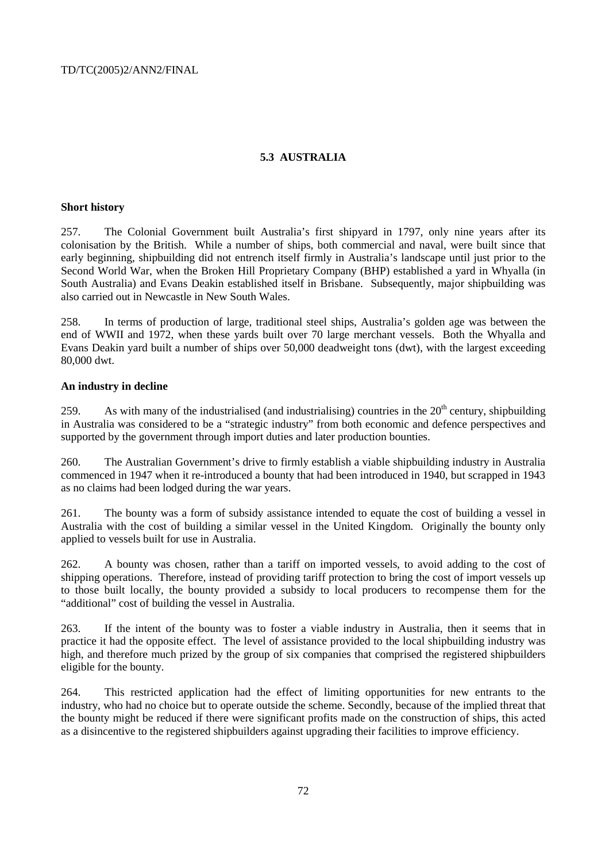# **5.3 AUSTRALIA**

## **Short history**

257. The Colonial Government built Australia's first shipyard in 1797, only nine years after its colonisation by the British. While a number of ships, both commercial and naval, were built since that early beginning, shipbuilding did not entrench itself firmly in Australia's landscape until just prior to the Second World War, when the Broken Hill Proprietary Company (BHP) established a yard in Whyalla (in South Australia) and Evans Deakin established itself in Brisbane. Subsequently, major shipbuilding was also carried out in Newcastle in New South Wales.

258. In terms of production of large, traditional steel ships, Australia's golden age was between the end of WWII and 1972, when these yards built over 70 large merchant vessels. Both the Whyalla and Evans Deakin yard built a number of ships over 50,000 deadweight tons (dwt), with the largest exceeding 80,000 dwt.

## **An industry in decline**

259. As with many of the industrialised (and industrialising) countries in the  $20<sup>th</sup>$  century, shipbuilding in Australia was considered to be a "strategic industry" from both economic and defence perspectives and supported by the government through import duties and later production bounties.

260. The Australian Government's drive to firmly establish a viable shipbuilding industry in Australia commenced in 1947 when it re-introduced a bounty that had been introduced in 1940, but scrapped in 1943 as no claims had been lodged during the war years.

261. The bounty was a form of subsidy assistance intended to equate the cost of building a vessel in Australia with the cost of building a similar vessel in the United Kingdom. Originally the bounty only applied to vessels built for use in Australia.

262. A bounty was chosen, rather than a tariff on imported vessels, to avoid adding to the cost of shipping operations. Therefore, instead of providing tariff protection to bring the cost of import vessels up to those built locally, the bounty provided a subsidy to local producers to recompense them for the "additional" cost of building the vessel in Australia.

263. If the intent of the bounty was to foster a viable industry in Australia, then it seems that in practice it had the opposite effect. The level of assistance provided to the local shipbuilding industry was high, and therefore much prized by the group of six companies that comprised the registered shipbuilders eligible for the bounty.

264. This restricted application had the effect of limiting opportunities for new entrants to the industry, who had no choice but to operate outside the scheme. Secondly, because of the implied threat that the bounty might be reduced if there were significant profits made on the construction of ships, this acted as a disincentive to the registered shipbuilders against upgrading their facilities to improve efficiency.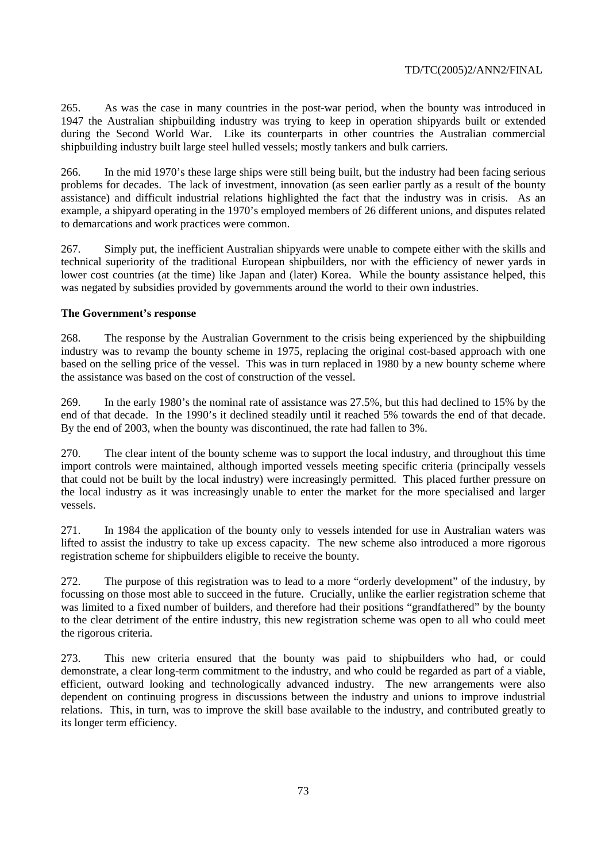265. As was the case in many countries in the post-war period, when the bounty was introduced in 1947 the Australian shipbuilding industry was trying to keep in operation shipyards built or extended during the Second World War. Like its counterparts in other countries the Australian commercial shipbuilding industry built large steel hulled vessels; mostly tankers and bulk carriers.

266. In the mid 1970's these large ships were still being built, but the industry had been facing serious problems for decades. The lack of investment, innovation (as seen earlier partly as a result of the bounty assistance) and difficult industrial relations highlighted the fact that the industry was in crisis. As an example, a shipyard operating in the 1970's employed members of 26 different unions, and disputes related to demarcations and work practices were common.

267. Simply put, the inefficient Australian shipyards were unable to compete either with the skills and technical superiority of the traditional European shipbuilders, nor with the efficiency of newer yards in lower cost countries (at the time) like Japan and (later) Korea. While the bounty assistance helped, this was negated by subsidies provided by governments around the world to their own industries.

# **The Government's response**

268. The response by the Australian Government to the crisis being experienced by the shipbuilding industry was to revamp the bounty scheme in 1975, replacing the original cost-based approach with one based on the selling price of the vessel. This was in turn replaced in 1980 by a new bounty scheme where the assistance was based on the cost of construction of the vessel.

269. In the early 1980's the nominal rate of assistance was 27.5%, but this had declined to 15% by the end of that decade. In the 1990's it declined steadily until it reached 5% towards the end of that decade. By the end of 2003, when the bounty was discontinued, the rate had fallen to 3%.

270. The clear intent of the bounty scheme was to support the local industry, and throughout this time import controls were maintained, although imported vessels meeting specific criteria (principally vessels that could not be built by the local industry) were increasingly permitted. This placed further pressure on the local industry as it was increasingly unable to enter the market for the more specialised and larger vessels.

271. In 1984 the application of the bounty only to vessels intended for use in Australian waters was lifted to assist the industry to take up excess capacity. The new scheme also introduced a more rigorous registration scheme for shipbuilders eligible to receive the bounty.

272. The purpose of this registration was to lead to a more "orderly development" of the industry, by focussing on those most able to succeed in the future. Crucially, unlike the earlier registration scheme that was limited to a fixed number of builders, and therefore had their positions "grandfathered" by the bounty to the clear detriment of the entire industry, this new registration scheme was open to all who could meet the rigorous criteria.

273. This new criteria ensured that the bounty was paid to shipbuilders who had, or could demonstrate, a clear long-term commitment to the industry, and who could be regarded as part of a viable, efficient, outward looking and technologically advanced industry. The new arrangements were also dependent on continuing progress in discussions between the industry and unions to improve industrial relations. This, in turn, was to improve the skill base available to the industry, and contributed greatly to its longer term efficiency.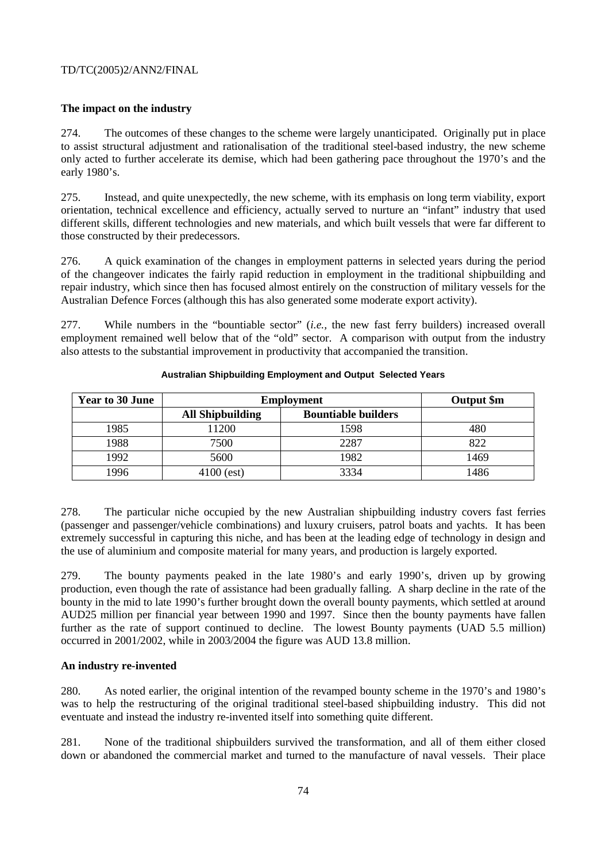## TD/TC(2005)2/ANN2/FINAL

# **The impact on the industry**

274. The outcomes of these changes to the scheme were largely unanticipated. Originally put in place to assist structural adjustment and rationalisation of the traditional steel-based industry, the new scheme only acted to further accelerate its demise, which had been gathering pace throughout the 1970's and the early 1980's.

275. Instead, and quite unexpectedly, the new scheme, with its emphasis on long term viability, export orientation, technical excellence and efficiency, actually served to nurture an "infant" industry that used different skills, different technologies and new materials, and which built vessels that were far different to those constructed by their predecessors.

276. A quick examination of the changes in employment patterns in selected years during the period of the changeover indicates the fairly rapid reduction in employment in the traditional shipbuilding and repair industry, which since then has focused almost entirely on the construction of military vessels for the Australian Defence Forces (although this has also generated some moderate export activity).

277. While numbers in the "bountiable sector" (*i.e.,* the new fast ferry builders) increased overall employment remained well below that of the "old" sector. A comparison with output from the industry also attests to the substantial improvement in productivity that accompanied the transition.

| Year to 30 June | <b>Employment</b>       |                            | Output \$m |
|-----------------|-------------------------|----------------------------|------------|
|                 | <b>All Shipbuilding</b> | <b>Bountiable builders</b> |            |
| 1985            | 11200                   | 1598                       |            |
| 1988            | 7500                    | 2287                       | 822        |
| 1992            | 5600                    | 1982                       | 1469       |
| 1996            | $4100$ (est)            | 3334                       | 1486       |

#### **Australian Shipbuilding Employment and Output Selected Years**

278. The particular niche occupied by the new Australian shipbuilding industry covers fast ferries (passenger and passenger/vehicle combinations) and luxury cruisers, patrol boats and yachts. It has been extremely successful in capturing this niche, and has been at the leading edge of technology in design and the use of aluminium and composite material for many years, and production is largely exported.

279. The bounty payments peaked in the late 1980's and early 1990's, driven up by growing production, even though the rate of assistance had been gradually falling. A sharp decline in the rate of the bounty in the mid to late 1990's further brought down the overall bounty payments, which settled at around AUD25 million per financial year between 1990 and 1997. Since then the bounty payments have fallen further as the rate of support continued to decline. The lowest Bounty payments (UAD 5.5 million) occurred in 2001/2002, while in 2003/2004 the figure was AUD 13.8 million.

## **An industry re-invented**

280. As noted earlier, the original intention of the revamped bounty scheme in the 1970's and 1980's was to help the restructuring of the original traditional steel-based shipbuilding industry. This did not eventuate and instead the industry re-invented itself into something quite different.

281. None of the traditional shipbuilders survived the transformation, and all of them either closed down or abandoned the commercial market and turned to the manufacture of naval vessels. Their place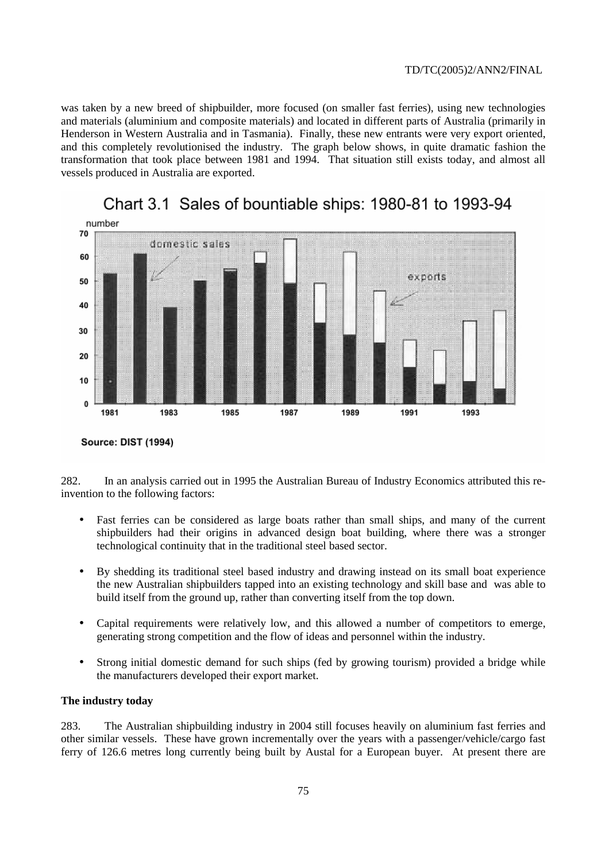was taken by a new breed of shipbuilder, more focused (on smaller fast ferries), using new technologies and materials (aluminium and composite materials) and located in different parts of Australia (primarily in Henderson in Western Australia and in Tasmania). Finally, these new entrants were very export oriented, and this completely revolutionised the industry. The graph below shows, in quite dramatic fashion the transformation that took place between 1981 and 1994. That situation still exists today, and almost all vessels produced in Australia are exported.



Chart 3.1 Sales of bountiable ships: 1980-81 to 1993-94

282. In an analysis carried out in 1995 the Australian Bureau of Industry Economics attributed this reinvention to the following factors:

- Fast ferries can be considered as large boats rather than small ships, and many of the current shipbuilders had their origins in advanced design boat building, where there was a stronger technological continuity that in the traditional steel based sector.
- By shedding its traditional steel based industry and drawing instead on its small boat experience the new Australian shipbuilders tapped into an existing technology and skill base and was able to build itself from the ground up, rather than converting itself from the top down.
- Capital requirements were relatively low, and this allowed a number of competitors to emerge, generating strong competition and the flow of ideas and personnel within the industry.
- Strong initial domestic demand for such ships (fed by growing tourism) provided a bridge while the manufacturers developed their export market.

## **The industry today**

283. The Australian shipbuilding industry in 2004 still focuses heavily on aluminium fast ferries and other similar vessels. These have grown incrementally over the years with a passenger/vehicle/cargo fast ferry of 126.6 metres long currently being built by Austal for a European buyer. At present there are

Source: DIST (1994)